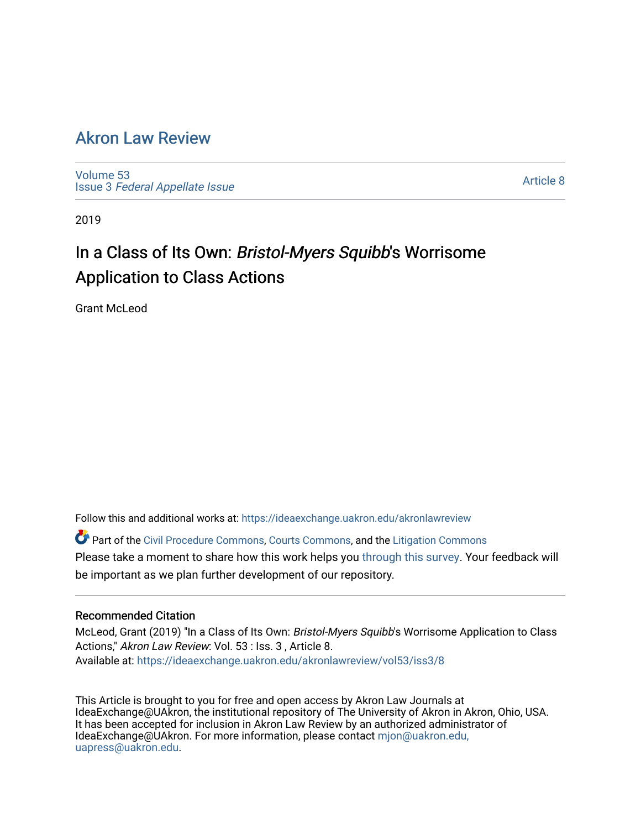## [Akron Law Review](https://ideaexchange.uakron.edu/akronlawreview)

[Volume 53](https://ideaexchange.uakron.edu/akronlawreview/vol53) Issue 3 [Federal Appellate Issue](https://ideaexchange.uakron.edu/akronlawreview/vol53/iss3) 

[Article 8](https://ideaexchange.uakron.edu/akronlawreview/vol53/iss3/8) 

2019

# In a Class of Its Own: Bristol-Myers Squibb's Worrisome Application to Class Actions

Grant McLeod

Follow this and additional works at: [https://ideaexchange.uakron.edu/akronlawreview](https://ideaexchange.uakron.edu/akronlawreview?utm_source=ideaexchange.uakron.edu%2Fakronlawreview%2Fvol53%2Fiss3%2F8&utm_medium=PDF&utm_campaign=PDFCoverPages)

Part of the [Civil Procedure Commons,](http://network.bepress.com/hgg/discipline/584?utm_source=ideaexchange.uakron.edu%2Fakronlawreview%2Fvol53%2Fiss3%2F8&utm_medium=PDF&utm_campaign=PDFCoverPages) [Courts Commons](http://network.bepress.com/hgg/discipline/839?utm_source=ideaexchange.uakron.edu%2Fakronlawreview%2Fvol53%2Fiss3%2F8&utm_medium=PDF&utm_campaign=PDFCoverPages), and the [Litigation Commons](http://network.bepress.com/hgg/discipline/910?utm_source=ideaexchange.uakron.edu%2Fakronlawreview%2Fvol53%2Fiss3%2F8&utm_medium=PDF&utm_campaign=PDFCoverPages) Please take a moment to share how this work helps you [through this survey](http://survey.az1.qualtrics.com/SE/?SID=SV_eEVH54oiCbOw05f&URL=https://ideaexchange.uakron.edu/akronlawreview/vol53/iss3/8). Your feedback will be important as we plan further development of our repository.

## Recommended Citation

McLeod, Grant (2019) "In a Class of Its Own: Bristol-Myers Squibb's Worrisome Application to Class Actions," Akron Law Review: Vol. 53 : Iss. 3 , Article 8. Available at: [https://ideaexchange.uakron.edu/akronlawreview/vol53/iss3/8](https://ideaexchange.uakron.edu/akronlawreview/vol53/iss3/8?utm_source=ideaexchange.uakron.edu%2Fakronlawreview%2Fvol53%2Fiss3%2F8&utm_medium=PDF&utm_campaign=PDFCoverPages) 

This Article is brought to you for free and open access by Akron Law Journals at IdeaExchange@UAkron, the institutional repository of The University of Akron in Akron, Ohio, USA. It has been accepted for inclusion in Akron Law Review by an authorized administrator of IdeaExchange@UAkron. For more information, please contact [mjon@uakron.edu,](mailto:mjon@uakron.edu,%20uapress@uakron.edu) [uapress@uakron.edu.](mailto:mjon@uakron.edu,%20uapress@uakron.edu)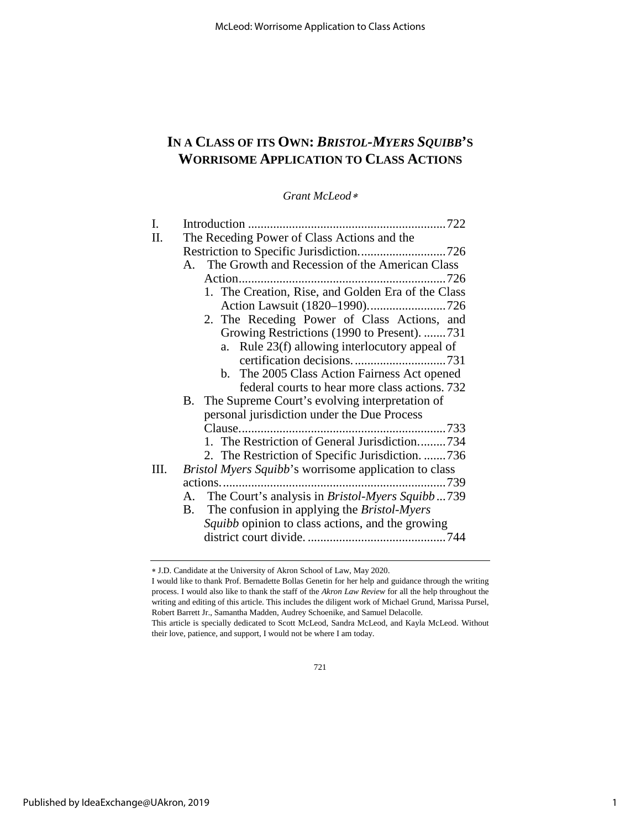## **IN A CLASS OF ITS OWN:** *BRISTOL-MYERS SQUIBB***'S WORRISOME APPLICATION TO CLASS ACTIONS**

*Grant McLeod*[∗](#page-1-0)

| Ι. |                                                               |
|----|---------------------------------------------------------------|
| П. | The Receding Power of Class Actions and the                   |
|    |                                                               |
|    | The Growth and Recession of the American Class<br>$A_{\cdot}$ |
|    |                                                               |
|    | 1. The Creation, Rise, and Golden Era of the Class            |
|    |                                                               |
|    | 2. The Receding Power of Class Actions, and                   |
|    | Growing Restrictions (1990 to Present). 731                   |
|    | a. Rule 23(f) allowing interlocutory appeal of                |
|    |                                                               |
|    | b. The 2005 Class Action Fairness Act opened                  |
|    | federal courts to hear more class actions. 732                |
|    | B. The Supreme Court's evolving interpretation of             |
|    | personal jurisdiction under the Due Process                   |
|    |                                                               |
|    | 1. The Restriction of General Jurisdiction734                 |
|    | 2. The Restriction of Specific Jurisdiction. 736              |
| Ш. | Bristol Myers Squibb's worrisome application to class         |
|    |                                                               |
|    | The Court's analysis in <i>Bristol-Myers Squibb</i> 739<br>A. |
|    | The confusion in applying the <i>Bristol-Myers</i><br>В.      |
|    | <i>Squibb</i> opinion to class actions, and the growing       |
|    |                                                               |
|    |                                                               |

<span id="page-1-0"></span><sup>∗</sup> J.D. Candidate at the University of Akron School of Law, May 2020.

I would like to thank Prof. Bernadette Bollas Genetin for her help and guidance through the writing process. I would also like to thank the staff of the *Akron Law Review* for all the help throughout the writing and editing of this article. This includes the diligent work of Michael Grund, Marissa Pursel, Robert Barrett Jr., Samantha Madden, Audrey Schoenike, and Samuel Delacolle. This article is specially dedicated to Scott McLeod, Sandra McLeod, and Kayla McLeod. Without

their love, patience, and support, I would not be where I am today.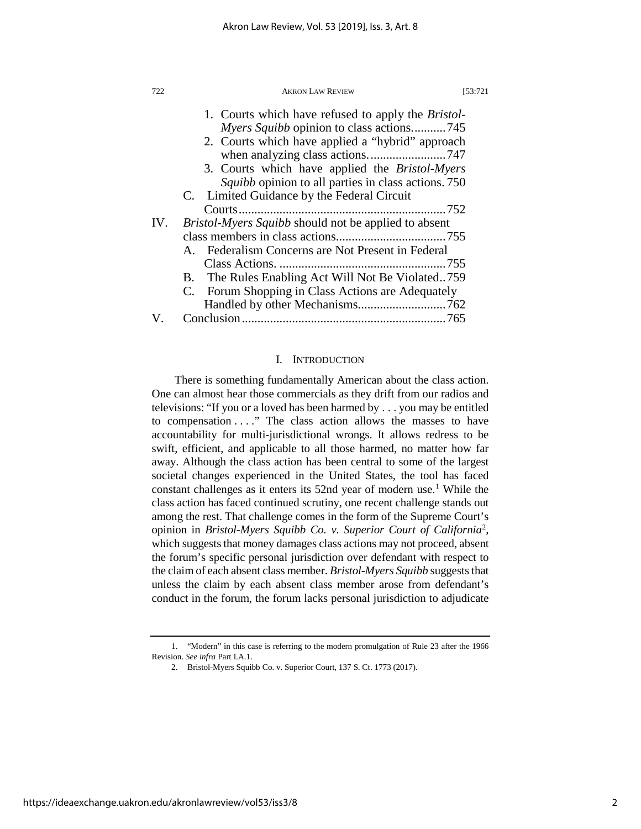| 722 | <b>AKRON LAW REVIEW</b>                                     | [53:721 |
|-----|-------------------------------------------------------------|---------|
|     | 1. Courts which have refused to apply the <i>Bristol</i> -  |         |
|     | <i>Myers Squibb</i> opinion to class actions745             |         |
|     | 2. Courts which have applied a "hybrid" approach            |         |
|     |                                                             |         |
|     | 3. Courts which have applied the <i>Bristol-Myers</i>       |         |
|     | Squibb opinion to all parties in class actions. 750         |         |
|     | C. Limited Guidance by the Federal Circuit                  |         |
|     |                                                             |         |
| IV. | <i>Bristol-Myers Squibb</i> should not be applied to absent |         |
|     |                                                             |         |
|     | A. Federalism Concerns are Not Present in Federal           |         |
|     |                                                             |         |
|     | B. The Rules Enabling Act Will Not Be Violated759           |         |
|     | C. Forum Shopping in Class Actions are Adequately           |         |
|     |                                                             |         |
|     |                                                             |         |

#### I. INTRODUCTION

There is something fundamentally American about the class action. One can almost hear those commercials as they drift from our radios and televisions: "If you or a loved has been harmed by . . . you may be entitled to compensation . . . ." The class action allows the masses to have accountability for multi-jurisdictional wrongs. It allows redress to be swift, efficient, and applicable to all those harmed, no matter how far away. Although the class action has been central to some of the largest societal changes experienced in the United States, the tool has faced constant challenges as it enters its 52nd year of modern use.<sup>[1](#page-2-0)</sup> While the class action has faced continued scrutiny, one recent challenge stands out among the rest. That challenge comes in the form of the Supreme Court's opinion in *Bristol-Myers Squibb Co. v. Superior Court of California*[2](#page-2-1) , which suggests that money damages class actions may not proceed, absent the forum's specific personal jurisdiction over defendant with respect to the claim of each absent class member. *Bristol-Myers Squibb* suggests that unless the claim by each absent class member arose from defendant's conduct in the forum, the forum lacks personal jurisdiction to adjudicate

<span id="page-2-1"></span><span id="page-2-0"></span><sup>1. &</sup>quot;Modern" in this case is referring to the modern promulgation of Rule 23 after the 1966 Revision. *See infra* Part I.A.1.

<sup>2.</sup> Bristol-Myers Squibb Co. v. Superior Court, 137 S. Ct. 1773 (2017).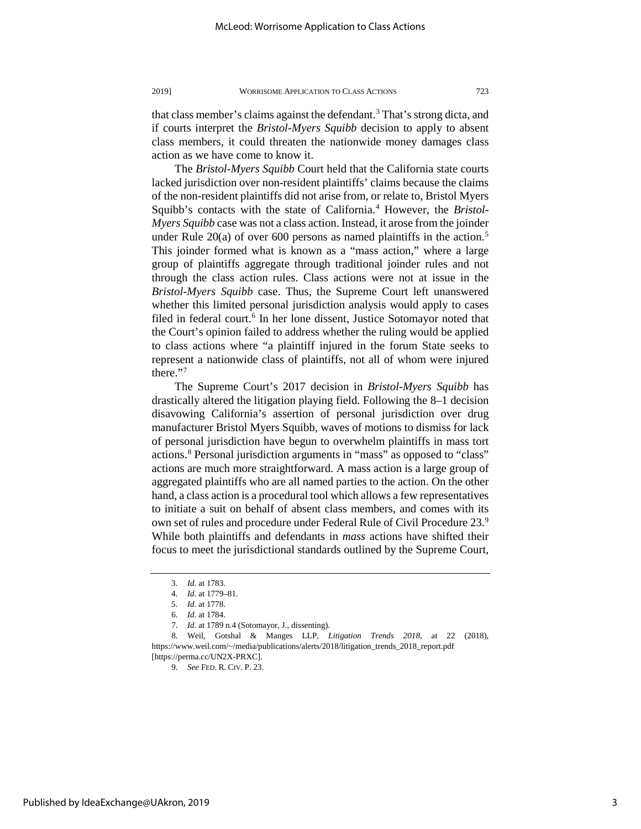that class member's claims against the defendant.<sup>3</sup> That's strong dicta, and if courts interpret the *Bristol-Myers Squibb* decision to apply to absent class members, it could threaten the nationwide money damages class action as we have come to know it.

The *Bristol-Myers Squibb* Court held that the California state courts lacked jurisdiction over non-resident plaintiffs' claims because the claims of the non-resident plaintiffs did not arise from, or relate to, Bristol Myers Squibb's contacts with the state of California.[4](#page-3-1) However, the *Bristol-Myers Squibb* case was not a class action. Instead, it arose from the joinder under Rule  $20(a)$  of over 600 persons as named plaintiffs in the action.<sup>[5](#page-3-2)</sup> This joinder formed what is known as a "mass action," where a large group of plaintiffs aggregate through traditional joinder rules and not through the class action rules. Class actions were not at issue in the *Bristol-Myers Squibb* case. Thus, the Supreme Court left unanswered whether this limited personal jurisdiction analysis would apply to cases filed in federal court.<sup>[6](#page-3-3)</sup> In her lone dissent, Justice Sotomayor noted that the Court's opinion failed to address whether the ruling would be applied to class actions where "a plaintiff injured in the forum State seeks to represent a nationwide class of plaintiffs, not all of whom were injured there."[7](#page-3-4)

The Supreme Court's 2017 decision in *Bristol-Myers Squibb* has drastically altered the litigation playing field. Following the 8–1 decision disavowing California's assertion of personal jurisdiction over drug manufacturer Bristol Myers Squibb, waves of motions to dismiss for lack of personal jurisdiction have begun to overwhelm plaintiffs in mass tort actions[.8](#page-3-5) Personal jurisdiction arguments in "mass" as opposed to "class" actions are much more straightforward. A mass action is a large group of aggregated plaintiffs who are all named parties to the action. On the other hand, a class action is a procedural tool which allows a few representatives to initiate a suit on behalf of absent class members, and comes with its own set of rules and procedure under Federal Rule of Civil Procedure 23.[9](#page-3-6) While both plaintiffs and defendants in *mass* actions have shifted their focus to meet the jurisdictional standards outlined by the Supreme Court,

<sup>3.</sup> *Id.* at 1783.

<sup>4.</sup> *Id.* at 1779–81.

<sup>5.</sup> *Id.* at 1778.

<sup>6.</sup> *Id.* at 1784.

<sup>7.</sup> *Id.* at 1789 n.4 (Sotomayor, J., dissenting).

<span id="page-3-5"></span><span id="page-3-4"></span><span id="page-3-3"></span><span id="page-3-2"></span><span id="page-3-1"></span><span id="page-3-0"></span><sup>8.</sup> Weil, Gotshal & Manges LLP, *Litigation Trends 2018*, at 22 (2018), https://www.weil.com/~/media/publications/alerts/2018/litigation\_trends\_2018\_report.pdf

<span id="page-3-6"></span><sup>[</sup>https://perma.cc/UN2X-PRXC].

<sup>9.</sup> *See* FED. R. CIV. P. 23.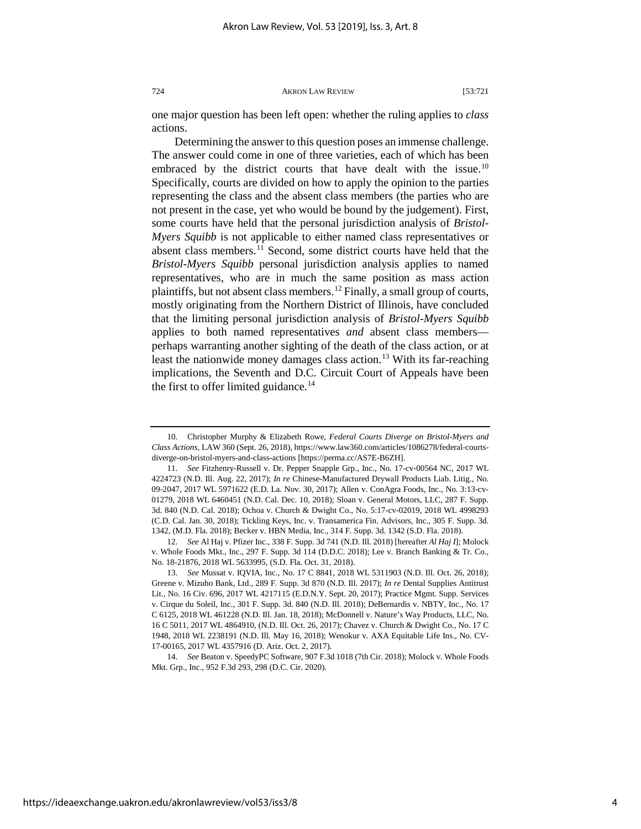one major question has been left open: whether the ruling applies to *class* actions.

Determining the answer to this question poses an immense challenge. The answer could come in one of three varieties, each of which has been embraced by the district courts that have dealt with the issue.<sup>[10](#page-4-0)</sup> Specifically, courts are divided on how to apply the opinion to the parties representing the class and the absent class members (the parties who are not present in the case, yet who would be bound by the judgement). First, some courts have held that the personal jurisdiction analysis of *Bristol-Myers Squibb* is not applicable to either named class representatives or absent class members.[11](#page-4-1) Second, some district courts have held that the *Bristol-Myers Squibb* personal jurisdiction analysis applies to named representatives, who are in much the same position as mass action plaintiffs, but not absent class members.<sup>[12](#page-4-2)</sup> Finally, a small group of courts, mostly originating from the Northern District of Illinois, have concluded that the limiting personal jurisdiction analysis of *Bristol-Myers Squibb* applies to both named representatives *and* absent class members perhaps warranting another sighting of the death of the class action, or at least the nationwide money damages class action.<sup>[13](#page-4-3)</sup> With its far-reaching implications, the Seventh and D.C. Circuit Court of Appeals have been the first to offer limited guidance.<sup>[14](#page-4-4)</sup>

<span id="page-4-2"></span>12. *See* Al Haj v. Pfizer Inc., 338 F. Supp. 3d 741 (N.D. Ill. 2018) [hereafter *Al Haj I*]; Molock v. Whole Foods Mkt., Inc., 297 F. Supp. 3d 114 (D.D.C. 2018); Lee v. Branch Banking & Tr. Co., No. 18-21876, 2018 WL 5633995, (S.D. Fla. Oct. 31, 2018).

<span id="page-4-4"></span>14. *See* Beaton v. SpeedyPC Software, 907 F.3d 1018 (7th Cir. 2018); Molock v. Whole Foods Mkt. Grp., Inc., 952 F.3d 293, 298 (D.C. Cir. 2020).

<span id="page-4-0"></span><sup>10.</sup> Christopher Murphy & Elizabeth Rowe, *Federal Courts Diverge on Bristol-Myers and Class Actions*, LAW 360 (Sept. 26, 2018), https://www.law360.com/articles/1086278/federal-courtsdiverge-on-bristol-myers-and-class-actions [https://perma.cc/AS7E-B6ZH].

<span id="page-4-1"></span><sup>11.</sup> *See* Fitzhenry-Russell v. Dr. Pepper Snapple Grp., Inc., No. 17-cv-00564 NC, 2017 WL 4224723 (N.D. Ill. Aug. 22, 2017); *In re* Chinese-Manufactured Drywall Products Liab. Litig., No. 09-2047, 2017 WL 5971622 (E.D. La. Nov. 30, 2017); Allen v. ConAgra Foods, Inc., No. 3:13-cv-01279, 2018 WL 6460451 (N.D. Cal. Dec. 10, 2018); Sloan v. General Motors, LLC, 287 F. Supp. 3d. 840 (N.D. Cal. 2018); Ochoa v. Church & Dwight Co., No. 5:17-cv-02019, 2018 WL 4998293 (C.D. Cal. Jan. 30, 2018); Tickling Keys, Inc. v. Transamerica Fin. Advisors, Inc., 305 F. Supp. 3d. 1342, (M.D. Fla. 2018); Becker v. HBN Media, Inc., 314 F. Supp. 3d. 1342 (S.D. Fla. 2018).

<span id="page-4-3"></span><sup>13.</sup> *See* Mussat v. IQVIA, Inc., No. 17 C 8841, 2018 WL 5311903 (N.D. Ill. Oct. 26, 2018); Greene v. Mizuho Bank, Ltd., 289 F. Supp. 3d 870 (N.D. Ill. 2017); *In re* Dental Supplies Antitrust Lit., No. 16 Civ. 696, 2017 WL 4217115 (E.D.N.Y. Sept. 20, 2017); Practice Mgmt. Supp. Services v. Cirque du Soleil, Inc., 301 F. Supp. 3d. 840 (N.D. Ill. 2018); DeBernardis v. NBTY, Inc., No. 17 C 6125, 2018 WL 461228 (N.D. Ill. Jan. 18, 2018); McDonnell v. Nature's Way Products, LLC, No. 16 C 5011, 2017 WL 4864910, (N.D. Ill. Oct. 26, 2017); Chavez v. Church & Dwight Co., No. 17 C 1948, 2018 WL 2238191 (N.D. Ill. May 16, 2018); Wenokur v. AXA Equitable Life Ins., No. CV-17-00165, 2017 WL 4357916 (D. Ariz. Oct. 2, 2017).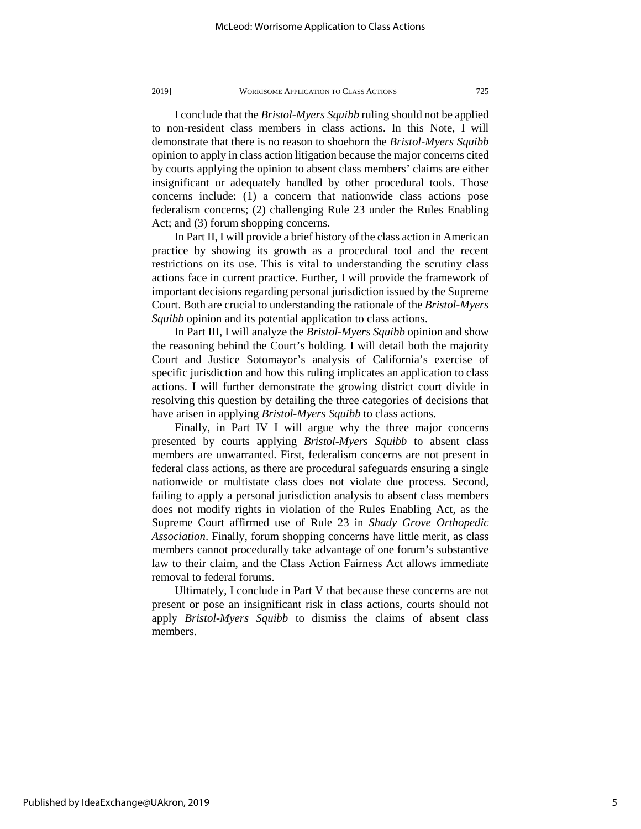I conclude that the *Bristol-Myers Squibb* ruling should not be applied to non-resident class members in class actions. In this Note, I will demonstrate that there is no reason to shoehorn the *Bristol-Myers Squibb*  opinion to apply in class action litigation because the major concerns cited by courts applying the opinion to absent class members' claims are either insignificant or adequately handled by other procedural tools. Those concerns include: (1) a concern that nationwide class actions pose federalism concerns; (2) challenging Rule 23 under the Rules Enabling Act; and (3) forum shopping concerns.

In Part II, I will provide a brief history of the class action in American practice by showing its growth as a procedural tool and the recent restrictions on its use. This is vital to understanding the scrutiny class actions face in current practice. Further, I will provide the framework of important decisions regarding personal jurisdiction issued by the Supreme Court. Both are crucial to understanding the rationale of the *Bristol-Myers Squibb* opinion and its potential application to class actions.

In Part III, I will analyze the *Bristol-Myers Squibb* opinion and show the reasoning behind the Court's holding. I will detail both the majority Court and Justice Sotomayor's analysis of California's exercise of specific jurisdiction and how this ruling implicates an application to class actions. I will further demonstrate the growing district court divide in resolving this question by detailing the three categories of decisions that have arisen in applying *Bristol-Myers Squibb* to class actions.

Finally, in Part IV I will argue why the three major concerns presented by courts applying *Bristol-Myers Squibb* to absent class members are unwarranted. First, federalism concerns are not present in federal class actions, as there are procedural safeguards ensuring a single nationwide or multistate class does not violate due process. Second, failing to apply a personal jurisdiction analysis to absent class members does not modify rights in violation of the Rules Enabling Act, as the Supreme Court affirmed use of Rule 23 in *Shady Grove Orthopedic Association*. Finally, forum shopping concerns have little merit, as class members cannot procedurally take advantage of one forum's substantive law to their claim, and the Class Action Fairness Act allows immediate removal to federal forums.

Ultimately, I conclude in Part V that because these concerns are not present or pose an insignificant risk in class actions, courts should not apply *Bristol-Myers Squibb* to dismiss the claims of absent class members.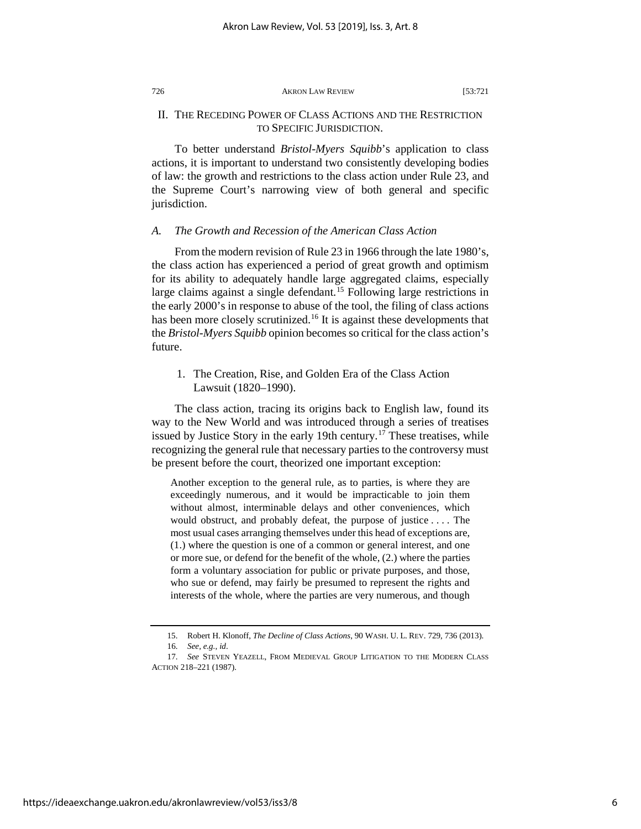### II. THE RECEDING POWER OF CLASS ACTIONS AND THE RESTRICTION TO SPECIFIC JURISDICTION.

To better understand *Bristol-Myers Squibb*'s application to class actions, it is important to understand two consistently developing bodies of law: the growth and restrictions to the class action under Rule 23, and the Supreme Court's narrowing view of both general and specific jurisdiction.

#### *A. The Growth and Recession of the American Class Action*

From the modern revision of Rule 23 in 1966 through the late 1980's, the class action has experienced a period of great growth and optimism for its ability to adequately handle large aggregated claims, especially large claims against a single defendant.<sup>[15](#page-6-0)</sup> Following large restrictions in the early 2000's in response to abuse of the tool, the filing of class actions has been more closely scrutinized.<sup>[16](#page-6-1)</sup> It is against these developments that the *Bristol-Myers Squibb* opinion becomes so critical for the class action's future.

1. The Creation, Rise, and Golden Era of the Class Action Lawsuit (1820–1990).

The class action, tracing its origins back to English law, found its way to the New World and was introduced through a series of treatises issued by Justice Story in the early 19th century.<sup>[17](#page-6-2)</sup> These treatises, while recognizing the general rule that necessary parties to the controversy must be present before the court, theorized one important exception:

Another exception to the general rule, as to parties, is where they are exceedingly numerous, and it would be impracticable to join them without almost, interminable delays and other conveniences, which would obstruct, and probably defeat, the purpose of justice . . . . The most usual cases arranging themselves under this head of exceptions are, (1.) where the question is one of a common or general interest, and one or more sue, or defend for the benefit of the whole, (2.) where the parties form a voluntary association for public or private purposes, and those, who sue or defend, may fairly be presumed to represent the rights and interests of the whole, where the parties are very numerous, and though

<sup>15.</sup> Robert H. Klonoff, *The Decline of Class Actions*, 90 WASH. U. L. REV. 729, 736 (2013). 16. *See, e.g.*, *id*.

<span id="page-6-2"></span><span id="page-6-1"></span><span id="page-6-0"></span><sup>17.</sup> *See* STEVEN YEAZELL, FROM MEDIEVAL GROUP LITIGATION TO THE MODERN CLASS ACTION 218–221 (1987).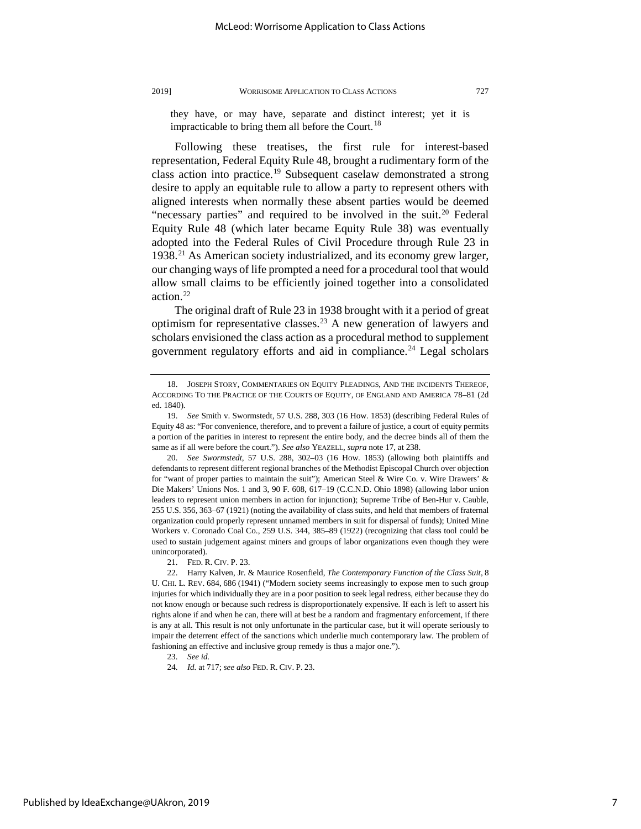they have, or may have, separate and distinct interest; yet it is impracticable to bring them all before the Court.<sup>[18](#page-7-0)</sup>

Following these treatises, the first rule for interest-based representation, Federal Equity Rule 48, brought a rudimentary form of the class action into practice.[19](#page-7-1) Subsequent caselaw demonstrated a strong desire to apply an equitable rule to allow a party to represent others with aligned interests when normally these absent parties would be deemed "necessary parties" and required to be involved in the suit.<sup>[20](#page-7-2)</sup> Federal Equity Rule 48 (which later became Equity Rule 38) was eventually adopted into the Federal Rules of Civil Procedure through Rule 23 in 1938.[21](#page-7-3) As American society industrialized, and its economy grew larger, our changing ways of life prompted a need for a procedural tool that would allow small claims to be efficiently joined together into a consolidated action.[22](#page-7-4)

The original draft of Rule 23 in 1938 brought with it a period of great optimism for representative classes.<sup>[23](#page-7-5)</sup> A new generation of lawyers and scholars envisioned the class action as a procedural method to supplement government regulatory efforts and aid in compliance.<sup>[24](#page-7-6)</sup> Legal scholars

<span id="page-7-0"></span><sup>18.</sup> JOSEPH STORY, COMMENTARIES ON EQUITY PLEADINGS, AND THE INCIDENTS THEREOF, ACCORDING TO THE PRACTICE OF THE COURTS OF EQUITY, OF ENGLAND AND AMERICA 78–81 (2d ed. 1840).

<span id="page-7-1"></span><sup>19.</sup> *See* Smith v. Swormstedt, 57 U.S. 288, 303 (16 How. 1853) (describing Federal Rules of Equity 48 as: "For convenience, therefore, and to prevent a failure of justice, a court of equity permits a portion of the parities in interest to represent the entire body, and the decree binds all of them the same as if all were before the court."). *See also* YEAZELL, *supra* note 17, at 238.

<span id="page-7-2"></span><sup>20.</sup> *See Swormstedt*, 57 U.S. 288, 302–03 (16 How. 1853) (allowing both plaintiffs and defendants to represent different regional branches of the Methodist Episcopal Church over objection for "want of proper parties to maintain the suit"); American Steel & Wire Co. v. Wire Drawers' & Die Makers' Unions Nos. 1 and 3, 90 F. 608, 617–19 (C.C.N.D. Ohio 1898) (allowing labor union leaders to represent union members in action for injunction); Supreme Tribe of Ben-Hur v. Cauble, 255 U.S. 356, 363–67 (1921) (noting the availability of class suits, and held that members of fraternal organization could properly represent unnamed members in suit for dispersal of funds); United Mine Workers v. Coronado Coal Co., 259 U.S. 344, 385–89 (1922) (recognizing that class tool could be used to sustain judgement against miners and groups of labor organizations even though they were unincorporated).

<sup>21.</sup> FED. R. CIV. P. 23.

<span id="page-7-4"></span><span id="page-7-3"></span><sup>22.</sup> Harry Kalven, Jr. & Maurice Rosenfield, *The Contemporary Function of the Class Suit*, 8 U. CHI. L. REV. 684, 686 (1941) ("Modern society seems increasingly to expose men to such group injuries for which individually they are in a poor position to seek legal redress, either because they do not know enough or because such redress is disproportionately expensive. If each is left to assert his rights alone if and when he can, there will at best be a random and fragmentary enforcement, if there is any at all. This result is not only unfortunate in the particular case, but it will operate seriously to impair the deterrent effect of the sanctions which underlie much contemporary law. The problem of fashioning an effective and inclusive group remedy is thus a major one.").

<span id="page-7-5"></span><sup>23.</sup> *See id.*

<span id="page-7-6"></span><sup>24.</sup> *Id.* at 717; *see also* FED. R. CIV. P. 23.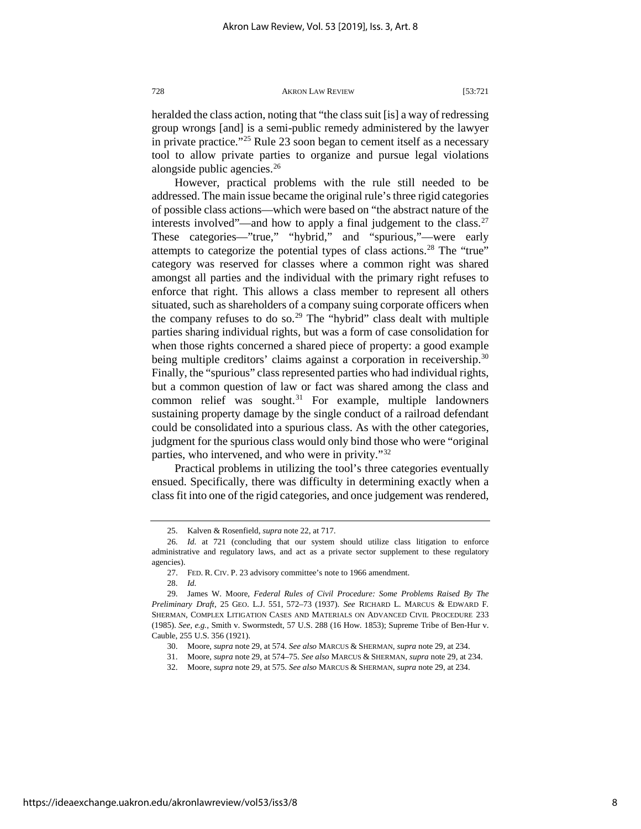heralded the class action, noting that "the class suit [is] a way of redressing group wrongs [and] is a semi-public remedy administered by the lawyer in private practice."[25](#page-8-0) Rule 23 soon began to cement itself as a necessary tool to allow private parties to organize and pursue legal violations alongside public agencies.<sup>[26](#page-8-1)</sup>

However, practical problems with the rule still needed to be addressed. The main issue became the original rule's three rigid categories of possible class actions—which were based on "the abstract nature of the interests involved"—and how to apply a final judgement to the class. $27$ These categories—"true," "hybrid," and "spurious,"—were early attempts to categorize the potential types of class actions.<sup>[28](#page-8-3)</sup> The "true" category was reserved for classes where a common right was shared amongst all parties and the individual with the primary right refuses to enforce that right. This allows a class member to represent all others situated, such as shareholders of a company suing corporate officers when the company refuses to do so.<sup>[29](#page-8-4)</sup> The "hybrid" class dealt with multiple parties sharing individual rights, but was a form of case consolidation for when those rights concerned a shared piece of property: a good example being multiple creditors' claims against a corporation in receivership.<sup>[30](#page-8-5)</sup> Finally, the "spurious" class represented parties who had individual rights, but a common question of law or fact was shared among the class and common relief was sought. $31$  For example, multiple landowners sustaining property damage by the single conduct of a railroad defendant could be consolidated into a spurious class. As with the other categories, judgment for the spurious class would only bind those who were "original parties, who intervened, and who were in privity."<sup>[32](#page-8-7)</sup>

Practical problems in utilizing the tool's three categories eventually ensued. Specifically, there was difficulty in determining exactly when a class fit into one of the rigid categories, and once judgement was rendered,

<sup>25.</sup> Kalven & Rosenfield, *supra* note 22, at 717.

<span id="page-8-1"></span><span id="page-8-0"></span><sup>26.</sup> *Id.* at 721 (concluding that our system should utilize class litigation to enforce administrative and regulatory laws, and act as a private sector supplement to these regulatory agencies).

<sup>27.</sup> FED. R. CIV. P. 23 advisory committee's note to 1966 amendment.

<sup>28.</sup> *Id.*

<span id="page-8-6"></span><span id="page-8-5"></span><span id="page-8-4"></span><span id="page-8-3"></span><span id="page-8-2"></span><sup>29.</sup> James W. Moore, *Federal Rules of Civil Procedure: Some Problems Raised By The Preliminary Draft*, 25 GEO. L.J. 551, 572–73 (1937). *See* RICHARD L. MARCUS & EDWARD F. SHERMAN, COMPLEX LITIGATION CASES AND MATERIALS ON ADVANCED CIVIL PROCEDURE 233 (1985). *See, e.g.*, Smith v. Swormstedt, 57 U.S. 288 (16 How. 1853); Supreme Tribe of Ben-Hur v. Cauble, 255 U.S. 356 (1921).

<sup>30.</sup> Moore, *supra* note 29, at 574. *See also* MARCUS & SHERMAN, *supra* note 29, at 234.

<sup>31.</sup> Moore, *supra* note 29, at 574–75. *See also* MARCUS & SHERMAN, *supra* note 29, at 234.

<span id="page-8-7"></span><sup>32.</sup> Moore, *supra* note 29, at 575. *See also* MARCUS & SHERMAN, *supra* note 29, at 234.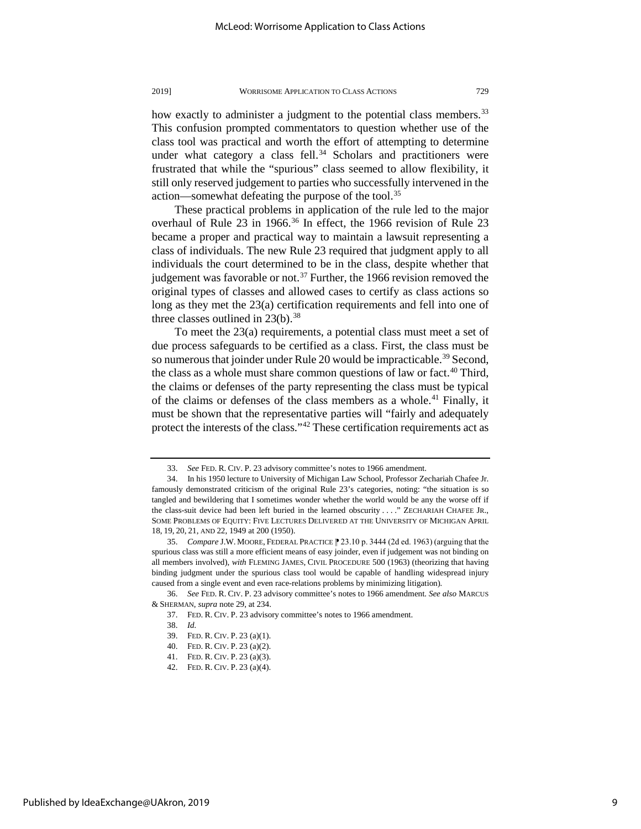how exactly to administer a judgment to the potential class members.<sup>[33](#page-9-0)</sup> This confusion prompted commentators to question whether use of the class tool was practical and worth the effort of attempting to determine under what category a class fell.<sup>[34](#page-9-1)</sup> Scholars and practitioners were frustrated that while the "spurious" class seemed to allow flexibility, it still only reserved judgement to parties who successfully intervened in the action—somewhat defeating the purpose of the tool.<sup>[35](#page-9-2)</sup>

These practical problems in application of the rule led to the major overhaul of Rule 23 in 1966.<sup>[36](#page-9-3)</sup> In effect, the 1966 revision of Rule 23 became a proper and practical way to maintain a lawsuit representing a class of individuals. The new Rule 23 required that judgment apply to all individuals the court determined to be in the class, despite whether that judgement was favorable or not.<sup>[37](#page-9-4)</sup> Further, the 1966 revision removed the original types of classes and allowed cases to certify as class actions so long as they met the 23(a) certification requirements and fell into one of three classes outlined in  $23(b)$ .<sup>[38](#page-9-5)</sup>

To meet the 23(a) requirements, a potential class must meet a set of due process safeguards to be certified as a class. First, the class must be so numerous that joinder under Rule 20 would be impracticable.<sup>[39](#page-9-6)</sup> Second, the class as a whole must share common questions of law or fact.<sup>[40](#page-9-7)</sup> Third, the claims or defenses of the party representing the class must be typical of the claims or defenses of the class members as a whole.<sup>[41](#page-9-8)</sup> Finally, it must be shown that the representative parties will "fairly and adequately protect the interests of the class.["42](#page-9-9) These certification requirements act as

<sup>33.</sup> *See* FED. R. CIV. P. 23 advisory committee's notes to 1966 amendment.

<span id="page-9-1"></span><span id="page-9-0"></span><sup>34.</sup> In his 1950 lecture to University of Michigan Law School, Professor Zechariah Chafee Jr. famously demonstrated criticism of the original Rule 23's categories, noting: "the situation is so tangled and bewildering that I sometimes wonder whether the world would be any the worse off if the class-suit device had been left buried in the learned obscurity . . . ." ZECHARIAH CHAFEE JR., SOME PROBLEMS OF EQUITY: FIVE LECTURES DELIVERED AT THE UNIVERSITY OF MICHIGAN APRIL 18, 19, 20, 21, AND 22, 1949 at 200 (1950).

<span id="page-9-2"></span><sup>35.</sup> *Compare* J.W. MOORE, FEDERAL PRACTICE ⁋ 23.10 p. 3444 (2d ed. 1963) (arguing that the spurious class was still a more efficient means of easy joinder, even if judgement was not binding on all members involved), *with* FLEMING JAMES, CIVIL PROCEDURE 500 (1963) (theorizing that having binding judgment under the spurious class tool would be capable of handling widespread injury caused from a single event and even race-relations problems by minimizing litigation)*.*

<span id="page-9-8"></span><span id="page-9-7"></span><span id="page-9-6"></span><span id="page-9-5"></span><span id="page-9-4"></span><span id="page-9-3"></span><sup>36.</sup> *See* FED. R. CIV. P. 23 advisory committee's notes to 1966 amendment*. See also* MARCUS & SHERMAN, *supra* note 29, at 234.

<sup>37.</sup> FED. R. CIV. P. 23 advisory committee's notes to 1966 amendment.

<sup>38.</sup> *Id.*

<sup>39.</sup> FED. R. CIV. P. 23 (a)(1).

<sup>40.</sup> FED. R. CIV. P. 23 (a)(2).

<sup>41.</sup> FED. R. CIV. P. 23 (a)(3).

<span id="page-9-9"></span><sup>42.</sup> FED. R. CIV. P. 23 (a)(4).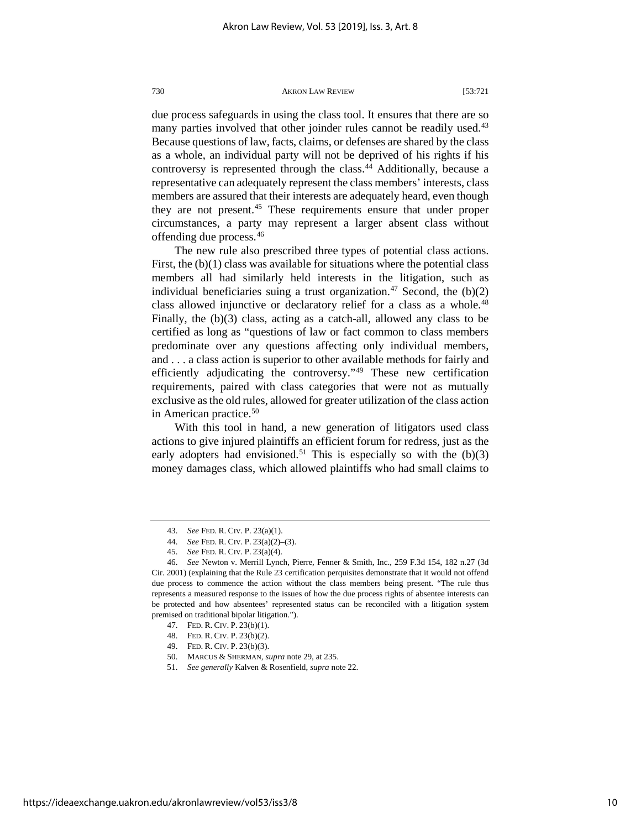due process safeguards in using the class tool. It ensures that there are so many parties involved that other joinder rules cannot be readily used.<sup>[43](#page-10-0)</sup> Because questions of law, facts, claims, or defenses are shared by the class as a whole, an individual party will not be deprived of his rights if his controversy is represented through the class.<sup>[44](#page-10-1)</sup> Additionally, because a representative can adequately represent the class members' interests, class members are assured that their interests are adequately heard, even though they are not present.<sup>45</sup> These requirements ensure that under proper circumstances, a party may represent a larger absent class without offending due process.[46](#page-10-3)

The new rule also prescribed three types of potential class actions. First, the  $(b)(1)$  class was available for situations where the potential class members all had similarly held interests in the litigation, such as individual beneficiaries suing a trust organization.<sup>[47](#page-10-4)</sup> Second, the  $(b)(2)$ class allowed injunctive or declaratory relief for a class as a whole.<sup>[48](#page-10-5)</sup> Finally, the (b)(3) class, acting as a catch-all, allowed any class to be certified as long as "questions of law or fact common to class members predominate over any questions affecting only individual members, and . . . a class action is superior to other available methods for fairly and efficiently adjudicating the controversy."[49](#page-10-6) These new certification requirements, paired with class categories that were not as mutually exclusive as the old rules, allowed for greater utilization of the class action in American practice. $50$ 

With this tool in hand, a new generation of litigators used class actions to give injured plaintiffs an efficient forum for redress, just as the early adopters had envisioned.<sup>[51](#page-10-8)</sup> This is especially so with the  $(b)(3)$ money damages class, which allowed plaintiffs who had small claims to

<sup>43.</sup> *See* FED. R. CIV. P. 23(a)(1).

<sup>44.</sup> *See* FED. R. CIV. P. 23(a)(2)–(3).

<sup>45.</sup> *See* FED. R. CIV. P. 23(a)(4).

<span id="page-10-4"></span><span id="page-10-3"></span><span id="page-10-2"></span><span id="page-10-1"></span><span id="page-10-0"></span><sup>46.</sup> *See* Newton v. Merrill Lynch, Pierre, Fenner & Smith, Inc., 259 F.3d 154, 182 n.27 (3d Cir. 2001) (explaining that the Rule 23 certification perquisites demonstrate that it would not offend due process to commence the action without the class members being present. "The rule thus represents a measured response to the issues of how the due process rights of absentee interests can be protected and how absentees' represented status can be reconciled with a litigation system premised on traditional bipolar litigation.").

<sup>47.</sup> FED. R. CIV. P. 23(b)(1).

<span id="page-10-5"></span><sup>48.</sup> FED. R. CIV. P. 23(b)(2).

<sup>49.</sup> FED. R. CIV. P. 23(b)(3).

<span id="page-10-8"></span><span id="page-10-7"></span><span id="page-10-6"></span><sup>50.</sup> MARCUS & SHERMAN, *supra* note 29, at 235.

<sup>51.</sup> *See generally* Kalven & Rosenfield, *supra* note 22.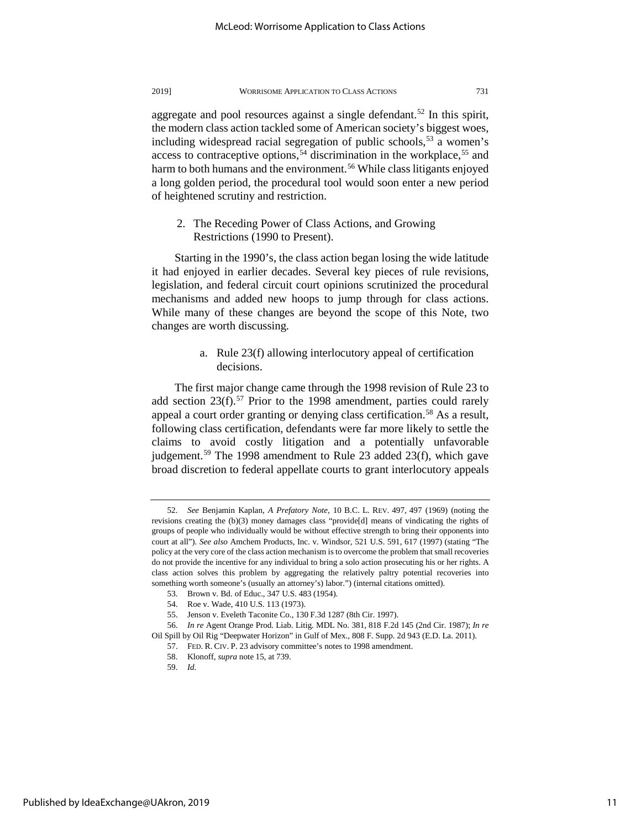aggregate and pool resources against a single defendant.<sup>[52](#page-11-0)</sup> In this spirit, the modern class action tackled some of American society's biggest woes, including widespread racial segregation of public schools,  $53$  a women's access to contraceptive options,<sup>[54](#page-11-2)</sup> discrimination in the workplace,<sup>[55](#page-11-3)</sup> and harm to both humans and the environment.<sup>[56](#page-11-4)</sup> While class litigants enjoyed a long golden period, the procedural tool would soon enter a new period of heightened scrutiny and restriction.

2. The Receding Power of Class Actions, and Growing Restrictions (1990 to Present).

Starting in the 1990's, the class action began losing the wide latitude it had enjoyed in earlier decades. Several key pieces of rule revisions, legislation, and federal circuit court opinions scrutinized the procedural mechanisms and added new hoops to jump through for class actions. While many of these changes are beyond the scope of this Note, two changes are worth discussing.

> a. Rule 23(f) allowing interlocutory appeal of certification decisions.

The first major change came through the 1998 revision of Rule 23 to add section  $23(f)$ .<sup>[57](#page-11-5)</sup> Prior to the 1998 amendment, parties could rarely appeal a court order granting or denying class certification.<sup>[58](#page-11-6)</sup> As a result, following class certification, defendants were far more likely to settle the claims to avoid costly litigation and a potentially unfavorable judgement.<sup>[59](#page-11-7)</sup> The 1998 amendment to Rule 23 added 23(f), which gave broad discretion to federal appellate courts to grant interlocutory appeals

<span id="page-11-0"></span><sup>52.</sup> *See* Benjamin Kaplan, *A Prefatory Note*, 10 B.C. L. REV. 497, 497 (1969) (noting the revisions creating the (b)(3) money damages class "provide[d] means of vindicating the rights of groups of people who individually would be without effective strength to bring their opponents into court at all"). *See also* Amchem Products, Inc. v. Windsor, 521 U.S. 591, 617 (1997) (stating "The policy at the very core of the class action mechanism is to overcome the problem that small recoveries do not provide the incentive for any individual to bring a solo action prosecuting his or her rights. A class action solves this problem by aggregating the relatively paltry potential recoveries into something worth someone's (usually an attorney's) labor.") (internal citations omitted).

<sup>53.</sup> Brown v. Bd. of Educ., 347 U.S. 483 (1954).

<sup>54.</sup> Roe v. Wade, 410 U.S. 113 (1973).

<sup>55.</sup> Jenson v. Eveleth Taconite Co., 130 F.3d 1287 (8th Cir. 1997).

<span id="page-11-7"></span><span id="page-11-6"></span><span id="page-11-5"></span><span id="page-11-4"></span><span id="page-11-3"></span><span id="page-11-2"></span><span id="page-11-1"></span><sup>56.</sup> *In re* Agent Orange Prod. Liab. Litig. MDL No. 381, 818 F.2d 145 (2nd Cir. 1987); *In re* Oil Spill by Oil Rig "Deepwater Horizon" in Gulf of Mex., 808 F. Supp. 2d 943 (E.D. La. 2011).

<sup>57.</sup> FED. R. CIV. P. 23 advisory committee's notes to 1998 amendment.

<sup>58.</sup> Klonoff, *supra* note 15, at 739.

<sup>59.</sup> *Id.*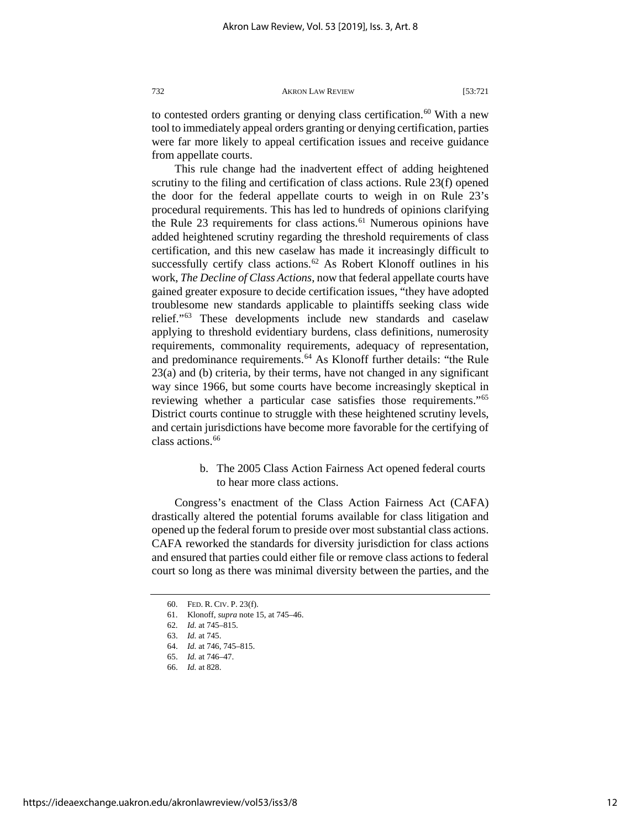to contested orders granting or denying class certification.<sup>[60](#page-12-0)</sup> With a new tool to immediately appeal orders granting or denying certification, parties were far more likely to appeal certification issues and receive guidance from appellate courts.

This rule change had the inadvertent effect of adding heightened scrutiny to the filing and certification of class actions. Rule 23(f) opened the door for the federal appellate courts to weigh in on Rule 23's procedural requirements. This has led to hundreds of opinions clarifying the Rule 23 requirements for class actions.<sup>[61](#page-12-1)</sup> Numerous opinions have added heightened scrutiny regarding the threshold requirements of class certification, and this new caselaw has made it increasingly difficult to successfully certify class actions.<sup>[62](#page-12-2)</sup> As Robert Klonoff outlines in his work, *The Decline of Class Actions*, now that federal appellate courts have gained greater exposure to decide certification issues, "they have adopted troublesome new standards applicable to plaintiffs seeking class wide relief."[63](#page-12-3) These developments include new standards and caselaw applying to threshold evidentiary burdens, class definitions, numerosity requirements, commonality requirements, adequacy of representation, and predominance requirements.[64](#page-12-4) As Klonoff further details: "the Rule 23(a) and (b) criteria, by their terms, have not changed in any significant way since 1966, but some courts have become increasingly skeptical in reviewing whether a particular case satisfies those requirements."[65](#page-12-5) District courts continue to struggle with these heightened scrutiny levels, and certain jurisdictions have become more favorable for the certifying of class actions.<sup>[66](#page-12-6)</sup>

> b. The 2005 Class Action Fairness Act opened federal courts to hear more class actions.

Congress's enactment of the Class Action Fairness Act (CAFA) drastically altered the potential forums available for class litigation and opened up the federal forum to preside over most substantial class actions. CAFA reworked the standards for diversity jurisdiction for class actions and ensured that parties could either file or remove class actions to federal court so long as there was minimal diversity between the parties, and the

<sup>60.</sup> FED. R. CIV. P. 23(f).

<span id="page-12-4"></span><span id="page-12-3"></span><span id="page-12-2"></span><span id="page-12-1"></span><span id="page-12-0"></span><sup>61.</sup> Klonoff, *supra* note 15, at 745–46.

<sup>62.</sup> *Id.* at 745–815.

<sup>63.</sup> *Id.* at 745.

<sup>64.</sup> *Id.* at 746, 745–815.

<span id="page-12-5"></span><sup>65.</sup> *Id.* at 746–47.

<span id="page-12-6"></span><sup>66.</sup> *Id.* at 828.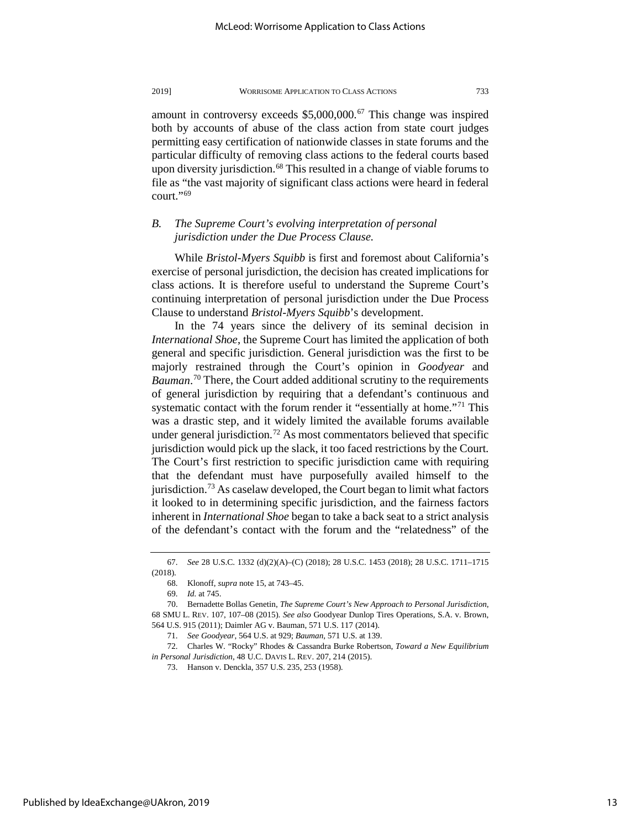amount in controversy exceeds \$5,000,000.<sup>[67](#page-13-0)</sup> This change was inspired both by accounts of abuse of the class action from state court judges permitting easy certification of nationwide classes in state forums and the particular difficulty of removing class actions to the federal courts based upon diversity jurisdiction.<sup>[68](#page-13-1)</sup> This resulted in a change of viable forums to file as "the vast majority of significant class actions were heard in federal court."<sup>[69](#page-13-2)</sup>

## *B. The Supreme Court's evolving interpretation of personal jurisdiction under the Due Process Clause.*

While *Bristol-Myers Squibb* is first and foremost about California's exercise of personal jurisdiction, the decision has created implications for class actions. It is therefore useful to understand the Supreme Court's continuing interpretation of personal jurisdiction under the Due Process Clause to understand *Bristol-Myers Squibb*'s development.

In the 74 years since the delivery of its seminal decision in *International Shoe*, the Supreme Court has limited the application of both general and specific jurisdiction. General jurisdiction was the first to be majorly restrained through the Court's opinion in *Goodyear* and Bauman.<sup>[70](#page-13-3)</sup> There, the Court added additional scrutiny to the requirements of general jurisdiction by requiring that a defendant's continuous and systematic contact with the forum render it "essentially at home."<sup>[71](#page-13-4)</sup> This was a drastic step, and it widely limited the available forums available under general jurisdiction.<sup>[72](#page-13-5)</sup> As most commentators believed that specific jurisdiction would pick up the slack, it too faced restrictions by the Court. The Court's first restriction to specific jurisdiction came with requiring that the defendant must have purposefully availed himself to the jurisdiction.<sup>73</sup> As caselaw developed, the Court began to limit what factors it looked to in determining specific jurisdiction, and the fairness factors inherent in *International Shoe* began to take a back seat to a strict analysis of the defendant's contact with the forum and the "relatedness" of the

<span id="page-13-1"></span><span id="page-13-0"></span><sup>67.</sup> *See* 28 U.S.C. 1332 (d)(2)(A)–(C) (2018); 28 U.S.C. 1453 (2018); 28 U.S.C. 1711–1715 (2018).

<sup>68.</sup> Klonoff, *supra* note 15, at 743–45.

<sup>69.</sup> *Id.* at 745.

<span id="page-13-3"></span><span id="page-13-2"></span><sup>70.</sup> Bernadette Bollas Genetin, *The Supreme Court's New Approach to Personal Jurisdiction*, 68 SMU L. REV. 107, 107–08 (2015). *See also* Goodyear Dunlop Tires Operations, S.A. v. Brown, 564 U.S. 915 (2011); Daimler AG v. Bauman, 571 U.S. 117 (2014).

<sup>71.</sup> *See Goodyear*, 564 U.S. at 929; *Bauman*, 571 U.S. at 139.

<span id="page-13-6"></span><span id="page-13-5"></span><span id="page-13-4"></span><sup>72.</sup> Charles W. "Rocky" Rhodes & Cassandra Burke Robertson, *Toward a New Equilibrium in Personal Jurisdiction*, 48 U.C. DAVIS L. REV. 207, 214 (2015).

<sup>73.</sup> Hanson v. Denckla, 357 U.S. 235, 253 (1958).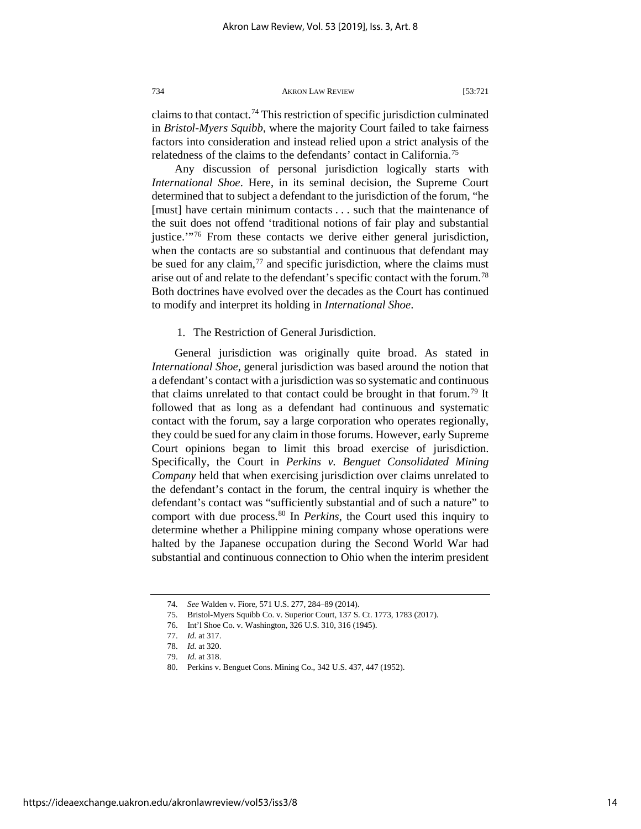claims to that contact.[74](#page-14-0) This restriction of specific jurisdiction culminated in *Bristol-Myers Squibb*, where the majority Court failed to take fairness factors into consideration and instead relied upon a strict analysis of the relatedness of the claims to the defendants' contact in California[.75](#page-14-1)

Any discussion of personal jurisdiction logically starts with *International Shoe*. Here, in its seminal decision, the Supreme Court determined that to subject a defendant to the jurisdiction of the forum, "he [must] have certain minimum contacts . . . such that the maintenance of the suit does not offend 'traditional notions of fair play and substantial justice.'"[76](#page-14-2) From these contacts we derive either general jurisdiction, when the contacts are so substantial and continuous that defendant may be sued for any claim,  $\frac{77}{2}$  $\frac{77}{2}$  $\frac{77}{2}$  and specific jurisdiction, where the claims must arise out of and relate to the defendant's specific contact with the forum.[78](#page-14-4) Both doctrines have evolved over the decades as the Court has continued to modify and interpret its holding in *International Shoe*.

1. The Restriction of General Jurisdiction.

General jurisdiction was originally quite broad. As stated in *International Shoe*, general jurisdiction was based around the notion that a defendant's contact with a jurisdiction was so systematic and continuous that claims unrelated to that contact could be brought in that forum.<sup>[79](#page-14-5)</sup> It followed that as long as a defendant had continuous and systematic contact with the forum, say a large corporation who operates regionally, they could be sued for any claim in those forums. However, early Supreme Court opinions began to limit this broad exercise of jurisdiction. Specifically, the Court in *Perkins v. Benguet Consolidated Mining Company* held that when exercising jurisdiction over claims unrelated to the defendant's contact in the forum, the central inquiry is whether the defendant's contact was "sufficiently substantial and of such a nature" to comport with due process.[80](#page-14-6) In *Perkins*, the Court used this inquiry to determine whether a Philippine mining company whose operations were halted by the Japanese occupation during the Second World War had substantial and continuous connection to Ohio when the interim president

<sup>74.</sup> *See* Walden v. Fiore, 571 U.S. 277, 284–89 (2014).

<span id="page-14-2"></span><span id="page-14-1"></span><span id="page-14-0"></span><sup>75.</sup> Bristol-Myers Squibb Co. v. Superior Court, 137 S. Ct. 1773, 1783 (2017).

<sup>76.</sup> Int'l Shoe Co. v. Washington, 326 U.S. 310, 316 (1945).

<sup>77.</sup> *Id.* at 317.

<sup>78.</sup> *Id.* at 320.

<span id="page-14-6"></span><span id="page-14-5"></span><span id="page-14-4"></span><span id="page-14-3"></span><sup>79.</sup> *Id.* at 318.

<sup>80.</sup> Perkins v. Benguet Cons. Mining Co., 342 U.S. 437, 447 (1952).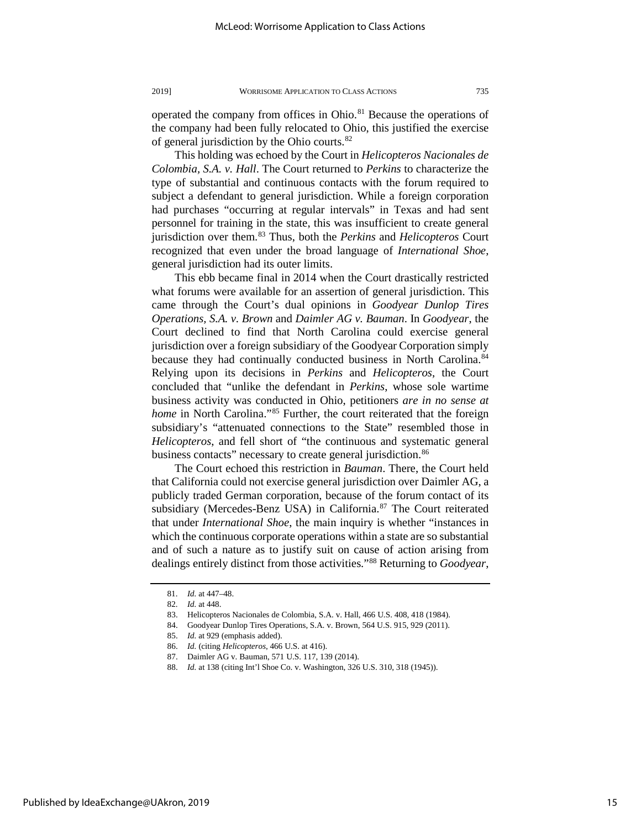operated the company from offices in Ohio.<sup>[81](#page-15-0)</sup> Because the operations of the company had been fully relocated to Ohio, this justified the exercise of general jurisdiction by the Ohio courts.[82](#page-15-1)

This holding was echoed by the Court in *Helicopteros Nacionales de Colombia, S.A. v. Hall*. The Court returned to *Perkins* to characterize the type of substantial and continuous contacts with the forum required to subject a defendant to general jurisdiction. While a foreign corporation had purchases "occurring at regular intervals" in Texas and had sent personnel for training in the state, this was insufficient to create general jurisdiction over them.[83](#page-15-2) Thus, both the *Perkins* and *Helicopteros* Court recognized that even under the broad language of *International Shoe*, general jurisdiction had its outer limits.

This ebb became final in 2014 when the Court drastically restricted what forums were available for an assertion of general jurisdiction. This came through the Court's dual opinions in *Goodyear Dunlop Tires Operations, S.A. v. Brown* and *Daimler AG v. Bauman*. In *Goodyear*, the Court declined to find that North Carolina could exercise general jurisdiction over a foreign subsidiary of the Goodyear Corporation simply because they had continually conducted business in North Carolina.<sup>[84](#page-15-3)</sup> Relying upon its decisions in *Perkins* and *Helicopteros*, the Court concluded that "unlike the defendant in *Perkins*, whose sole wartime business activity was conducted in Ohio, petitioners *are in no sense at home* in North Carolina."<sup>[85](#page-15-4)</sup> Further, the court reiterated that the foreign subsidiary's "attenuated connections to the State" resembled those in *Helicopteros*, and fell short of "the continuous and systematic general business contacts" necessary to create general jurisdiction.<sup>[86](#page-15-5)</sup>

The Court echoed this restriction in *Bauman*. There, the Court held that California could not exercise general jurisdiction over Daimler AG, a publicly traded German corporation, because of the forum contact of its subsidiary (Mercedes-Benz USA) in California.<sup>[87](#page-15-6)</sup> The Court reiterated that under *International Shoe*, the main inquiry is whether "instances in which the continuous corporate operations within a state are so substantial and of such a nature as to justify suit on cause of action arising from dealings entirely distinct from those activities."[88](#page-15-7) Returning to *Goodyear*,

<sup>81.</sup> *Id.* at 447–48.

<sup>82.</sup> *Id.* at 448.

<span id="page-15-3"></span><span id="page-15-2"></span><span id="page-15-1"></span><span id="page-15-0"></span>

<sup>83.</sup> Helicopteros Nacionales de Colombia, S.A. v. Hall, 466 U.S. 408, 418 (1984). Goodyear Dunlop Tires Operations, S.A. v. Brown, 564 U.S. 915, 929 (2011).

<span id="page-15-5"></span><span id="page-15-4"></span><sup>85.</sup> *Id.* at 929 (emphasis added).

<sup>86.</sup> *Id.* (citing *Helicopteros*, 466 U.S. at 416).

<span id="page-15-6"></span><sup>87.</sup> Daimler AG v. Bauman, 571 U.S. 117, 139 (2014).

<span id="page-15-7"></span><sup>88.</sup> *Id.* at 138 (citing Int'l Shoe Co. v. Washington, 326 U.S. 310, 318 (1945)).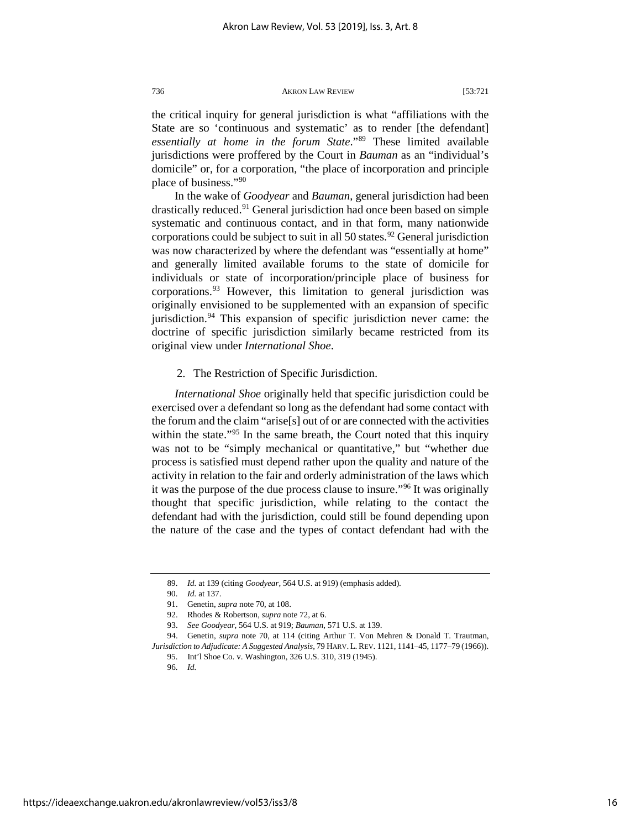the critical inquiry for general jurisdiction is what "affiliations with the State are so 'continuous and systematic' as to render [the defendant] *essentially at home in the forum State*."[89](#page-16-0) These limited available jurisdictions were proffered by the Court in *Bauman* as an "individual's domicile" or, for a corporation, "the place of incorporation and principle place of business."[90](#page-16-1)

In the wake of *Goodyear* and *Bauman*, general jurisdiction had been drastically reduced[.91](#page-16-2) General jurisdiction had once been based on simple systematic and continuous contact, and in that form, many nationwide corporations could be subject to suit in all 50 states.<sup>[92](#page-16-3)</sup> General jurisdiction was now characterized by where the defendant was "essentially at home" and generally limited available forums to the state of domicile for individuals or state of incorporation/principle place of business for corporations.<sup>[93](#page-16-4)</sup> However, this limitation to general jurisdiction was originally envisioned to be supplemented with an expansion of specific jurisdiction[.94](#page-16-5) This expansion of specific jurisdiction never came: the doctrine of specific jurisdiction similarly became restricted from its original view under *International Shoe*.

2. The Restriction of Specific Jurisdiction.

*International Shoe* originally held that specific jurisdiction could be exercised over a defendant so long as the defendant had some contact with the forum and the claim "arise[s] out of or are connected with the activities within the state."<sup>[95](#page-16-6)</sup> In the same breath, the Court noted that this inquiry was not to be "simply mechanical or quantitative," but "whether due process is satisfied must depend rather upon the quality and nature of the activity in relation to the fair and orderly administration of the laws which it was the purpose of the due process clause to insure.["96](#page-16-7) It was originally thought that specific jurisdiction, while relating to the contact the defendant had with the jurisdiction, could still be found depending upon the nature of the case and the types of contact defendant had with the

96. *Id.*

<sup>89.</sup> *Id.* at 139 (citing *Goodyear*, 564 U.S. at 919) (emphasis added).

<sup>90.</sup> *Id.* at 137.

<sup>91.</sup> Genetin, *supra* note 70, at 108.

<sup>92.</sup> Rhodes & Robertson, *supra* note 72, at 6.

<sup>93.</sup> *See Goodyear*, 564 U.S. at 919; *Bauman*, 571 U.S. at 139.

<span id="page-16-7"></span><span id="page-16-6"></span><span id="page-16-5"></span><span id="page-16-4"></span><span id="page-16-3"></span><span id="page-16-2"></span><span id="page-16-1"></span><span id="page-16-0"></span><sup>94.</sup> Genetin, *supra* note 70, at 114 (citing Arthur T. Von Mehren & Donald T. Trautman, *Jurisdiction to Adjudicate: A Suggested Analysis*, 79 HARV. L. REV. 1121, 1141–45, 1177–79 (1966)).

<sup>95.</sup> Int'l Shoe Co. v. Washington, 326 U.S. 310, 319 (1945).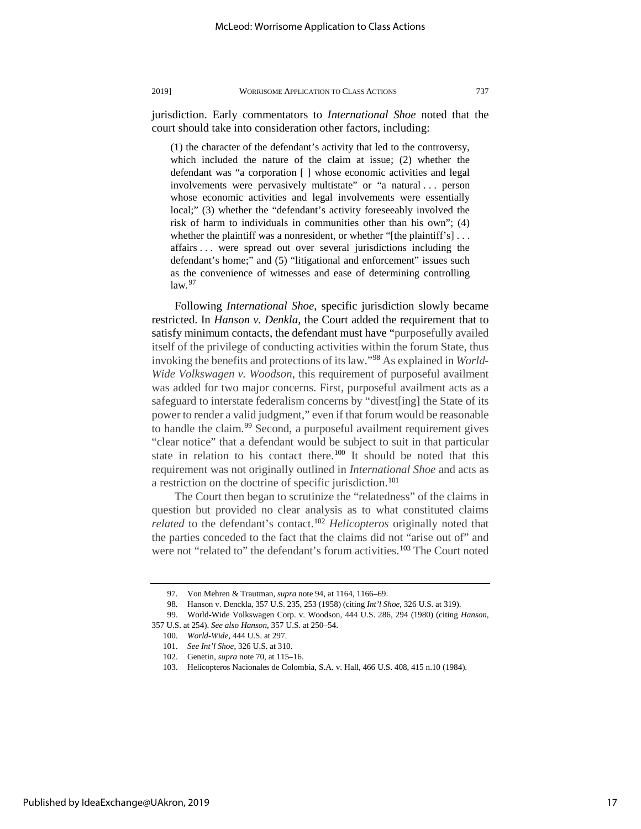jurisdiction. Early commentators to *International Shoe* noted that the court should take into consideration other factors, including:

(1) the character of the defendant's activity that led to the controversy, which included the nature of the claim at issue; (2) whether the defendant was "a corporation [ ] whose economic activities and legal involvements were pervasively multistate" or "a natural . . . person whose economic activities and legal involvements were essentially local;" (3) whether the "defendant's activity foreseeably involved the risk of harm to individuals in communities other than his own"; (4) whether the plaintiff was a nonresident, or whether "[the plaintiff's] ... affairs . . . were spread out over several jurisdictions including the defendant's home;" and (5) "litigational and enforcement" issues such as the convenience of witnesses and ease of determining controlling  $law.<sup>97</sup>$  $law.<sup>97</sup>$  $law.<sup>97</sup>$ 

Following *International Shoe*, specific jurisdiction slowly became restricted. In *Hanson v. Denkla*, the Court added the requirement that to satisfy minimum contacts, the defendant must have "purposefully availed itself of the privilege of conducting activities within the forum State, thus invoking the benefits and protections of its law."[98](#page-17-1) As explained in *World-Wide Volkswagen v. Woodson*, this requirement of purposeful availment was added for two major concerns. First, purposeful availment acts as a safeguard to interstate federalism concerns by "divest[ing] the State of its power to render a valid judgment," even if that forum would be reasonable to handle the claim.<sup>[99](#page-17-2)</sup> Second, a purposeful availment requirement gives "clear notice" that a defendant would be subject to suit in that particular state in relation to his contact there.<sup>100</sup> It should be noted that this requirement was not originally outlined in *International Shoe* and acts as a restriction on the doctrine of specific jurisdiction.<sup>[101](#page-17-4)</sup>

The Court then began to scrutinize the "relatedness" of the claims in question but provided no clear analysis as to what constituted claims *related* to the defendant's contact.[102](#page-17-5) *Helicopteros* originally noted that the parties conceded to the fact that the claims did not "arise out of" and were not "related to" the defendant's forum activities.<sup>[103](#page-17-6)</sup> The Court noted

<sup>97.</sup> Von Mehren & Trautman, *supra* note 94, at 1164, 1166–69.

<sup>98.</sup> Hanson v. Denckla, 357 U.S. 235, 253 (1958) (citing *Int'l Shoe*, 326 U.S. at 319).

<span id="page-17-6"></span><span id="page-17-5"></span><span id="page-17-4"></span><span id="page-17-3"></span><span id="page-17-2"></span><span id="page-17-1"></span><span id="page-17-0"></span><sup>99.</sup> World-Wide Volkswagen Corp. v. Woodson, 444 U.S. 286, 294 (1980) (citing *Hanson*, 357 U.S. at 254). *See also Hanson*, 357 U.S. at 250–54.

<sup>100.</sup> *World-Wide*, 444 U.S. at 297.

<sup>101.</sup> *See Int'l Shoe*, 326 U.S. at 310.

<sup>102.</sup> Genetin, *supra* note 70, at 115–16.

<sup>103.</sup> Helicopteros Nacionales de Colombia, S.A. v. Hall, 466 U.S. 408, 415 n.10 (1984).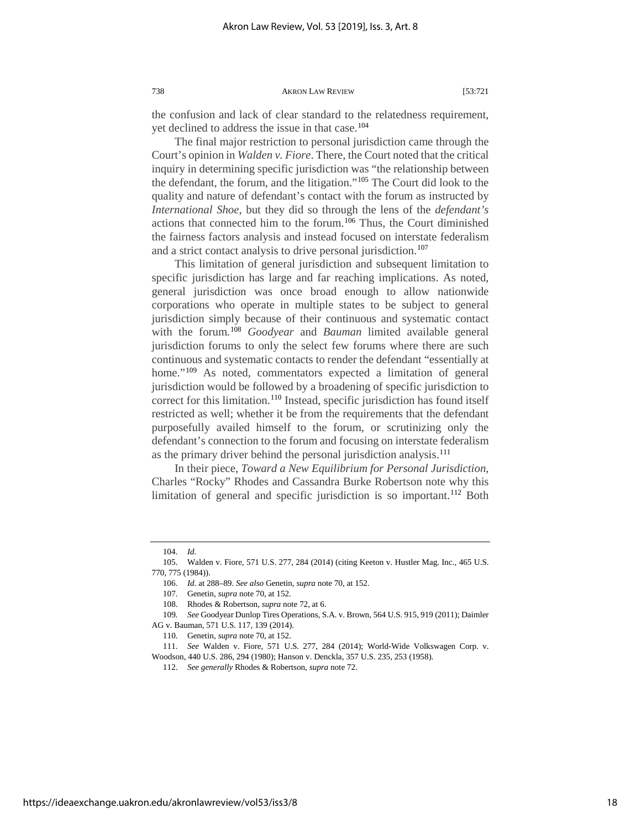the confusion and lack of clear standard to the relatedness requirement, yet declined to address the issue in that case.<sup>[104](#page-18-0)</sup>

The final major restriction to personal jurisdiction came through the Court's opinion in *Walden v. Fiore*. There, the Court noted that the critical inquiry in determining specific jurisdiction was "the relationship between the defendant, the forum, and the litigation."[105](#page-18-1) The Court did look to the quality and nature of defendant's contact with the forum as instructed by *International Shoe*, but they did so through the lens of the *defendant's*  actions that connected him to the forum.[106](#page-18-2) Thus, the Court diminished the fairness factors analysis and instead focused on interstate federalism and a strict contact analysis to drive personal jurisdiction.<sup>[107](#page-18-3)</sup>

This limitation of general jurisdiction and subsequent limitation to specific jurisdiction has large and far reaching implications. As noted, general jurisdiction was once broad enough to allow nationwide corporations who operate in multiple states to be subject to general jurisdiction simply because of their continuous and systematic contact with the forum.[108](#page-18-4) *Goodyear* and *Bauman* limited available general jurisdiction forums to only the select few forums where there are such continuous and systematic contacts to render the defendant "essentially at home."<sup>[109](#page-18-5)</sup> As noted, commentators expected a limitation of general jurisdiction would be followed by a broadening of specific jurisdiction to correct for this limitation.<sup>[110](#page-18-6)</sup> Instead, specific jurisdiction has found itself restricted as well; whether it be from the requirements that the defendant purposefully availed himself to the forum, or scrutinizing only the defendant's connection to the forum and focusing on interstate federalism as the primary driver behind the personal jurisdiction analysis.<sup>[111](#page-18-7)</sup>

In their piece, *Toward a New Equilibrium for Personal Jurisdiction*, Charles "Rocky" Rhodes and Cassandra Burke Robertson note why this limitation of general and specific jurisdiction is so important.<sup>112</sup> Both

<sup>104.</sup> *Id.* 

<span id="page-18-2"></span><span id="page-18-1"></span><span id="page-18-0"></span><sup>105.</sup> Walden v. Fiore, 571 U.S. 277, 284 (2014) (citing Keeton v. Hustler Mag. Inc., 465 U.S. 770, 775 (1984)).

<sup>106.</sup> *Id.* at 288–89. *See also* Genetin, *supra* note 70, at 152.

<sup>107.</sup> Genetin, *supra* note 70, at 152.

<sup>108.</sup> Rhodes & Robertson, *supra* note 72, at 6.

<span id="page-18-5"></span><span id="page-18-4"></span><span id="page-18-3"></span><sup>109</sup>*. See* Goodyear Dunlop Tires Operations, S.A. v. Brown, 564 U.S. 915, 919 (2011); Daimler AG v. Bauman, 571 U.S. 117, 139 (2014).

<sup>110.</sup> Genetin, *supra* note 70, at 152.

<span id="page-18-8"></span><span id="page-18-7"></span><span id="page-18-6"></span><sup>111.</sup> *See* Walden v. Fiore, 571 U.S. 277, 284 (2014); World-Wide Volkswagen Corp. v. Woodson, 440 U.S. 286, 294 (1980); Hanson v. Denckla, 357 U.S. 235, 253 (1958).

<sup>112.</sup> *See generally* Rhodes & Robertson, *supra* note 72.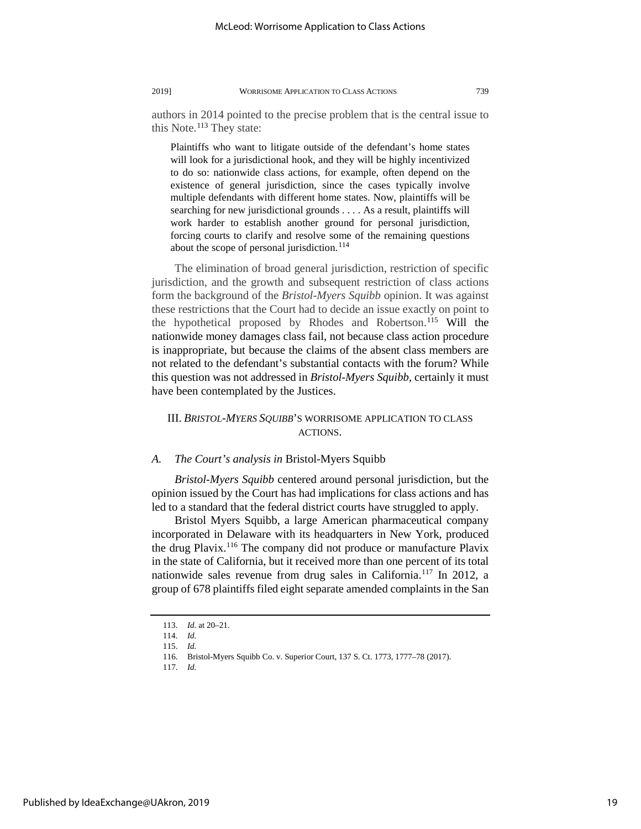authors in 2014 pointed to the precise problem that is the central issue to this Note. $113$  They state:

Plaintiffs who want to litigate outside of the defendant's home states will look for a jurisdictional hook, and they will be highly incentivized to do so: nationwide class actions, for example, often depend on the existence of general jurisdiction, since the cases typically involve multiple defendants with different home states. Now, plaintiffs will be searching for new jurisdictional grounds . . . . As a result, plaintiffs will work harder to establish another ground for personal jurisdiction, forcing courts to clarify and resolve some of the remaining questions about the scope of personal jurisdiction.<sup>[114](#page-19-1)</sup>

The elimination of broad general jurisdiction, restriction of specific jurisdiction, and the growth and subsequent restriction of class actions form the background of the *Bristol-Myers Squibb* opinion. It was against these restrictions that the Court had to decide an issue exactly on point to the hypothetical proposed by Rhodes and Robertson.<sup>[115](#page-19-2)</sup> Will the nationwide money damages class fail, not because class action procedure is inappropriate, but because the claims of the absent class members are not related to the defendant's substantial contacts with the forum? While this question was not addressed in *Bristol-Myers Squibb*, certainly it must have been contemplated by the Justices.

## III. *BRISTOL-MYERS SQUIBB*'S WORRISOME APPLICATION TO CLASS ACTIONS.

#### *A. The Court's analysis in* Bristol-Myers Squibb

*Bristol-Myers Squibb* centered around personal jurisdiction, but the opinion issued by the Court has had implications for class actions and has led to a standard that the federal district courts have struggled to apply.

Bristol Myers Squibb, a large American pharmaceutical company incorporated in Delaware with its headquarters in New York, produced the drug Plavix.[116](#page-19-3) The company did not produce or manufacture Plavix in the state of California, but it received more than one percent of its total nationwide sales revenue from drug sales in California.<sup>[117](#page-19-4)</sup> In 2012, a group of 678 plaintiffs filed eight separate amended complaints in the San

<sup>113.</sup> *Id.* at 20–21.

<sup>114.</sup> *Id.*

<sup>115.</sup> *Id.*

<span id="page-19-4"></span><span id="page-19-3"></span><span id="page-19-2"></span><span id="page-19-1"></span><span id="page-19-0"></span><sup>116.</sup> Bristol-Myers Squibb Co. v. Superior Court, 137 S. Ct. 1773, 1777–78 (2017).

<sup>117.</sup> *Id.*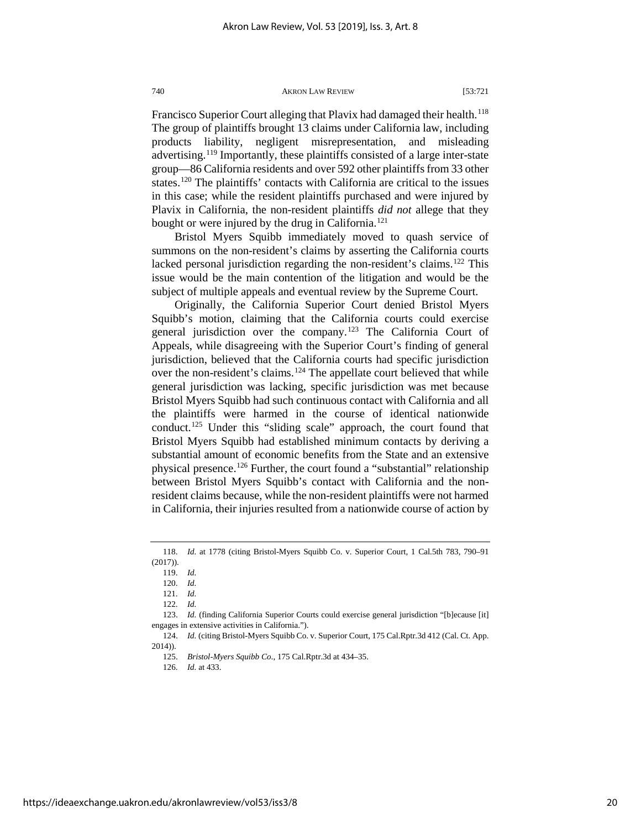Francisco Superior Court alleging that Plavix had damaged their health.<sup>118</sup> The group of plaintiffs brought 13 claims under California law, including products liability, negligent misrepresentation, and misleading advertising.[119](#page-20-1) Importantly, these plaintiffs consisted of a large inter-state group—86 California residents and over 592 other plaintiffs from 33 other states.[120](#page-20-2) The plaintiffs' contacts with California are critical to the issues in this case; while the resident plaintiffs purchased and were injured by Plavix in California, the non-resident plaintiffs *did not* allege that they bought or were injured by the drug in California.<sup>[121](#page-20-3)</sup>

Bristol Myers Squibb immediately moved to quash service of summons on the non-resident's claims by asserting the California courts lacked personal jurisdiction regarding the non-resident's claims.<sup>[122](#page-20-4)</sup> This issue would be the main contention of the litigation and would be the subject of multiple appeals and eventual review by the Supreme Court.

Originally, the California Superior Court denied Bristol Myers Squibb's motion, claiming that the California courts could exercise general jurisdiction over the company.<sup>[123](#page-20-5)</sup> The California Court of Appeals, while disagreeing with the Superior Court's finding of general jurisdiction, believed that the California courts had specific jurisdiction over the non-resident's claims.<sup>[124](#page-20-6)</sup> The appellate court believed that while general jurisdiction was lacking, specific jurisdiction was met because Bristol Myers Squibb had such continuous contact with California and all the plaintiffs were harmed in the course of identical nationwide conduct.[125](#page-20-7) Under this "sliding scale" approach, the court found that Bristol Myers Squibb had established minimum contacts by deriving a substantial amount of economic benefits from the State and an extensive physical presence.<sup>126</sup> Further, the court found a "substantial" relationship between Bristol Myers Squibb's contact with California and the nonresident claims because, while the non-resident plaintiffs were not harmed in California, their injuries resulted from a nationwide course of action by

<span id="page-20-5"></span><span id="page-20-4"></span><span id="page-20-3"></span>123. *Id.* (finding California Superior Courts could exercise general jurisdiction "[b]ecause [it] engages in extensive activities in California.").

<span id="page-20-2"></span><span id="page-20-1"></span><span id="page-20-0"></span><sup>118.</sup> *Id.* at 1778 (citing Bristol-Myers Squibb Co. v. Superior Court, 1 Cal.5th 783, 790–91 (2017)).

<sup>119.</sup> *Id.*

<sup>120.</sup> *Id.*

<sup>121.</sup> *Id.*

<sup>122.</sup> *Id.*

<span id="page-20-8"></span><span id="page-20-7"></span><span id="page-20-6"></span><sup>124.</sup> *Id.* (citing Bristol-Myers Squibb Co. v. Superior Court, 175 Cal.Rptr.3d 412 (Cal. Ct. App. 2014)).

<sup>125.</sup> *Bristol-Myers Squibb Co*., 175 Cal.Rptr.3d at 434–35.

<sup>126.</sup> *Id.* at 433.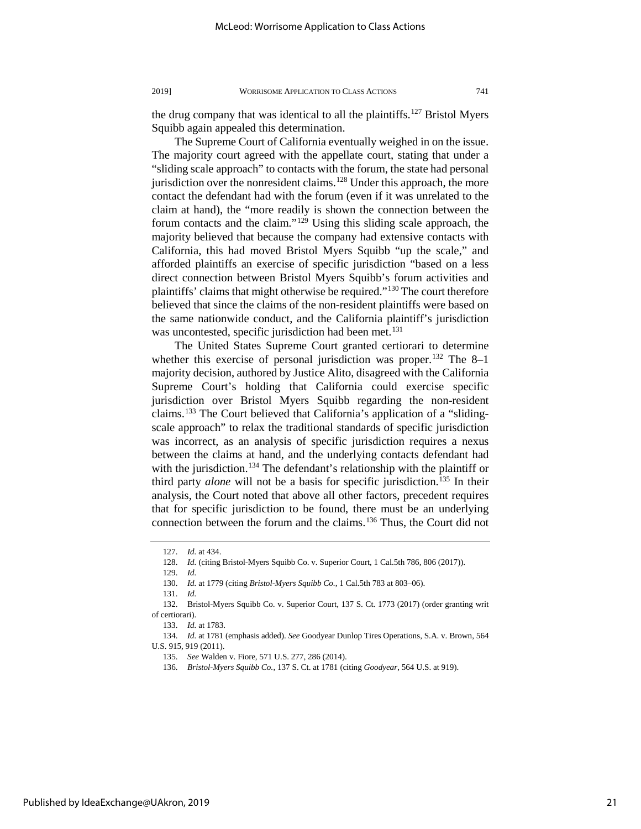the drug company that was identical to all the plaintiffs.<sup>[127](#page-21-0)</sup> Bristol Myers Squibb again appealed this determination.

The Supreme Court of California eventually weighed in on the issue. The majority court agreed with the appellate court, stating that under a "sliding scale approach" to contacts with the forum, the state had personal jurisdiction over the nonresident claims.<sup>128</sup> Under this approach, the more contact the defendant had with the forum (even if it was unrelated to the claim at hand), the "more readily is shown the connection between the forum contacts and the claim."[129](#page-21-2) Using this sliding scale approach, the majority believed that because the company had extensive contacts with California, this had moved Bristol Myers Squibb "up the scale," and afforded plaintiffs an exercise of specific jurisdiction "based on a less direct connection between Bristol Myers Squibb's forum activities and plaintiffs' claims that might otherwise be required."<sup>[130](#page-21-3)</sup> The court therefore believed that since the claims of the non-resident plaintiffs were based on the same nationwide conduct, and the California plaintiff's jurisdiction was uncontested, specific jurisdiction had been met.<sup>[131](#page-21-4)</sup>

The United States Supreme Court granted certiorari to determine whether this exercise of personal jurisdiction was proper.<sup>[132](#page-21-5)</sup> The 8–1 majority decision, authored by Justice Alito, disagreed with the California Supreme Court's holding that California could exercise specific jurisdiction over Bristol Myers Squibb regarding the non-resident claims.[133](#page-21-6) The Court believed that California's application of a "slidingscale approach" to relax the traditional standards of specific jurisdiction was incorrect, as an analysis of specific jurisdiction requires a nexus between the claims at hand, and the underlying contacts defendant had with the jurisdiction.<sup>134</sup> The defendant's relationship with the plaintiff or third party *alone* will not be a basis for specific jurisdiction.<sup>[135](#page-21-8)</sup> In their analysis, the Court noted that above all other factors, precedent requires that for specific jurisdiction to be found, there must be an underlying connection between the forum and the claims.[136](#page-21-9) Thus, the Court did not

<sup>127.</sup> *Id.* at 434.

<sup>128.</sup> *Id.* (citing Bristol-Myers Squibb Co. v. Superior Court, 1 Cal.5th 786, 806 (2017)).

<sup>129.</sup> *Id.*

<sup>130.</sup> *Id.* at 1779 (citing *Bristol-Myers Squibb Co.*, 1 Cal.5th 783 at 803–06).

<sup>131.</sup> *Id.*

<span id="page-21-6"></span><span id="page-21-5"></span><span id="page-21-4"></span><span id="page-21-3"></span><span id="page-21-2"></span><span id="page-21-1"></span><span id="page-21-0"></span><sup>132.</sup> Bristol-Myers Squibb Co. v. Superior Court, 137 S. Ct. 1773 (2017) (order granting writ of certiorari).

<sup>133.</sup> *Id.* at 1783.

<span id="page-21-9"></span><span id="page-21-8"></span><span id="page-21-7"></span><sup>134.</sup> *Id.* at 1781 (emphasis added). *See* Goodyear Dunlop Tires Operations, S.A. v. Brown, 564 U.S. 915, 919 (2011).

<sup>135.</sup> *See* Walden v. Fiore, 571 U.S. 277, 286 (2014).

<sup>136.</sup> *Bristol-Myers Squibb Co.*, 137 S. Ct. at 1781 (citing *Goodyear*, 564 U.S. at 919).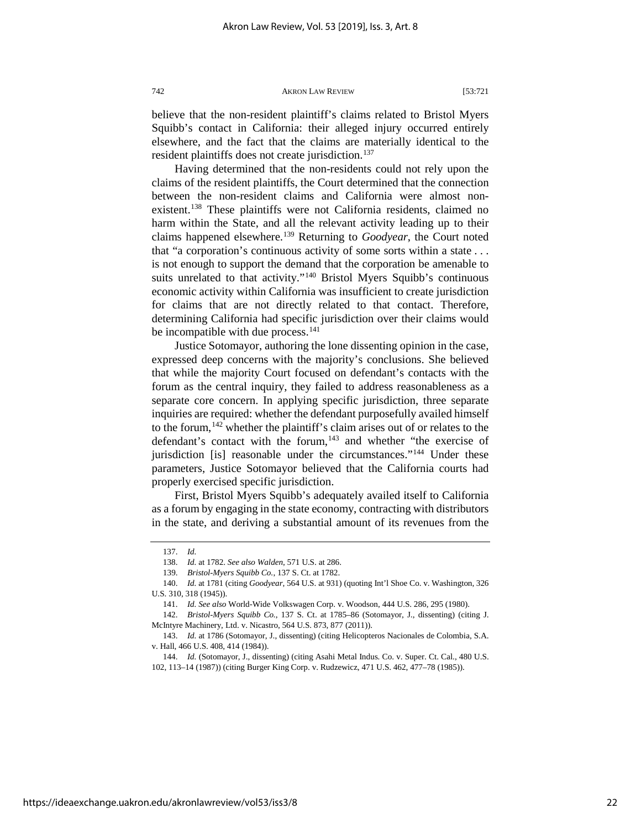believe that the non-resident plaintiff's claims related to Bristol Myers Squibb's contact in California: their alleged injury occurred entirely elsewhere, and the fact that the claims are materially identical to the resident plaintiffs does not create jurisdiction.<sup>[137](#page-22-0)</sup>

Having determined that the non-residents could not rely upon the claims of the resident plaintiffs, the Court determined that the connection between the non-resident claims and California were almost nonexistent.<sup>138</sup> These plaintiffs were not California residents, claimed no harm within the State, and all the relevant activity leading up to their claims happened elsewhere.[139](#page-22-2) Returning to *Goodyear*, the Court noted that "a corporation's continuous activity of some sorts within a state . . . is not enough to support the demand that the corporation be amenable to suits unrelated to that activity."<sup>[140](#page-22-3)</sup> Bristol Myers Squibb's continuous economic activity within California was insufficient to create jurisdiction for claims that are not directly related to that contact. Therefore, determining California had specific jurisdiction over their claims would be incompatible with due process.<sup>141</sup>

Justice Sotomayor, authoring the lone dissenting opinion in the case, expressed deep concerns with the majority's conclusions. She believed that while the majority Court focused on defendant's contacts with the forum as the central inquiry, they failed to address reasonableness as a separate core concern. In applying specific jurisdiction, three separate inquiries are required: whether the defendant purposefully availed himself to the forum, <sup>[142](#page-22-5)</sup> whether the plaintiff's claim arises out of or relates to the defendant's contact with the forum,<sup>[143](#page-22-6)</sup> and whether "the exercise of jurisdiction [is] reasonable under the circumstances."<sup>[144](#page-22-7)</sup> Under these parameters, Justice Sotomayor believed that the California courts had properly exercised specific jurisdiction.

First, Bristol Myers Squibb's adequately availed itself to California as a forum by engaging in the state economy, contracting with distributors in the state, and deriving a substantial amount of its revenues from the

<sup>137.</sup> *Id.*

<sup>138.</sup> *Id.* at 1782. *See also Walden*, 571 U.S. at 286.

<sup>139.</sup> *Bristol-Myers Squibb Co.*, 137 S. Ct. at 1782.

<span id="page-22-3"></span><span id="page-22-2"></span><span id="page-22-1"></span><span id="page-22-0"></span><sup>140.</sup> *Id.* at 1781 (citing *Goodyear*, 564 U.S. at 931) (quoting Int'l Shoe Co. v. Washington, 326 U.S. 310, 318 (1945)).

<sup>141.</sup> *Id. See also* World-Wide Volkswagen Corp. v. Woodson, 444 U.S. 286, 295 (1980).

<span id="page-22-5"></span><span id="page-22-4"></span><sup>142.</sup> *Bristol-Myers Squibb Co.*, 137 S. Ct. at 1785–86 (Sotomayor, J., dissenting) (citing J. McIntyre Machinery, Ltd. v. Nicastro, 564 U.S. 873, 877 (2011)).

<span id="page-22-6"></span><sup>143.</sup> *Id.* at 1786 (Sotomayor, J., dissenting) (citing Helicopteros Nacionales de Colombia, S.A. v. Hall, 466 U.S. 408, 414 (1984)).

<span id="page-22-7"></span><sup>144.</sup> *Id.* (Sotomayor, J., dissenting) (citing Asahi Metal Indus. Co. v. Super. Ct. Cal., 480 U.S. 102, 113–14 (1987)) (citing Burger King Corp. v. Rudzewicz, 471 U.S. 462, 477–78 (1985)).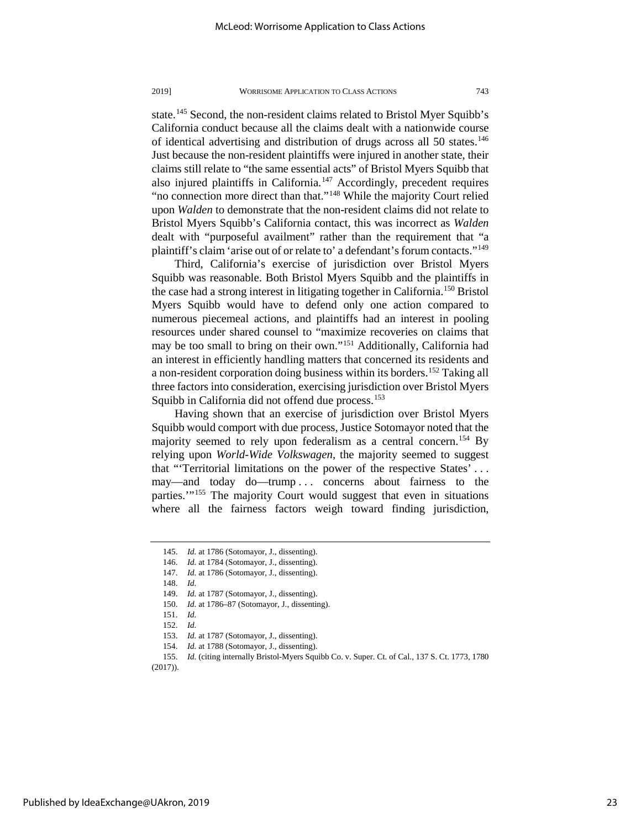state.<sup>145</sup> Second, the non-resident claims related to Bristol Myer Squibb's California conduct because all the claims dealt with a nationwide course of identical advertising and distribution of drugs across all 50 states.<sup>146</sup> Just because the non-resident plaintiffs were injured in another state, their claims still relate to "the same essential acts" of Bristol Myers Squibb that also injured plaintiffs in California.[147](#page-23-2) Accordingly, precedent requires "no connection more direct than that."<sup>[148](#page-23-3)</sup> While the majority Court relied upon *Walden* to demonstrate that the non-resident claims did not relate to Bristol Myers Squibb's California contact, this was incorrect as *Walden*  dealt with "purposeful availment" rather than the requirement that "a plaintiff's claim 'arise out of or relate to' a defendant's forum contacts.["149](#page-23-4)

Third, California's exercise of jurisdiction over Bristol Myers Squibb was reasonable. Both Bristol Myers Squibb and the plaintiffs in the case had a strong interest in litigating together in California.<sup>[150](#page-23-5)</sup> Bristol Myers Squibb would have to defend only one action compared to numerous piecemeal actions, and plaintiffs had an interest in pooling resources under shared counsel to "maximize recoveries on claims that may be too small to bring on their own."[151](#page-23-6) Additionally, California had an interest in efficiently handling matters that concerned its residents and a non-resident corporation doing business within its borders[.152](#page-23-7) Taking all three factors into consideration, exercising jurisdiction over Bristol Myers Squibb in California did not offend due process.<sup>153</sup>

Having shown that an exercise of jurisdiction over Bristol Myers Squibb would comport with due process, Justice Sotomayor noted that the majority seemed to rely upon federalism as a central concern.<sup>154</sup> By relying upon *World-Wide Volkswagen*, the majority seemed to suggest that "'Territorial limitations on the power of the respective States' . . . may—and today do—trump . . . concerns about fairness to the parties.'"[155](#page-23-10) The majority Court would suggest that even in situations where all the fairness factors weigh toward finding jurisdiction,

150. *Id.* at 1786–87 (Sotomayor, J., dissenting).

154. *Id.* at 1788 (Sotomayor, J., dissenting).

<span id="page-23-1"></span><span id="page-23-0"></span><sup>145.</sup> *Id.* at 1786 (Sotomayor, J., dissenting).

<sup>146.</sup> *Id.* at 1784 (Sotomayor, J., dissenting).

<sup>147.</sup> *Id.* at 1786 (Sotomayor, J., dissenting).

<span id="page-23-4"></span><span id="page-23-3"></span><span id="page-23-2"></span><sup>148.</sup> *Id.* 

<sup>149.</sup> *Id.* at 1787 (Sotomayor, J., dissenting).

<sup>151.</sup> *Id.* 

<sup>152.</sup> *Id.* 

<sup>153.</sup> *Id.* at 1787 (Sotomayor, J., dissenting).

<span id="page-23-10"></span><span id="page-23-9"></span><span id="page-23-8"></span><span id="page-23-7"></span><span id="page-23-6"></span><span id="page-23-5"></span><sup>155.</sup> *Id.* (citing internally Bristol-Myers Squibb Co. v. Super. Ct. of Cal., 137 S. Ct. 1773, 1780 (2017)).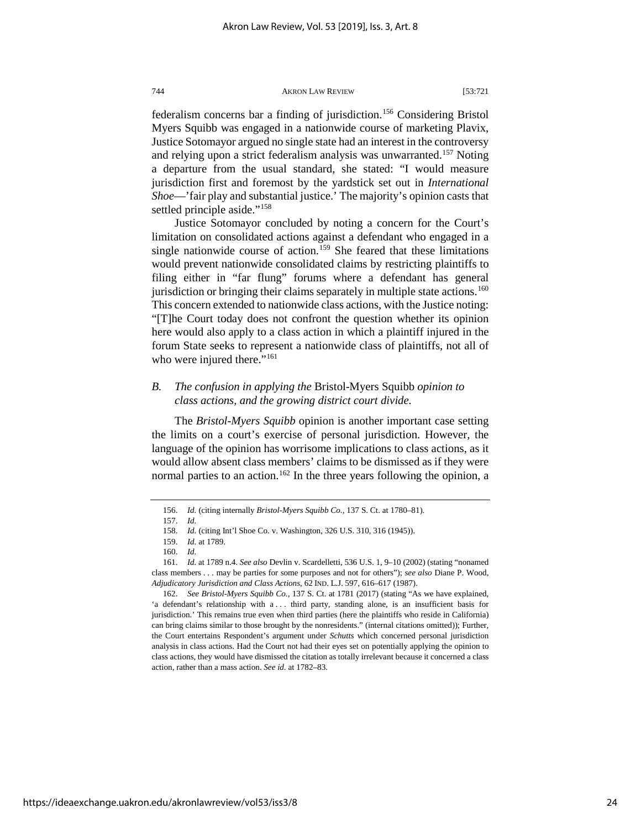federalism concerns bar a finding of jurisdiction.[156](#page-24-0) Considering Bristol Myers Squibb was engaged in a nationwide course of marketing Plavix, Justice Sotomayor argued no single state had an interest in the controversy and relying upon a strict federalism analysis was unwarranted.<sup>[157](#page-24-1)</sup> Noting a departure from the usual standard, she stated: "I would measure jurisdiction first and foremost by the yardstick set out in *International Shoe*—'fair play and substantial justice.' The majority's opinion casts that settled principle aside."<sup>[158](#page-24-2)</sup>

Justice Sotomayor concluded by noting a concern for the Court's limitation on consolidated actions against a defendant who engaged in a single nationwide course of action.<sup>[159](#page-24-3)</sup> She feared that these limitations would prevent nationwide consolidated claims by restricting plaintiffs to filing either in "far flung" forums where a defendant has general jurisdiction or bringing their claims separately in multiple state actions.<sup>160</sup> This concern extended to nationwide class actions, with the Justice noting: "[T]he Court today does not confront the question whether its opinion here would also apply to a class action in which a plaintiff injured in the forum State seeks to represent a nationwide class of plaintiffs, not all of who were injured there."<sup>[161](#page-24-5)</sup>

## *B. The confusion in applying the* Bristol-Myers Squibb *opinion to class actions, and the growing district court divide.*

The *Bristol-Myers Squibb* opinion is another important case setting the limits on a court's exercise of personal jurisdiction. However, the language of the opinion has worrisome implications to class actions, as it would allow absent class members' claims to be dismissed as if they were normal parties to an action.<sup>[162](#page-24-6)</sup> In the three years following the opinion, a

<sup>156.</sup> *Id.* (citing internally *Bristol-Myers Squibb Co.*, 137 S. Ct. at 1780–81).

<sup>157.</sup> *Id.* 

<sup>158.</sup> *Id.* (citing Int'l Shoe Co. v. Washington, 326 U.S. 310, 316 (1945)).

<sup>159.</sup> *Id.* at 1789.

<sup>160.</sup> *Id.*

<span id="page-24-5"></span><span id="page-24-4"></span><span id="page-24-3"></span><span id="page-24-2"></span><span id="page-24-1"></span><span id="page-24-0"></span><sup>161.</sup> *Id.* at 1789 n.4. *See also* Devlin v. Scardelletti, 536 U.S. 1, 9–10 (2002) (stating "nonamed class members . . . may be parties for some purposes and not for others"); *see also* Diane P. Wood, *Adjudicatory Jurisdiction and Class Actions*, 62 IND. L.J. 597, 616–617 (1987).

<span id="page-24-6"></span><sup>162.</sup> *See Bristol-Myers Squibb Co.*, 137 S. Ct. at 1781 (2017) (stating "As we have explained, 'a defendant's relationship with a ... third party, standing alone, is an insufficient basis for jurisdiction.' This remains true even when third parties (here the plaintiffs who reside in California) can bring claims similar to those brought by the nonresidents." (internal citations omitted)); Further, the Court entertains Respondent's argument under *Schutts* which concerned personal jurisdiction analysis in class actions. Had the Court not had their eyes set on potentially applying the opinion to class actions, they would have dismissed the citation as totally irrelevant because it concerned a class action, rather than a mass action. *See id.* at 1782–83.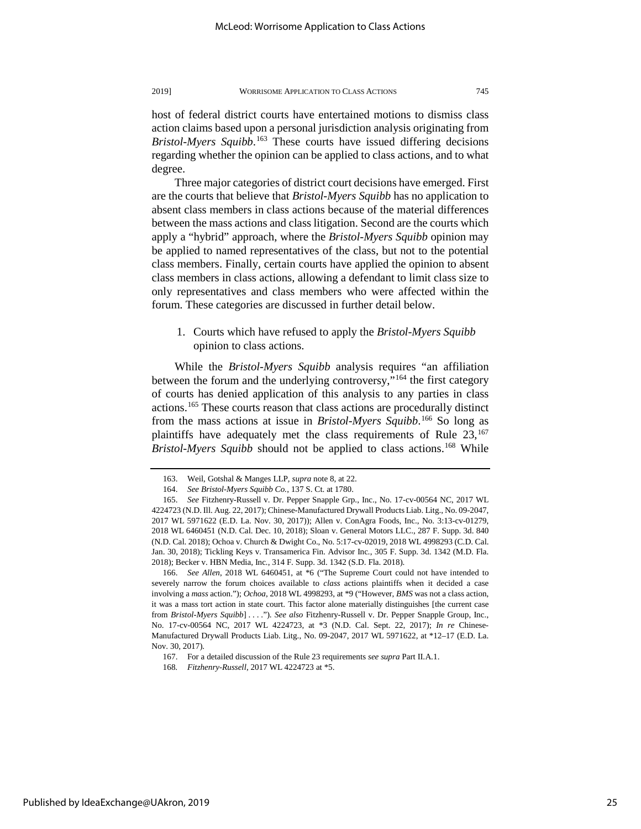degree.

host of federal district courts have entertained motions to dismiss class action claims based upon a personal jurisdiction analysis originating from *Bristol-Myers Squibb*. [163](#page-25-0) These courts have issued differing decisions regarding whether the opinion can be applied to class actions, and to what

Three major categories of district court decisions have emerged. First are the courts that believe that *Bristol-Myers Squibb* has no application to absent class members in class actions because of the material differences between the mass actions and class litigation. Second are the courts which apply a "hybrid" approach, where the *Bristol-Myers Squibb* opinion may be applied to named representatives of the class, but not to the potential class members. Finally, certain courts have applied the opinion to absent class members in class actions, allowing a defendant to limit class size to only representatives and class members who were affected within the forum. These categories are discussed in further detail below.

1. Courts which have refused to apply the *Bristol-Myers Squibb* opinion to class actions.

While the *Bristol-Myers Squibb* analysis requires "an affiliation between the forum and the underlying controversy,"<sup>[164](#page-25-1)</sup> the first category of courts has denied application of this analysis to any parties in class actions[.165](#page-25-2) These courts reason that class actions are procedurally distinct from the mass actions at issue in *Bristol-Myers Squibb*. [166](#page-25-3) So long as plaintiffs have adequately met the class requirements of Rule  $23$ ,  $167$ *Bristol-Myers Squibb* should not be applied to class actions.<sup>[168](#page-25-5)</sup> While

<span id="page-25-3"></span>166. *See Allen*, 2018 WL 6460451, at \*6 ("The Supreme Court could not have intended to severely narrow the forum choices available to *class* actions plaintiffs when it decided a case involving a *mass* action."); *Ochoa*, 2018 WL 4998293, at \*9 ("However, *BMS* was not a class action, it was a mass tort action in state court. This factor alone materially distinguishes [the current case from *Bristol-Myers Squibb*] . . . ."). *See also* Fitzhenry-Russell v. Dr. Pepper Snapple Group, Inc., No. 17-cv-00564 NC, 2017 WL 4224723, at \*3 (N.D. Cal. Sept. 22, 2017); *In re* Chinese-Manufactured Drywall Products Liab. Litg., No. 09-2047, 2017 WL 5971622, at \*12–17 (E.D. La. Nov. 30, 2017).

<span id="page-25-5"></span><span id="page-25-4"></span>Published by IdeaExchange@UAkron, 2019

<sup>163.</sup> Weil, Gotshal & Manges LLP, *supra* note 8, at 22.

<sup>164.</sup> *See Bristol-Myers Squibb Co.*, 137 S. Ct. at 1780.

<span id="page-25-2"></span><span id="page-25-1"></span><span id="page-25-0"></span><sup>165.</sup> *See* Fitzhenry-Russell v. Dr. Pepper Snapple Grp., Inc., No. 17-cv-00564 NC, 2017 WL 4224723 (N.D. Ill. Aug. 22, 2017); Chinese-Manufactured Drywall Products Liab. Litg., No. 09-2047, 2017 WL 5971622 (E.D. La. Nov. 30, 2017)); Allen v. ConAgra Foods, Inc., No. 3:13-cv-01279, 2018 WL 6460451 (N.D. Cal. Dec. 10, 2018); Sloan v. General Motors LLC., 287 F. Supp. 3d. 840 (N.D. Cal. 2018); Ochoa v. Church & Dwight Co., No. 5:17-cv-02019, 2018 WL 4998293 (C.D. Cal. Jan. 30, 2018); Tickling Keys v. Transamerica Fin. Advisor Inc*.*, 305 F. Supp. 3d. 1342 (M.D. Fla. 2018); Becker v. HBN Media, Inc*.*, 314 F. Supp. 3d. 1342 (S.D. Fla. 2018).

<sup>167.</sup> For a detailed discussion of the Rule 23 requirements *see supra* Part II.A.1.

<sup>168</sup>*. Fitzhenry-Russell*, 2017 WL 4224723 at \*5.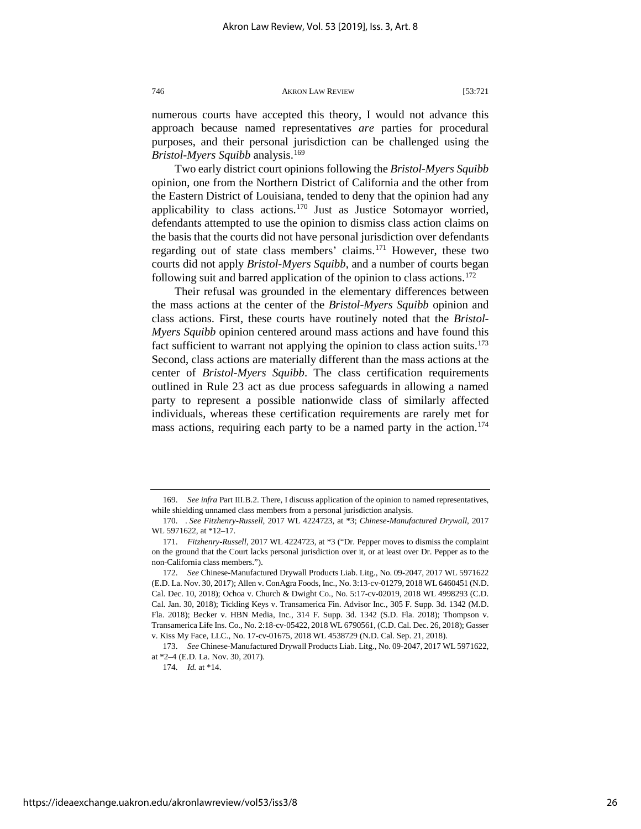numerous courts have accepted this theory, I would not advance this approach because named representatives *are* parties for procedural purposes, and their personal jurisdiction can be challenged using the *Bristol-Myers Squibb* analysis.[169](#page-26-0)

Two early district court opinions following the *Bristol-Myers Squibb*  opinion, one from the Northern District of California and the other from the Eastern District of Louisiana, tended to deny that the opinion had any applicability to class actions.<sup>[170](#page-26-1)</sup> Just as Justice Sotomayor worried, defendants attempted to use the opinion to dismiss class action claims on the basis that the courts did not have personal jurisdiction over defendants regarding out of state class members' claims.[171](#page-26-2) However, these two courts did not apply *Bristol-Myers Squibb*, and a number of courts began following suit and barred application of the opinion to class actions.<sup>[172](#page-26-3)</sup>

Their refusal was grounded in the elementary differences between the mass actions at the center of the *Bristol-Myers Squibb* opinion and class actions. First, these courts have routinely noted that the *Bristol-Myers Squibb* opinion centered around mass actions and have found this fact sufficient to warrant not applying the opinion to class action suits.<sup>173</sup> Second, class actions are materially different than the mass actions at the center of *Bristol-Myers Squibb*. The class certification requirements outlined in Rule 23 act as due process safeguards in allowing a named party to represent a possible nationwide class of similarly affected individuals, whereas these certification requirements are rarely met for mass actions, requiring each party to be a named party in the action.<sup>174</sup>

<span id="page-26-0"></span><sup>169.</sup> *See infra* Part III.B.2. There, I discuss application of the opinion to named representatives, while shielding unnamed class members from a personal jurisdiction analysis.

<span id="page-26-1"></span><sup>170. .</sup> *See Fitzhenry-Russell*, 2017 WL 4224723, at \*3; *Chinese-Manufactured Drywall*, 2017 WL 5971622, at \*12–17.

<span id="page-26-2"></span><sup>171.</sup> *Fitzhenry-Russell*, 2017 WL 4224723, at \*3 ("Dr. Pepper moves to dismiss the complaint on the ground that the Court lacks personal jurisdiction over it, or at least over Dr. Pepper as to the non-California class members.").

<span id="page-26-3"></span><sup>172.</sup> *See* Chinese-Manufactured Drywall Products Liab. Litg., No. 09-2047, 2017 WL 5971622 (E.D. La. Nov. 30, 2017); Allen v. ConAgra Foods, Inc., No. 3:13-cv-01279, 2018 WL 6460451 (N.D. Cal. Dec. 10, 2018); Ochoa v. Church & Dwight Co., No. 5:17-cv-02019, 2018 WL 4998293 (C.D. Cal. Jan. 30, 2018); Tickling Keys v. Transamerica Fin. Advisor Inc*.*, 305 F. Supp. 3d. 1342 (M.D. Fla. 2018); Becker v. HBN Media, Inc*.*, 314 F. Supp. 3d. 1342 (S.D. Fla. 2018); Thompson v. Transamerica Life Ins. Co., No. 2:18-cv-05422, 2018 WL 6790561, (C.D. Cal. Dec. 26, 2018); Gasser v. Kiss My Face, LLC., No. 17-cv-01675, 2018 WL 4538729 (N.D. Cal. Sep. 21, 2018).

<span id="page-26-5"></span><span id="page-26-4"></span><sup>173.</sup> *See* Chinese-Manufactured Drywall Products Liab. Litg., No. 09-2047, 2017 WL 5971622, at \*2–4 (E.D. La. Nov. 30, 2017).

<sup>174.</sup> *Id.* at \*14.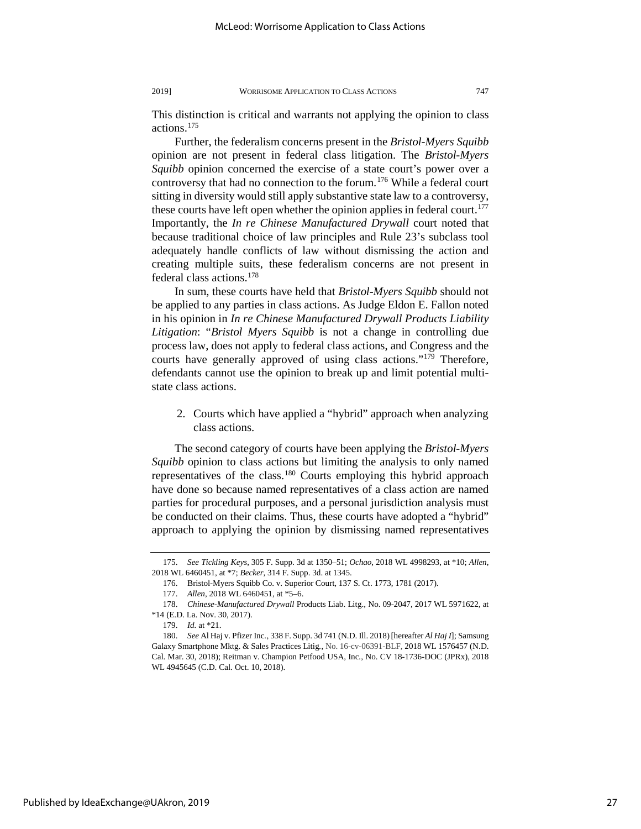This distinction is critical and warrants not applying the opinion to class actions[.175](#page-27-0)

Further, the federalism concerns present in the *Bristol-Myers Squibb*  opinion are not present in federal class litigation. The *Bristol-Myers Squibb* opinion concerned the exercise of a state court's power over a controversy that had no connection to the forum.[176](#page-27-1) While a federal court sitting in diversity would still apply substantive state law to a controversy, these courts have left open whether the opinion applies in federal court.<sup>177</sup> Importantly, the *In re Chinese Manufactured Drywall* court noted that because traditional choice of law principles and Rule 23's subclass tool adequately handle conflicts of law without dismissing the action and creating multiple suits, these federalism concerns are not present in federal class actions.[178](#page-27-3)

In sum, these courts have held that *Bristol-Myers Squibb* should not be applied to any parties in class actions. As Judge Eldon E. Fallon noted in his opinion in *In re Chinese Manufactured Drywall Products Liability Litigation*: "*Bristol Myers Squibb* is not a change in controlling due process law, does not apply to federal class actions, and Congress and the courts have generally approved of using class actions."<sup>[179](#page-27-4)</sup> Therefore, defendants cannot use the opinion to break up and limit potential multistate class actions.

2. Courts which have applied a "hybrid" approach when analyzing class actions.

The second category of courts have been applying the *Bristol-Myers Squibb* opinion to class actions but limiting the analysis to only named representatives of the class.[180](#page-27-5) Courts employing this hybrid approach have done so because named representatives of a class action are named parties for procedural purposes, and a personal jurisdiction analysis must be conducted on their claims. Thus, these courts have adopted a "hybrid" approach to applying the opinion by dismissing named representatives

<span id="page-27-1"></span><span id="page-27-0"></span><sup>175.</sup> *See Tickling Keys*, 305 F. Supp. 3d at 1350–51; *Ochao*, 2018 WL 4998293, at \*10; *Allen*, 2018 WL 6460451, at \*7; *Becker*, 314 F. Supp. 3d. at 1345.

<sup>176.</sup> Bristol-Myers Squibb Co. v. Superior Court, 137 S. Ct. 1773, 1781 (2017).

<sup>177.</sup> *Allen*, 2018 WL 6460451, at \*5–6.

<span id="page-27-3"></span><span id="page-27-2"></span><sup>178.</sup> *Chinese-Manufactured Drywall* Products Liab. Litg., No. 09-2047, 2017 WL 5971622, at \*14 (E.D. La. Nov. 30, 2017).

<sup>179.</sup> *Id.* at \*21.

<span id="page-27-5"></span><span id="page-27-4"></span><sup>180.</sup> *See* Al Haj v. Pfizer Inc*.*, 338 F. Supp. 3d 741 (N.D. Ill. 2018) [hereafter *Al Haj I*]; Samsung Galaxy Smartphone Mktg. & Sales Practices Litig*.*, No. 16-cv-06391-BLF, 2018 WL 1576457 (N.D. Cal. Mar. 30, 2018); Reitman v. Champion Petfood USA, Inc*.*, No. CV 18-1736-DOC (JPRx), 2018 WL 4945645 (C.D. Cal. Oct. 10, 2018).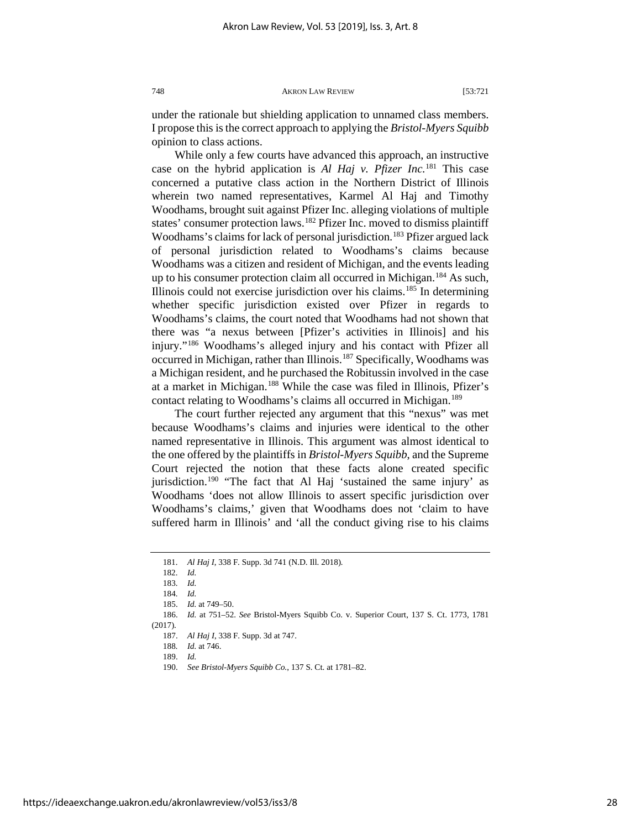under the rationale but shielding application to unnamed class members. I propose this is the correct approach to applying the *Bristol-Myers Squibb*  opinion to class actions.

While only a few courts have advanced this approach, an instructive case on the hybrid application is *Al Haj v. Pfizer Inc.*[181](#page-28-0) This case concerned a putative class action in the Northern District of Illinois wherein two named representatives, Karmel Al Haj and Timothy Woodhams, brought suit against Pfizer Inc. alleging violations of multiple states' consumer protection laws.<sup>182</sup> Pfizer Inc. moved to dismiss plaintiff Woodhams's claims for lack of personal jurisdiction.<sup>183</sup> Pfizer argued lack of personal jurisdiction related to Woodhams's claims because Woodhams was a citizen and resident of Michigan, and the events leading up to his consumer protection claim all occurred in Michigan.<sup>[184](#page-28-3)</sup> As such, Illinois could not exercise jurisdiction over his claims.<sup>[185](#page-28-4)</sup> In determining whether specific jurisdiction existed over Pfizer in regards to Woodhams's claims, the court noted that Woodhams had not shown that there was "a nexus between [Pfizer's activities in Illinois] and his injury."[186](#page-28-5) Woodhams's alleged injury and his contact with Pfizer all occurred in Michigan, rather than Illinois.[187](#page-28-6) Specifically, Woodhams was a Michigan resident, and he purchased the Robitussin involved in the case at a market in Michigan.[188](#page-28-7) While the case was filed in Illinois, Pfizer's contact relating to Woodhams's claims all occurred in Michigan.<sup>[189](#page-28-8)</sup>

The court further rejected any argument that this "nexus" was met because Woodhams's claims and injuries were identical to the other named representative in Illinois. This argument was almost identical to the one offered by the plaintiffs in *Bristol-Myers Squibb*, and the Supreme Court rejected the notion that these facts alone created specific jurisdiction.<sup>190</sup> "The fact that Al Haj 'sustained the same injury' as Woodhams 'does not allow Illinois to assert specific jurisdiction over Woodhams's claims,' given that Woodhams does not 'claim to have suffered harm in Illinois' and 'all the conduct giving rise to his claims

<sup>181.</sup> *Al Haj I*, 338 F. Supp. 3d 741 (N.D. Ill. 2018)*.*

<sup>182.</sup> *Id.*

<sup>183.</sup> *Id.*

<sup>184.</sup> *Id.*

<sup>185.</sup> *Id.* at 749–50.

<span id="page-28-9"></span><span id="page-28-8"></span><span id="page-28-7"></span><span id="page-28-6"></span><span id="page-28-5"></span><span id="page-28-4"></span><span id="page-28-3"></span><span id="page-28-2"></span><span id="page-28-1"></span><span id="page-28-0"></span><sup>186.</sup> *Id.* at 751–52. *See* Bristol-Myers Squibb Co. v. Superior Court, 137 S. Ct. 1773, 1781  $(2017)$ .

<sup>187.</sup> *Al Haj I*, 338 F. Supp. 3d at 747.

<sup>188</sup>*. Id.* at 746.

<sup>189.</sup> *Id.*

<sup>190.</sup> *See Bristol-Myers Squibb Co.*, 137 S. Ct. at 1781–82.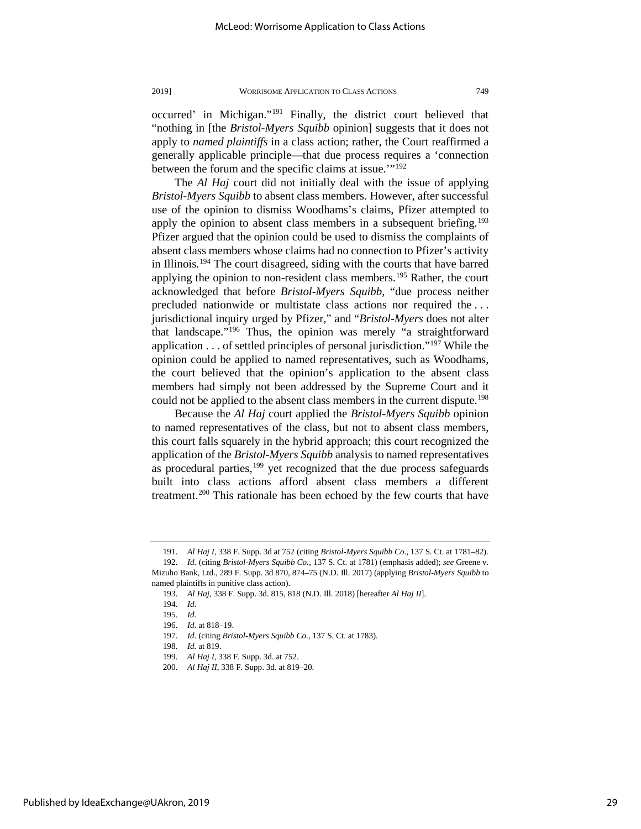occurred' in Michigan."[191](#page-29-0) Finally, the district court believed that "nothing in [the *Bristol-Myers Squibb* opinion] suggests that it does not apply to *named plaintiffs* in a class action; rather, the Court reaffirmed a generally applicable principle—that due process requires a 'connection between the forum and the specific claims at issue.'"[192](#page-29-1)

The *Al Haj* court did not initially deal with the issue of applying *Bristol-Myers Squibb* to absent class members. However, after successful use of the opinion to dismiss Woodhams's claims, Pfizer attempted to apply the opinion to absent class members in a subsequent briefing.<sup>193</sup> Pfizer argued that the opinion could be used to dismiss the complaints of absent class members whose claims had no connection to Pfizer's activity in Illinois.[194](#page-29-3) The court disagreed, siding with the courts that have barred applying the opinion to non-resident class members.<sup>[195](#page-29-4)</sup> Rather, the court acknowledged that before *Bristol-Myers Squibb*, "due process neither precluded nationwide or multistate class actions nor required the . . . jurisdictional inquiry urged by Pfizer," and "*Bristol-Myers* does not alter that landscape."[196](#page-29-5) Thus, the opinion was merely "a straightforward application  $\ldots$  of settled principles of personal jurisdiction."<sup>[197](#page-29-6)</sup> While the opinion could be applied to named representatives, such as Woodhams, the court believed that the opinion's application to the absent class members had simply not been addressed by the Supreme Court and it could not be applied to the absent class members in the current dispute.<sup>198</sup>

Because the *Al Haj* court applied the *Bristol-Myers Squibb* opinion to named representatives of the class, but not to absent class members, this court falls squarely in the hybrid approach; this court recognized the application of the *Bristol-Myers Squibb* analysis to named representatives as procedural parties, $199$  yet recognized that the due process safeguards built into class actions afford absent class members a different treatment.<sup>[200](#page-29-9)</sup> This rationale has been echoed by the few courts that have

<sup>191.</sup> *Al Haj I*, 338 F. Supp. 3d at 752 (citing *Bristol-Myers Squibb Co.*, 137 S. Ct. at 1781–82).

<span id="page-29-4"></span><span id="page-29-3"></span><span id="page-29-2"></span><span id="page-29-1"></span><span id="page-29-0"></span><sup>192.</sup> *Id.* (citing *Bristol-Myers Squibb Co.*, 137 S. Ct. at 1781) (emphasis added); *see* Greene v. Mizuho Bank, Ltd., 289 F. Supp. 3d 870, 874–75 (N.D. Ill. 2017) (applying *Bristol-Myers Squibb* to named plaintiffs in punitive class action).

<sup>193.</sup> *Al Haj*, 338 F. Supp. 3d. 815, 818 (N.D. Ill. 2018) [hereafter *Al Haj II*].

<sup>194.</sup> *Id.* 

<sup>195.</sup> *Id.* 

<sup>196.</sup> *Id.* at 818–19.

<span id="page-29-6"></span><span id="page-29-5"></span><sup>197.</sup> *Id.* (citing *Bristol-Myers Squibb Co.*, 137 S. Ct. at 1783).

<sup>198.</sup> *Id.* at 819.

<span id="page-29-8"></span><span id="page-29-7"></span><sup>199.</sup> *Al Haj I*, 338 F. Supp. 3d. at 752.

<span id="page-29-9"></span><sup>200.</sup> *Al Haj II*, 338 F. Supp. 3d. at 819–20.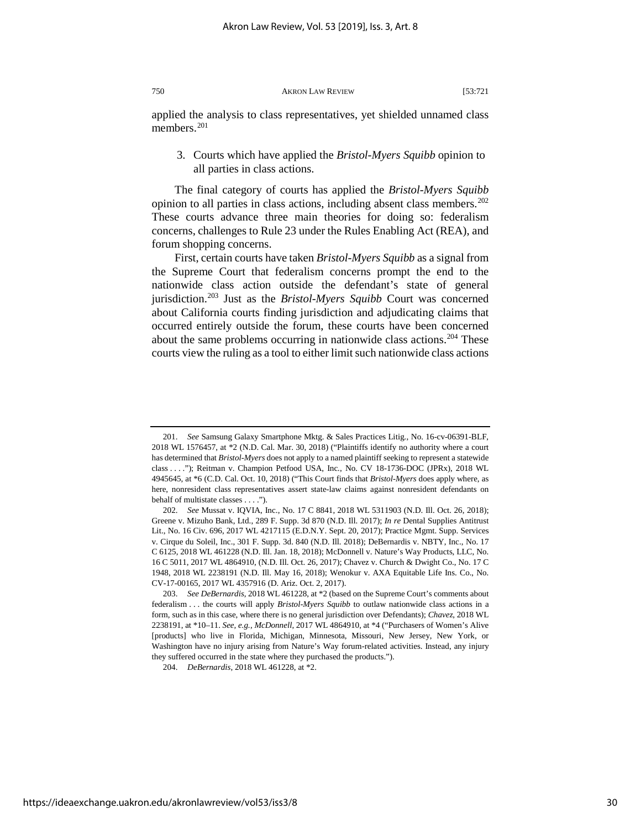applied the analysis to class representatives, yet shielded unnamed class members.<sup>[201](#page-30-0)</sup>

3. Courts which have applied the *Bristol-Myers Squibb* opinion to all parties in class actions.

The final category of courts has applied the *Bristol-Myers Squibb*  opinion to all parties in class actions, including absent class members.<sup>202</sup> These courts advance three main theories for doing so: federalism concerns, challenges to Rule 23 under the Rules Enabling Act (REA), and forum shopping concerns.

First, certain courts have taken *Bristol-Myers Squibb* as a signal from the Supreme Court that federalism concerns prompt the end to the nationwide class action outside the defendant's state of general jurisdiction[.203](#page-30-2) Just as the *Bristol-Myers Squibb* Court was concerned about California courts finding jurisdiction and adjudicating claims that occurred entirely outside the forum, these courts have been concerned about the same problems occurring in nationwide class actions.<sup>[204](#page-30-3)</sup> These courts view the ruling as a tool to either limit such nationwide class actions

<span id="page-30-0"></span><sup>201.</sup> *See* Samsung Galaxy Smartphone Mktg. & Sales Practices Litig*.*, No. 16-cv-06391-BLF, 2018 WL 1576457, at \*2 (N.D. Cal. Mar. 30, 2018) ("Plaintiffs identify no authority where a court has determined that *Bristol-Myers* does not apply to a named plaintiff seeking to represent a statewide class . . . ."); Reitman v. Champion Petfood USA, Inc*.*, No. CV 18-1736-DOC (JPRx), 2018 WL 4945645, at \*6 (C.D. Cal. Oct. 10, 2018) ("This Court finds that *Bristol-Myers* does apply where, as here, nonresident class representatives assert state-law claims against nonresident defendants on behalf of multistate classes . . . .").

<span id="page-30-1"></span><sup>202.</sup> *See* Mussat v. IQVIA, Inc., No. 17 C 8841, 2018 WL 5311903 (N.D. Ill. Oct. 26, 2018); Greene v. Mizuho Bank, Ltd., 289 F. Supp. 3d 870 (N.D. Ill. 2017); *In re* Dental Supplies Antitrust Lit., No. 16 Civ. 696, 2017 WL 4217115 (E.D.N.Y. Sept. 20, 2017); Practice Mgmt. Supp. Services v. Cirque du Soleil, Inc., 301 F. Supp. 3d. 840 (N.D. Ill. 2018); DeBernardis v. NBTY, Inc., No. 17 C 6125, 2018 WL 461228 (N.D. Ill. Jan. 18, 2018); McDonnell v. Nature's Way Products, LLC, No. 16 C 5011, 2017 WL 4864910, (N.D. Ill. Oct. 26, 2017); Chavez v. Church & Dwight Co., No. 17 C 1948, 2018 WL 2238191 (N.D. Ill. May 16, 2018); Wenokur v. AXA Equitable Life Ins. Co., No. CV-17-00165, 2017 WL 4357916 (D. Ariz. Oct. 2, 2017).

<span id="page-30-2"></span><sup>203.</sup> *See DeBernardis*, 2018 WL 461228, at \*2 (based on the Supreme Court's comments about federalism . . . the courts will apply *Bristol-Myers Squibb* to outlaw nationwide class actions in a form, such as in this case, where there is no general jurisdiction over Defendants); *Chavez*, 2018 WL 2238191, at \*10–11. *See, e.g.*, *McDonnell*, 2017 WL 4864910, at \*4 ("Purchasers of Women's Alive [products] who live in Florida, Michigan, Minnesota, Missouri, New Jersey, New York, or Washington have no injury arising from Nature's Way forum-related activities. Instead, any injury they suffered occurred in the state where they purchased the products.").

<span id="page-30-3"></span><sup>204.</sup> *DeBernardis*, 2018 WL 461228, at \*2.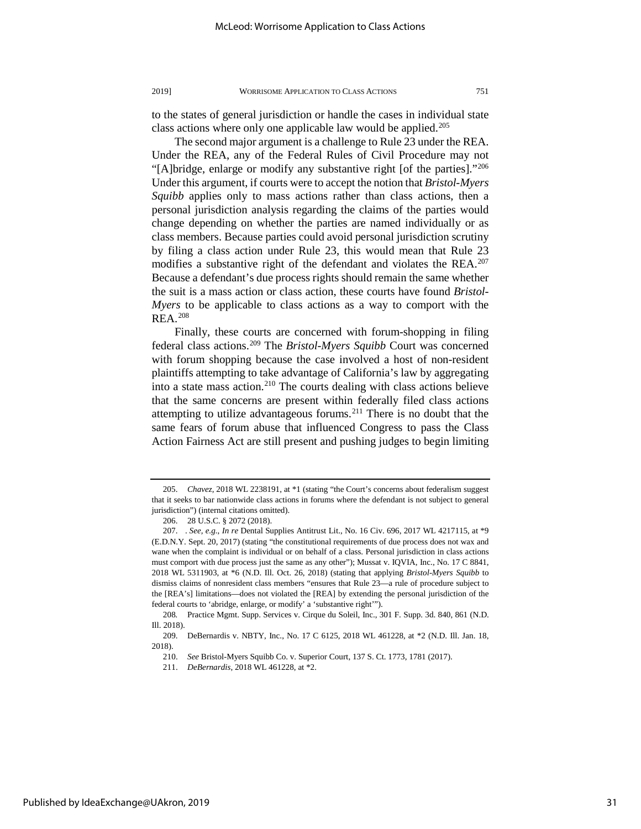to the states of general jurisdiction or handle the cases in individual state class actions where only one applicable law would be applied.<sup>[205](#page-31-0)</sup>

The second major argument is a challenge to Rule 23 under the REA. Under the REA, any of the Federal Rules of Civil Procedure may not "[A]bridge, enlarge or modify any substantive right [of the parties].["206](#page-31-1) Under this argument, if courts were to accept the notion that *Bristol-Myers Squibb* applies only to mass actions rather than class actions, then a personal jurisdiction analysis regarding the claims of the parties would change depending on whether the parties are named individually or as class members. Because parties could avoid personal jurisdiction scrutiny by filing a class action under Rule 23, this would mean that Rule 23 modifies a substantive right of the defendant and violates the REA.<sup>207</sup> Because a defendant's due process rights should remain the same whether the suit is a mass action or class action, these courts have found *Bristol-Myers* to be applicable to class actions as a way to comport with the REA.[208](#page-31-3)

Finally, these courts are concerned with forum-shopping in filing federal class actions.[209](#page-31-4) The *Bristol-Myers Squibb* Court was concerned with forum shopping because the case involved a host of non-resident plaintiffs attempting to take advantage of California's law by aggregating into a state mass action.<sup>[210](#page-31-5)</sup> The courts dealing with class actions believe that the same concerns are present within federally filed class actions attempting to utilize advantageous forums.<sup>[211](#page-31-6)</sup> There is no doubt that the same fears of forum abuse that influenced Congress to pass the Class Action Fairness Act are still present and pushing judges to begin limiting

<span id="page-31-0"></span><sup>205.</sup> *Chavez*, 2018 WL 2238191, at \*1 (stating "the Court's concerns about federalism suggest that it seeks to bar nationwide class actions in forums where the defendant is not subject to general jurisdiction") (internal citations omitted).

<sup>206. 28</sup> U.S.C. § 2072 (2018).

<span id="page-31-2"></span><span id="page-31-1"></span><sup>207. .</sup> *See, e.g.*, *In re* Dental Supplies Antitrust Lit., No. 16 Civ. 696, 2017 WL 4217115, at \*9 (E.D.N.Y. Sept. 20, 2017) (stating "the constitutional requirements of due process does not wax and wane when the complaint is individual or on behalf of a class. Personal jurisdiction in class actions must comport with due process just the same as any other"); Mussat v. IQVIA, Inc., No. 17 C 8841, 2018 WL 5311903, at \*6 (N.D. Ill. Oct. 26, 2018) (stating that applying *Bristol-Myers Squibb* to dismiss claims of nonresident class members "ensures that Rule 23—a rule of procedure subject to the [REA's] limitations—does not violated the [REA] by extending the personal jurisdiction of the federal courts to 'abridge, enlarge, or modify' a 'substantive right'").

<span id="page-31-3"></span><sup>208</sup>*.* Practice Mgmt. Supp. Services v. Cirque du Soleil, Inc., 301 F. Supp. 3d. 840, 861 (N.D. Ill. 2018).

<span id="page-31-6"></span><span id="page-31-5"></span><span id="page-31-4"></span><sup>209.</sup> DeBernardis v. NBTY, Inc., No. 17 C 6125, 2018 WL 461228, at \*2 (N.D. Ill. Jan. 18, 2018).

<sup>210.</sup> *See* Bristol-Myers Squibb Co. v. Superior Court, 137 S. Ct. 1773, 1781 (2017).

<sup>211.</sup> *DeBernardis*, 2018 WL 461228, at \*2.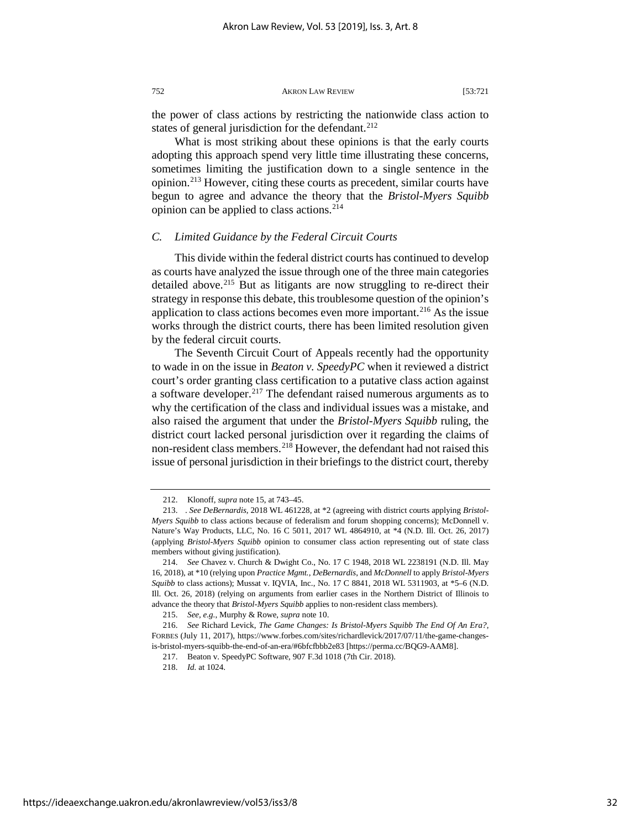the power of class actions by restricting the nationwide class action to states of general jurisdiction for the defendant. $^{212}$ 

What is most striking about these opinions is that the early courts adopting this approach spend very little time illustrating these concerns, sometimes limiting the justification down to a single sentence in the opinion.[213](#page-32-1) However, citing these courts as precedent, similar courts have begun to agree and advance the theory that the *Bristol-Myers Squibb*  opinion can be applied to class actions.<sup>[214](#page-32-2)</sup>

#### *C. Limited Guidance by the Federal Circuit Courts*

This divide within the federal district courts has continued to develop as courts have analyzed the issue through one of the three main categories detailed above.<sup>[215](#page-32-3)</sup> But as litigants are now struggling to re-direct their strategy in response this debate, this troublesome question of the opinion's application to class actions becomes even more important.<sup>[216](#page-32-4)</sup> As the issue works through the district courts, there has been limited resolution given by the federal circuit courts.

The Seventh Circuit Court of Appeals recently had the opportunity to wade in on the issue in *Beaton v. SpeedyPC* when it reviewed a district court's order granting class certification to a putative class action against a software developer.<sup>[217](#page-32-5)</sup> The defendant raised numerous arguments as to why the certification of the class and individual issues was a mistake, and also raised the argument that under the *Bristol-Myers Squibb* ruling, the district court lacked personal jurisdiction over it regarding the claims of non-resident class members.<sup>[218](#page-32-6)</sup> However, the defendant had not raised this issue of personal jurisdiction in their briefings to the district court, thereby

<sup>212.</sup> Klonoff, *supra* note 15, at 743–45.

<span id="page-32-1"></span><span id="page-32-0"></span><sup>213. .</sup> *See DeBernardis*, 2018 WL 461228, at \*2 (agreeing with district courts applying *Bristol-Myers Squibb* to class actions because of federalism and forum shopping concerns); McDonnell v. Nature's Way Products, LLC, No. 16 C 5011, 2017 WL 4864910, at \*4 (N.D. Ill. Oct. 26, 2017) (applying *Bristol-Myers Squibb* opinion to consumer class action representing out of state class members without giving justification).

<span id="page-32-2"></span><sup>214.</sup> *See* Chavez v. Church & Dwight Co., No. 17 C 1948, 2018 WL 2238191 (N.D. Ill. May 16, 2018), at \*10 (relying upon *Practice Mgmt.*, *DeBernardis*, and *McDonnell* to apply *Bristol-Myers Squibb* to class actions); Mussat v. IQVIA, Inc., No. 17 C 8841, 2018 WL 5311903, at \*5–6 (N.D. Ill. Oct. 26, 2018) (relying on arguments from earlier cases in the Northern District of Illinois to advance the theory that *Bristol-Myers Squibb* applies to non-resident class members).

<sup>215.</sup> *See, e.g.*, Murphy & Rowe, *supra* note 10.

<span id="page-32-6"></span><span id="page-32-5"></span><span id="page-32-4"></span><span id="page-32-3"></span><sup>216.</sup> *See* Richard Levick, *The Game Changes: Is Bristol-Myers Squibb The End Of An Era?*, FORBES (July 11, 2017), https://www.forbes.com/sites/richardlevick/2017/07/11/the-game-changesis-bristol-myers-squibb-the-end-of-an-era/#6bfcfbbb2e83 [https://perma.cc/BQG9-AAM8].

<sup>217.</sup> Beaton v. SpeedyPC Software, 907 F.3d 1018 (7th Cir. 2018).

<sup>218.</sup> *Id.* at 1024.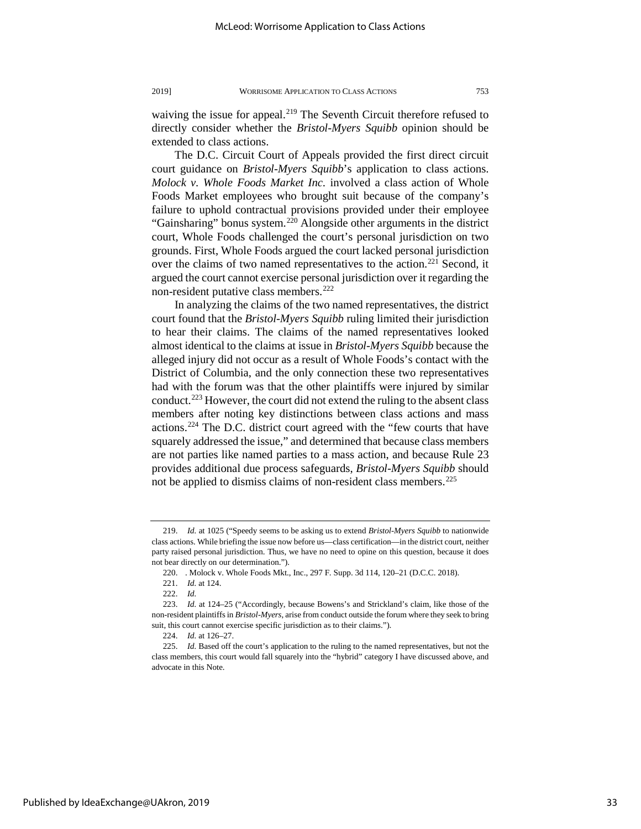waiving the issue for appeal.<sup>219</sup> The Seventh Circuit therefore refused to directly consider whether the *Bristol-Myers Squibb* opinion should be extended to class actions.

The D.C. Circuit Court of Appeals provided the first direct circuit court guidance on *Bristol-Myers Squibb*'s application to class actions. *Molock v. Whole Foods Market Inc.* involved a class action of Whole Foods Market employees who brought suit because of the company's failure to uphold contractual provisions provided under their employee "Gainsharing" bonus system.<sup>[220](#page-33-1)</sup> Alongside other arguments in the district court, Whole Foods challenged the court's personal jurisdiction on two grounds. First, Whole Foods argued the court lacked personal jurisdiction over the claims of two named representatives to the action.<sup>[221](#page-33-2)</sup> Second, it argued the court cannot exercise personal jurisdiction over it regarding the non-resident putative class members.<sup>[222](#page-33-3)</sup>

In analyzing the claims of the two named representatives, the district court found that the *Bristol-Myers Squibb* ruling limited their jurisdiction to hear their claims. The claims of the named representatives looked almost identical to the claims at issue in *Bristol-Myers Squibb* because the alleged injury did not occur as a result of Whole Foods's contact with the District of Columbia, and the only connection these two representatives had with the forum was that the other plaintiffs were injured by similar conduct.<sup>[223](#page-33-4)</sup> However, the court did not extend the ruling to the absent class members after noting key distinctions between class actions and mass actions[.224](#page-33-5) The D.C. district court agreed with the "few courts that have squarely addressed the issue," and determined that because class members are not parties like named parties to a mass action, and because Rule 23 provides additional due process safeguards, *Bristol-Myers Squibb* should not be applied to dismiss claims of non-resident class members.<sup>[225](#page-33-6)</sup>

<span id="page-33-0"></span><sup>219.</sup> *Id.* at 1025 ("Speedy seems to be asking us to extend *Bristol-Myers Squibb* to nationwide class actions. While briefing the issue now before us—class certification—in the district court, neither party raised personal jurisdiction. Thus, we have no need to opine on this question, because it does not bear directly on our determination.").

<sup>220. .</sup> Molock v. Whole Foods Mkt., Inc., 297 F. Supp. 3d 114, 120–21 (D.C.C. 2018).

<sup>221.</sup> *Id.* at 124.

<sup>222.</sup> *Id.*

<span id="page-33-4"></span><span id="page-33-3"></span><span id="page-33-2"></span><span id="page-33-1"></span><sup>223.</sup> *Id.* at 124–25 ("Accordingly, because Bowens's and Strickland's claim, like those of the non-resident plaintiffs in *Bristol-Myers*, arise from conduct outside the forum where they seek to bring suit, this court cannot exercise specific jurisdiction as to their claims.").

<sup>224.</sup> *Id.* at 126–27.

<span id="page-33-6"></span><span id="page-33-5"></span><sup>225.</sup> *Id.* Based off the court's application to the ruling to the named representatives, but not the class members, this court would fall squarely into the "hybrid" category I have discussed above, and advocate in this Note.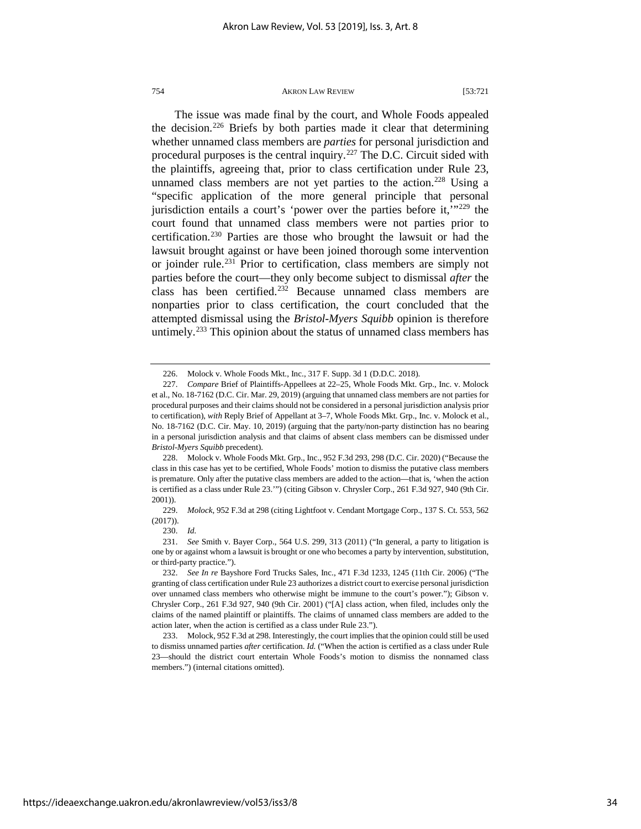The issue was made final by the court, and Whole Foods appealed the decision.<sup>[226](#page-34-0)</sup> Briefs by both parties made it clear that determining whether unnamed class members are *parties* for personal jurisdiction and procedural purposes is the central inquiry.<sup>[227](#page-34-1)</sup> The D.C. Circuit sided with the plaintiffs, agreeing that, prior to class certification under Rule 23, unnamed class members are not yet parties to the action.<sup>[228](#page-34-2)</sup> Using a "specific application of the more general principle that personal jurisdiction entails a court's 'power over the parties before it,'"[229](#page-34-3) the court found that unnamed class members were not parties prior to certification[.230](#page-34-4) Parties are those who brought the lawsuit or had the lawsuit brought against or have been joined thorough some intervention or joinder rule.<sup>[231](#page-34-5)</sup> Prior to certification, class members are simply not parties before the court—they only become subject to dismissal *after* the class has been certified.<sup>[232](#page-34-6)</sup> Because unnamed class members are nonparties prior to class certification, the court concluded that the attempted dismissal using the *Bristol-Myers Squibb* opinion is therefore untimely.<sup>[233](#page-34-7)</sup> This opinion about the status of unnamed class members has

<sup>226.</sup> Molock v. Whole Foods Mkt., Inc., 317 F. Supp. 3d 1 (D.D.C. 2018).

<span id="page-34-1"></span><span id="page-34-0"></span><sup>227.</sup> *Compare* Brief of Plaintiffs-Appellees at 22–25, Whole Foods Mkt. Grp., Inc. v. Molock et al., No. 18-7162 (D.C. Cir. Mar. 29, 2019) (arguing that unnamed class members are not parties for procedural purposes and their claims should not be considered in a personal jurisdiction analysis prior to certification), *with* Reply Brief of Appellant at 3–7, Whole Foods Mkt. Grp., Inc. v. Molock et al., No. 18-7162 (D.C. Cir. May. 10, 2019) (arguing that the party/non-party distinction has no bearing in a personal jurisdiction analysis and that claims of absent class members can be dismissed under *Bristol-Myers Squibb* precedent).

<span id="page-34-2"></span><sup>228.</sup> Molock v. Whole Foods Mkt. Grp., Inc., 952 F.3d 293, 298 (D.C. Cir. 2020) ("Because the class in this case has yet to be certified, Whole Foods' motion to dismiss the putative class members is premature. Only after the putative class members are added to the action—that is, 'when the action is certified as a class under Rule 23.'") (citing Gibson v. Chrysler Corp., 261 F.3d 927, 940 (9th Cir. 2001)).

<span id="page-34-3"></span><sup>229.</sup> *Molock*, 952 F.3d at 298 (citing Lightfoot v. Cendant Mortgage Corp., 137 S. Ct. 553, 562 (2017)).

<sup>230.</sup> *Id.* 

<span id="page-34-5"></span><span id="page-34-4"></span><sup>231.</sup> *See* Smith v. Bayer Corp., 564 U.S. 299, 313 (2011) ("In general, a party to litigation is one by or against whom a lawsuit is brought or one who becomes a party by intervention, substitution, or third-party practice.").

<span id="page-34-6"></span><sup>232.</sup> *See In re* Bayshore Ford Trucks Sales, Inc., 471 F.3d 1233, 1245 (11th Cir. 2006) ("The granting of class certification under Rule 23 authorizes a district court to exercise personal jurisdiction over unnamed class members who otherwise might be immune to the court's power."); Gibson v. Chrysler Corp., 261 F.3d 927, 940 (9th Cir. 2001) ("[A] class action, when filed, includes only the claims of the named plaintiff or plaintiffs. The claims of unnamed class members are added to the action later, when the action is certified as a class under Rule 23.").

<span id="page-34-7"></span><sup>233.</sup> Molock, 952 F.3d at 298. Interestingly, the court implies that the opinion could still be used to dismiss unnamed parties *after* certification. *Id.* ("When the action is certified as a class under Rule 23—should the district court entertain Whole Foods's motion to dismiss the nonnamed class members.") (internal citations omitted).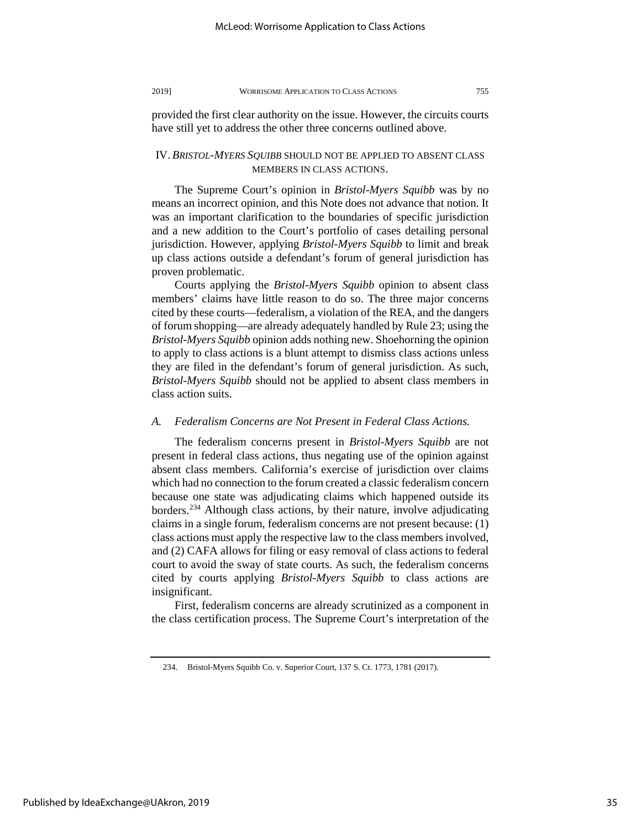provided the first clear authority on the issue. However, the circuits courts have still yet to address the other three concerns outlined above.

### IV. *BRISTOL-MYERS SQUIBB* SHOULD NOT BE APPLIED TO ABSENT CLASS MEMBERS IN CLASS ACTIONS.

The Supreme Court's opinion in *Bristol-Myers Squibb* was by no means an incorrect opinion, and this Note does not advance that notion. It was an important clarification to the boundaries of specific jurisdiction and a new addition to the Court's portfolio of cases detailing personal jurisdiction. However, applying *Bristol-Myers Squibb* to limit and break up class actions outside a defendant's forum of general jurisdiction has proven problematic.

Courts applying the *Bristol-Myers Squibb* opinion to absent class members' claims have little reason to do so. The three major concerns cited by these courts—federalism, a violation of the REA, and the dangers of forum shopping—are already adequately handled by Rule 23; using the *Bristol-Myers Squibb* opinion adds nothing new. Shoehorning the opinion to apply to class actions is a blunt attempt to dismiss class actions unless they are filed in the defendant's forum of general jurisdiction. As such, *Bristol-Myers Squibb* should not be applied to absent class members in class action suits.

## *A. Federalism Concerns are Not Present in Federal Class Actions.*

The federalism concerns present in *Bristol-Myers Squibb* are not present in federal class actions, thus negating use of the opinion against absent class members. California's exercise of jurisdiction over claims which had no connection to the forum created a classic federalism concern because one state was adjudicating claims which happened outside its borders.[234](#page-35-0) Although class actions, by their nature, involve adjudicating claims in a single forum, federalism concerns are not present because: (1) class actions must apply the respective law to the class members involved, and (2) CAFA allows for filing or easy removal of class actions to federal court to avoid the sway of state courts. As such, the federalism concerns cited by courts applying *Bristol-Myers Squibb* to class actions are insignificant.

First, federalism concerns are already scrutinized as a component in the class certification process. The Supreme Court's interpretation of the

<span id="page-35-0"></span><sup>234.</sup> Bristol-Myers Squibb Co. v. Superior Court, 137 S. Ct. 1773, 1781 (2017).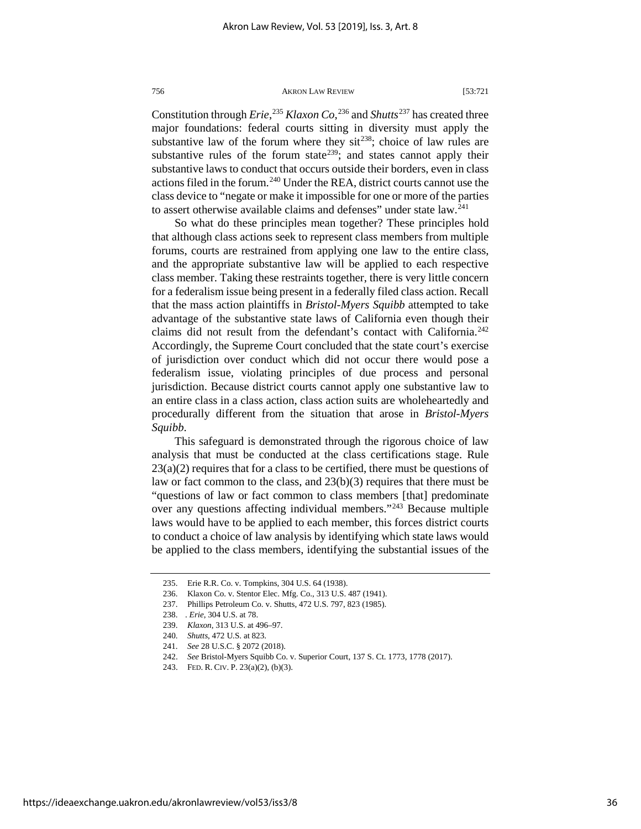Constitution through *Erie*, [235](#page-36-0) *Klaxon Co*, [236](#page-36-1) and *Shutts*[237](#page-36-2) has created three major foundations: federal courts sitting in diversity must apply the substantive law of the forum where they sit<sup>[238](#page-36-3)</sup>; choice of law rules are substantive rules of the forum state<sup>[239](#page-36-4)</sup>; and states cannot apply their substantive laws to conduct that occurs outside their borders, even in class actions filed in the forum.<sup>[240](#page-36-5)</sup> Under the REA, district courts cannot use the class device to "negate or make it impossible for one or more of the parties to assert otherwise available claims and defenses" under state law.<sup>[241](#page-36-6)</sup>

So what do these principles mean together? These principles hold that although class actions seek to represent class members from multiple forums, courts are restrained from applying one law to the entire class, and the appropriate substantive law will be applied to each respective class member. Taking these restraints together, there is very little concern for a federalism issue being present in a federally filed class action. Recall that the mass action plaintiffs in *Bristol-Myers Squibb* attempted to take advantage of the substantive state laws of California even though their claims did not result from the defendant's contact with California.<sup>242</sup> Accordingly, the Supreme Court concluded that the state court's exercise of jurisdiction over conduct which did not occur there would pose a federalism issue, violating principles of due process and personal jurisdiction. Because district courts cannot apply one substantive law to an entire class in a class action, class action suits are wholeheartedly and procedurally different from the situation that arose in *Bristol-Myers Squibb*.

This safeguard is demonstrated through the rigorous choice of law analysis that must be conducted at the class certifications stage. Rule  $23(a)(2)$  requires that for a class to be certified, there must be questions of law or fact common to the class, and  $23(b)(3)$  requires that there must be "questions of law or fact common to class members [that] predominate over any questions affecting individual members."[243](#page-36-8) Because multiple laws would have to be applied to each member, this forces district courts to conduct a choice of law analysis by identifying which state laws would be applied to the class members, identifying the substantial issues of the

<sup>235.</sup> Erie R.R. Co. v. Tompkins, 304 U.S. 64 (1938).

<span id="page-36-0"></span><sup>236.</sup> Klaxon Co. v. Stentor Elec. Mfg. Co., 313 U.S. 487 (1941).

<sup>237.</sup> Phillips Petroleum Co. v. Shutts, 472 U.S. 797, 823 (1985).

<span id="page-36-5"></span><span id="page-36-4"></span><span id="page-36-3"></span><span id="page-36-2"></span><span id="page-36-1"></span><sup>238. .</sup> *Erie*, 304 U.S. at 78.

<sup>239.</sup> *Klaxon*, 313 U.S. at 496–97.

<sup>240.</sup> *Shutts*, 472 U.S. at 823.

<sup>241.</sup> *See* 28 U.S.C. § 2072 (2018).

<span id="page-36-8"></span><span id="page-36-7"></span><span id="page-36-6"></span><sup>242.</sup> *See* Bristol-Myers Squibb Co. v. Superior Court, 137 S. Ct. 1773, 1778 (2017).

<sup>243.</sup> FED. R. CIV. P. 23(a)(2), (b)(3).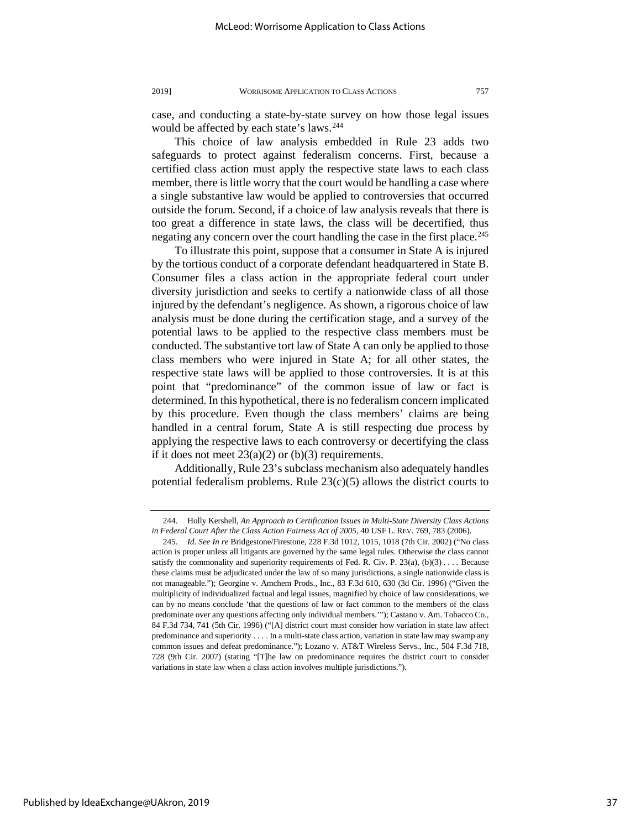case, and conducting a state-by-state survey on how those legal issues would be affected by each state's laws.<sup>[244](#page-37-0)</sup>

This choice of law analysis embedded in Rule 23 adds two safeguards to protect against federalism concerns. First, because a certified class action must apply the respective state laws to each class member, there is little worry that the court would be handling a case where a single substantive law would be applied to controversies that occurred outside the forum. Second, if a choice of law analysis reveals that there is too great a difference in state laws, the class will be decertified, thus negating any concern over the court handling the case in the first place.<sup>245</sup>

To illustrate this point, suppose that a consumer in State A is injured by the tortious conduct of a corporate defendant headquartered in State B. Consumer files a class action in the appropriate federal court under diversity jurisdiction and seeks to certify a nationwide class of all those injured by the defendant's negligence. As shown, a rigorous choice of law analysis must be done during the certification stage, and a survey of the potential laws to be applied to the respective class members must be conducted. The substantive tort law of State A can only be applied to those class members who were injured in State A; for all other states, the respective state laws will be applied to those controversies. It is at this point that "predominance" of the common issue of law or fact is determined. In this hypothetical, there is no federalism concern implicated by this procedure. Even though the class members' claims are being handled in a central forum, State A is still respecting due process by applying the respective laws to each controversy or decertifying the class if it does not meet  $23(a)(2)$  or (b)(3) requirements.

Additionally, Rule 23's subclass mechanism also adequately handles potential federalism problems. Rule  $23(c)(5)$  allows the district courts to

<span id="page-37-0"></span><sup>244.</sup> Holly Kershell, *An Approach to Certification Issues in Multi-State Diversity Class Actions*  in Federal Court After the Class Action Fairness Act of 2005, 40 USF L. REV. 769, 783 (2006).

<span id="page-37-1"></span><sup>245.</sup> *Id. See In re* Bridgestone/Firestone, 228 F.3d 1012, 1015, 1018 (7th Cir. 2002) ("No class action is proper unless all litigants are governed by the same legal rules. Otherwise the class cannot satisfy the commonality and superiority requirements of Fed. R. Civ. P.  $23(a)$ ,  $(b)(3)$ .... Because these claims must be adjudicated under the law of so many jurisdictions, a single nationwide class is not manageable."); Georgine v. Amchem Prods., Inc., 83 F.3d 610, 630 (3d Cir. 1996) ("Given the multiplicity of individualized factual and legal issues, magnified by choice of law considerations, we can by no means conclude 'that the questions of law or fact common to the members of the class predominate over any questions affecting only individual members.'"); Castano v. Am. Tobacco Co., 84 F.3d 734, 741 (5th Cir. 1996) ("[A] district court must consider how variation in state law affect predominance and superiority . . . . In a multi-state class action, variation in state law may swamp any common issues and defeat predominance."); Lozano v. AT&T Wireless Servs., Inc., 504 F.3d 718, 728 (9th Cir. 2007) (stating "[T]he law on predominance requires the district court to consider variations in state law when a class action involves multiple jurisdictions.").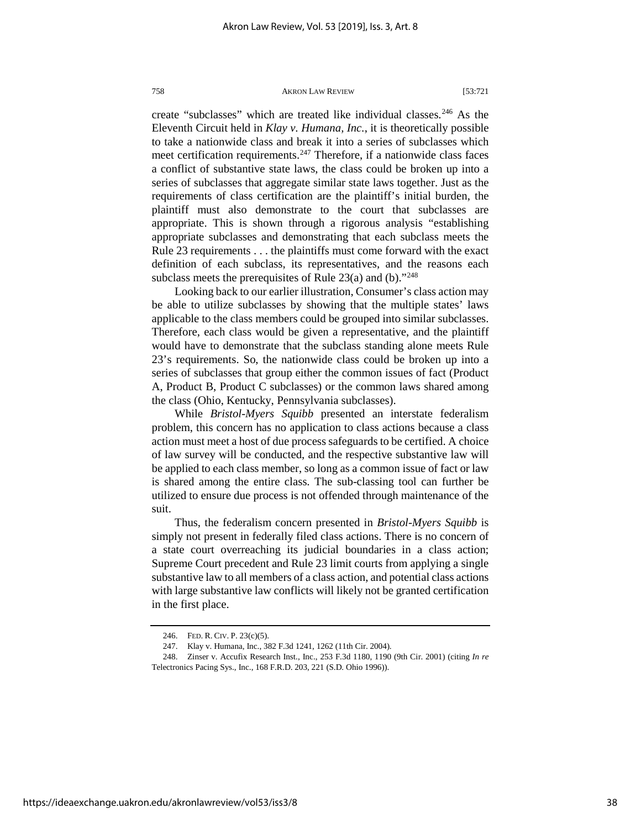create "subclasses" which are treated like individual classes.<sup>[246](#page-38-0)</sup> As the Eleventh Circuit held in *Klay v. Humana, Inc.*, it is theoretically possible to take a nationwide class and break it into a series of subclasses which meet certification requirements.<sup>[247](#page-38-1)</sup> Therefore, if a nationwide class faces a conflict of substantive state laws, the class could be broken up into a series of subclasses that aggregate similar state laws together. Just as the requirements of class certification are the plaintiff's initial burden, the plaintiff must also demonstrate to the court that subclasses are appropriate. This is shown through a rigorous analysis "establishing appropriate subclasses and demonstrating that each subclass meets the Rule 23 requirements . . . the plaintiffs must come forward with the exact definition of each subclass, its representatives, and the reasons each subclass meets the prerequisites of Rule  $23(a)$  and (b)."<sup>[248](#page-38-2)</sup>

Looking back to our earlier illustration, Consumer's class action may be able to utilize subclasses by showing that the multiple states' laws applicable to the class members could be grouped into similar subclasses. Therefore, each class would be given a representative, and the plaintiff would have to demonstrate that the subclass standing alone meets Rule 23's requirements. So, the nationwide class could be broken up into a series of subclasses that group either the common issues of fact (Product A, Product B, Product C subclasses) or the common laws shared among the class (Ohio, Kentucky, Pennsylvania subclasses).

While *Bristol-Myers Squibb* presented an interstate federalism problem, this concern has no application to class actions because a class action must meet a host of due process safeguards to be certified. A choice of law survey will be conducted, and the respective substantive law will be applied to each class member, so long as a common issue of fact or law is shared among the entire class. The sub-classing tool can further be utilized to ensure due process is not offended through maintenance of the suit.

Thus, the federalism concern presented in *Bristol-Myers Squibb* is simply not present in federally filed class actions. There is no concern of a state court overreaching its judicial boundaries in a class action; Supreme Court precedent and Rule 23 limit courts from applying a single substantive law to all members of a class action, and potential class actions with large substantive law conflicts will likely not be granted certification in the first place.

<sup>246.</sup> FED. R. CIV. P. 23(c)(5).

<sup>247.</sup> Klay v. Humana, Inc., 382 F.3d 1241, 1262 (11th Cir. 2004).

<span id="page-38-2"></span><span id="page-38-1"></span><span id="page-38-0"></span><sup>248.</sup> Zinser v. Accufix Research Inst., Inc., 253 F.3d 1180, 1190 (9th Cir. 2001) (citing *In re* Telectronics Pacing Sys., Inc., 168 F.R.D. 203, 221 (S.D. Ohio 1996)).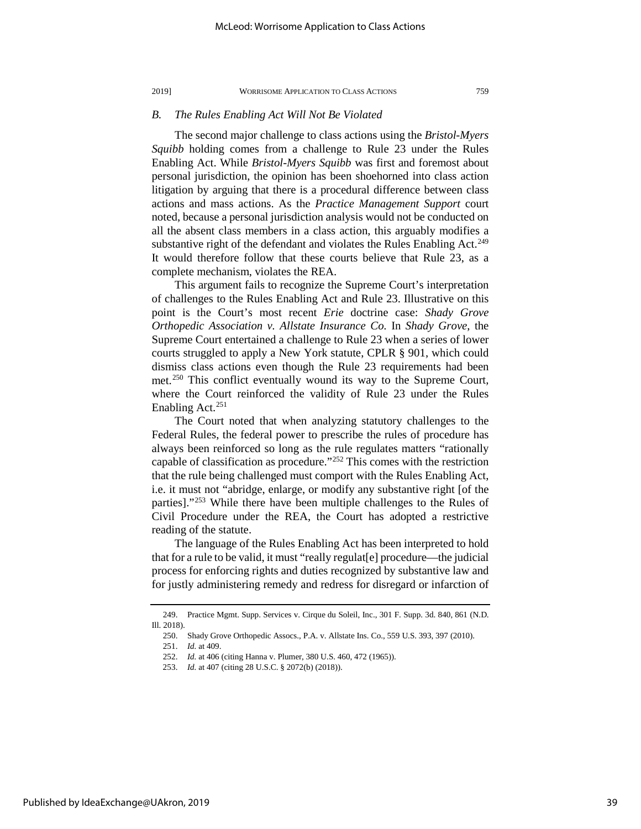#### *B. The Rules Enabling Act Will Not Be Violated*

The second major challenge to class actions using the *Bristol-Myers Squibb* holding comes from a challenge to Rule 23 under the Rules Enabling Act. While *Bristol-Myers Squibb* was first and foremost about personal jurisdiction, the opinion has been shoehorned into class action litigation by arguing that there is a procedural difference between class actions and mass actions. As the *Practice Management Support* court noted, because a personal jurisdiction analysis would not be conducted on all the absent class members in a class action, this arguably modifies a substantive right of the defendant and violates the Rules Enabling Act.<sup>249</sup> It would therefore follow that these courts believe that Rule 23, as a complete mechanism, violates the REA.

This argument fails to recognize the Supreme Court's interpretation of challenges to the Rules Enabling Act and Rule 23. Illustrative on this point is the Court's most recent *Erie* doctrine case: *Shady Grove Orthopedic Association v. Allstate Insurance Co.* In *Shady Grove*, the Supreme Court entertained a challenge to Rule 23 when a series of lower courts struggled to apply a New York statute, CPLR § 901, which could dismiss class actions even though the Rule 23 requirements had been met.<sup>[250](#page-39-1)</sup> This conflict eventually wound its way to the Supreme Court, where the Court reinforced the validity of Rule 23 under the Rules Enabling Act.<sup>[251](#page-39-2)</sup>

The Court noted that when analyzing statutory challenges to the Federal Rules, the federal power to prescribe the rules of procedure has always been reinforced so long as the rule regulates matters "rationally capable of classification as procedure."[252](#page-39-3) This comes with the restriction that the rule being challenged must comport with the Rules Enabling Act, i.e. it must not "abridge, enlarge, or modify any substantive right [of the parties]."[253](#page-39-4) While there have been multiple challenges to the Rules of Civil Procedure under the REA, the Court has adopted a restrictive reading of the statute.

The language of the Rules Enabling Act has been interpreted to hold that for a rule to be valid, it must "really regulat[e] procedure—the judicial process for enforcing rights and duties recognized by substantive law and for justly administering remedy and redress for disregard or infarction of

<span id="page-39-4"></span><span id="page-39-3"></span><span id="page-39-2"></span><span id="page-39-1"></span><span id="page-39-0"></span><sup>249.</sup> Practice Mgmt. Supp. Services v. Cirque du Soleil, Inc., 301 F. Supp. 3d. 840, 861 (N.D. Ill. 2018).

<sup>250.</sup> Shady Grove Orthopedic Assocs., P.A. v. Allstate Ins. Co., 559 U.S. 393, 397 (2010).

<sup>251.</sup> *Id.* at 409.

<sup>252.</sup> *Id.* at 406 (citing Hanna v. Plumer, 380 U.S. 460, 472 (1965)).

<sup>253.</sup> *Id.* at 407 (citing 28 U.S.C. § 2072(b) (2018)).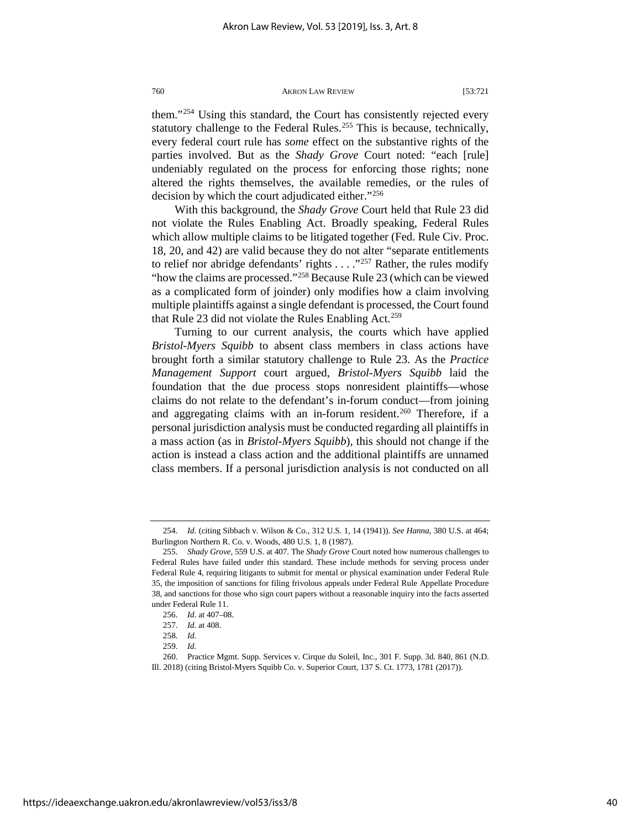them."[254](#page-40-0) Using this standard, the Court has consistently rejected every statutory challenge to the Federal Rules.<sup>[255](#page-40-1)</sup> This is because, technically, every federal court rule has *some* effect on the substantive rights of the parties involved. But as the *Shady Grove* Court noted: "each [rule] undeniably regulated on the process for enforcing those rights; none altered the rights themselves, the available remedies, or the rules of decision by which the court adjudicated either."[256](#page-40-2)

With this background, the *Shady Grove* Court held that Rule 23 did not violate the Rules Enabling Act. Broadly speaking, Federal Rules which allow multiple claims to be litigated together (Fed. Rule Civ. Proc. 18, 20, and 42) are valid because they do not alter "separate entitlements to relief nor abridge defendants' rights  $\dots$  ."<sup>[257](#page-40-3)</sup> Rather, the rules modify "how the claims are processed."[258](#page-40-4) Because Rule 23 (which can be viewed as a complicated form of joinder) only modifies how a claim involving multiple plaintiffs against a single defendant is processed, the Court found that Rule 23 did not violate the Rules Enabling Act.<sup>259</sup>

Turning to our current analysis, the courts which have applied *Bristol-Myers Squibb* to absent class members in class actions have brought forth a similar statutory challenge to Rule 23. As the *Practice Management Support* court argued, *Bristol-Myers Squibb* laid the foundation that the due process stops nonresident plaintiffs—whose claims do not relate to the defendant's in-forum conduct—from joining and aggregating claims with an in-forum resident.<sup>[260](#page-40-6)</sup> Therefore, if a personal jurisdiction analysis must be conducted regarding all plaintiffs in a mass action (as in *Bristol-Myers Squibb*), this should not change if the action is instead a class action and the additional plaintiffs are unnamed class members. If a personal jurisdiction analysis is not conducted on all

<span id="page-40-6"></span>https://ideaexchange.uakron.edu/akronlawreview/vol53/iss3/8

<span id="page-40-0"></span><sup>254.</sup> *Id.* (citing Sibbach v. Wilson & Co., 312 U.S. 1, 14 (1941)). *See Hanna*, 380 U.S. at 464; Burlington Northern R. Co. v. Woods, 480 U.S. 1, 8 (1987).

<span id="page-40-1"></span><sup>255.</sup> *Shady Grove*, 559 U.S. at 407*.* The *Shady Grove* Court noted how numerous challenges to Federal Rules have failed under this standard. These include methods for serving process under Federal Rule 4, requiring litigants to submit for mental or physical examination under Federal Rule 35, the imposition of sanctions for filing frivolous appeals under Federal Rule Appellate Procedure 38, and sanctions for those who sign court papers without a reasonable inquiry into the facts asserted under Federal Rule 11.

<sup>256.</sup> *Id.* at 407–08.

<sup>257.</sup> *Id.* at 408.

<sup>258.</sup> *Id.*

<sup>259.</sup> *Id.*

<span id="page-40-5"></span><span id="page-40-4"></span><span id="page-40-3"></span><span id="page-40-2"></span><sup>260.</sup> Practice Mgmt. Supp. Services v. Cirque du Soleil, Inc., 301 F. Supp. 3d. 840, 861 (N.D. Ill. 2018) (citing Bristol-Myers Squibb Co. v. Superior Court, 137 S. Ct. 1773, 1781 (2017)).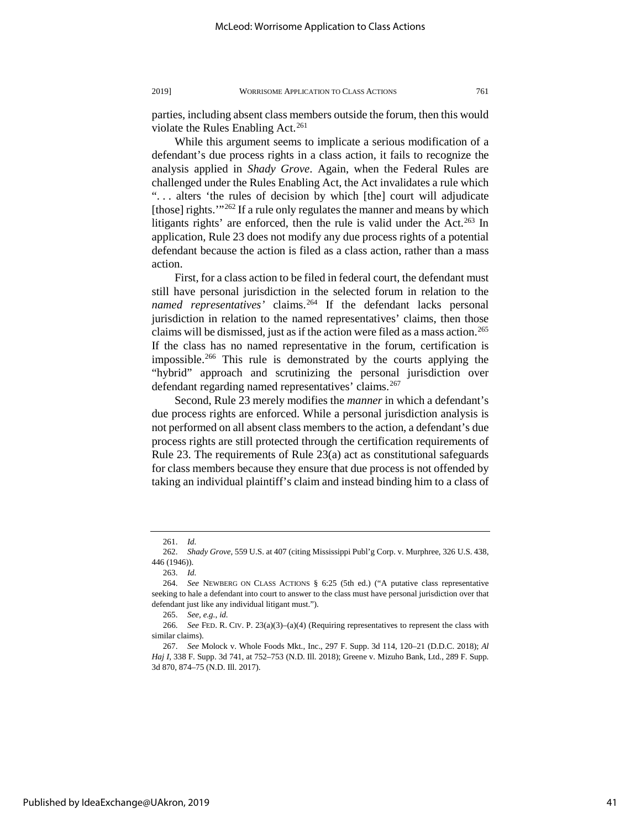parties, including absent class members outside the forum, then this would violate the Rules Enabling Act. $^{261}$  $^{261}$  $^{261}$ 

While this argument seems to implicate a serious modification of a defendant's due process rights in a class action, it fails to recognize the analysis applied in *Shady Grove*. Again, when the Federal Rules are challenged under the Rules Enabling Act, the Act invalidates a rule which ". . . alters 'the rules of decision by which [the] court will adjudicate [those] rights."<sup>[262](#page-41-1)</sup> If a rule only regulates the manner and means by which litigants rights' are enforced, then the rule is valid under the Act.<sup>263</sup> In application, Rule 23 does not modify any due process rights of a potential defendant because the action is filed as a class action, rather than a mass action.

First, for a class action to be filed in federal court, the defendant must still have personal jurisdiction in the selected forum in relation to the named representatives' claims.<sup>[264](#page-41-3)</sup> If the defendant lacks personal jurisdiction in relation to the named representatives' claims, then those claims will be dismissed, just as if the action were filed as a mass action.<sup>265</sup> If the class has no named representative in the forum, certification is impossible.[266](#page-41-5) This rule is demonstrated by the courts applying the "hybrid" approach and scrutinizing the personal jurisdiction over defendant regarding named representatives' claims.<sup>[267](#page-41-6)</sup>

Second, Rule 23 merely modifies the *manner* in which a defendant's due process rights are enforced. While a personal jurisdiction analysis is not performed on all absent class members to the action, a defendant's due process rights are still protected through the certification requirements of Rule 23. The requirements of Rule 23(a) act as constitutional safeguards for class members because they ensure that due process is not offended by taking an individual plaintiff's claim and instead binding him to a class of

<sup>261.</sup> *Id.*

<span id="page-41-1"></span><span id="page-41-0"></span><sup>262.</sup> *Shady Grove*, 559 U.S. at 407 (citing Mississippi Publ'g Corp. v. Murphree, 326 U.S. 438, 446 (1946)).

<sup>263.</sup> *Id.* 

<span id="page-41-3"></span><span id="page-41-2"></span><sup>264.</sup> *See* NEWBERG ON CLASS ACTIONS § 6:25 (5th ed.) ("A putative class representative seeking to hale a defendant into court to answer to the class must have personal jurisdiction over that defendant just like any individual litigant must.").

<sup>265.</sup> *See, e.g.*, *id.* 

<span id="page-41-5"></span><span id="page-41-4"></span><sup>266.</sup> *See* FED. R. CIV. P. 23(a)(3)–(a)(4) (Requiring representatives to represent the class with similar claims).

<span id="page-41-6"></span><sup>267.</sup> *See* Molock v. Whole Foods Mkt., Inc., 297 F. Supp. 3d 114, 120–21 (D.D.C. 2018); *Al Haj I*, 338 F. Supp. 3d 741, at 752–753 (N.D. Ill. 2018); Greene v. Mizuho Bank, Ltd., 289 F. Supp. 3d 870, 874–75 (N.D. Ill. 2017).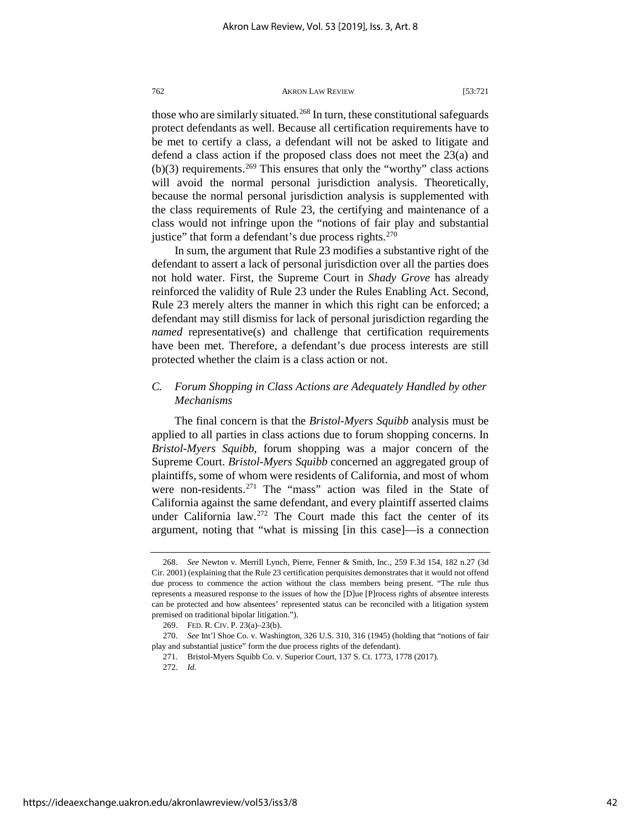those who are similarly situated.<sup>[268](#page-42-0)</sup> In turn, these constitutional safeguards protect defendants as well. Because all certification requirements have to be met to certify a class, a defendant will not be asked to litigate and defend a class action if the proposed class does not meet the 23(a) and (b)(3) requirements.<sup>[269](#page-42-1)</sup> This ensures that only the "worthy" class actions will avoid the normal personal jurisdiction analysis. Theoretically, because the normal personal jurisdiction analysis is supplemented with the class requirements of Rule 23, the certifying and maintenance of a class would not infringe upon the "notions of fair play and substantial justice" that form a defendant's due process rights.<sup>[270](#page-42-2)</sup>

In sum, the argument that Rule 23 modifies a substantive right of the defendant to assert a lack of personal jurisdiction over all the parties does not hold water. First, the Supreme Court in *Shady Grove* has already reinforced the validity of Rule 23 under the Rules Enabling Act. Second, Rule 23 merely alters the manner in which this right can be enforced; a defendant may still dismiss for lack of personal jurisdiction regarding the *named* representative(s) and challenge that certification requirements have been met. Therefore, a defendant's due process interests are still protected whether the claim is a class action or not.

## *C. Forum Shopping in Class Actions are Adequately Handled by other Mechanisms*

The final concern is that the *Bristol-Myers Squibb* analysis must be applied to all parties in class actions due to forum shopping concerns. In *Bristol-Myers Squibb*, forum shopping was a major concern of the Supreme Court. *Bristol-Myers Squibb* concerned an aggregated group of plaintiffs, some of whom were residents of California, and most of whom were non-residents.<sup>[271](#page-42-3)</sup> The "mass" action was filed in the State of California against the same defendant, and every plaintiff asserted claims under California law.<sup>[272](#page-42-4)</sup> The Court made this fact the center of its argument, noting that "what is missing [in this case]—is a connection

<span id="page-42-0"></span><sup>268.</sup> *See* Newton v. Merrill Lynch, Pierre, Fenner & Smith, Inc., 259 F.3d 154, 182 n.27 (3d Cir. 2001) (explaining that the Rule 23 certification perquisites demonstrates that it would not offend due process to commence the action without the class members being present. "The rule thus represents a measured response to the issues of how the [D]ue [P]rocess rights of absentee interests can be protected and how absentees' represented status can be reconciled with a litigation system premised on traditional bipolar litigation.").

<sup>269.</sup> FED. R. CIV. P. 23(a)–23(b).

<span id="page-42-4"></span><span id="page-42-3"></span><span id="page-42-2"></span><span id="page-42-1"></span><sup>270.</sup> *See* Int'l Shoe Co. v. Washington, 326 U.S. 310, 316 (1945) (holding that "notions of fair play and substantial justice" form the due process rights of the defendant).

<sup>271.</sup> Bristol-Myers Squibb Co. v. Superior Court, 137 S. Ct. 1773, 1778 (2017).

<sup>272.</sup> *Id.*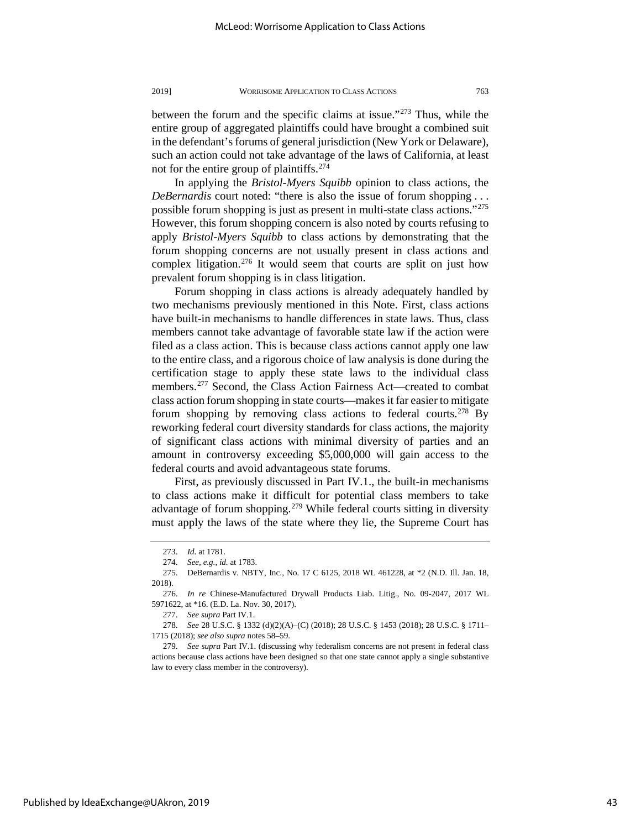between the forum and the specific claims at issue."[273](#page-43-0) Thus, while the entire group of aggregated plaintiffs could have brought a combined suit in the defendant's forums of general jurisdiction (New York or Delaware), such an action could not take advantage of the laws of California, at least

not for the entire group of plaintiffs.<sup>[274](#page-43-1)</sup> In applying the *Bristol-Myers Squibb* opinion to class actions, the *DeBernardis* court noted: "there is also the issue of forum shopping . . . possible forum shopping is just as present in multi-state class actions."[275](#page-43-2) However, this forum shopping concern is also noted by courts refusing to apply *Bristol-Myers Squibb* to class actions by demonstrating that the forum shopping concerns are not usually present in class actions and complex litigation.<sup>[276](#page-43-3)</sup> It would seem that courts are split on just how prevalent forum shopping is in class litigation.

Forum shopping in class actions is already adequately handled by two mechanisms previously mentioned in this Note. First, class actions have built-in mechanisms to handle differences in state laws. Thus, class members cannot take advantage of favorable state law if the action were filed as a class action. This is because class actions cannot apply one law to the entire class, and a rigorous choice of law analysis is done during the certification stage to apply these state laws to the individual class members.[277](#page-43-4) Second, the Class Action Fairness Act—created to combat class action forum shopping in state courts—makes it far easier to mitigate forum shopping by removing class actions to federal courts.<sup>278</sup> By reworking federal court diversity standards for class actions, the majority of significant class actions with minimal diversity of parties and an amount in controversy exceeding \$5,000,000 will gain access to the federal courts and avoid advantageous state forums.

First, as previously discussed in Part IV.1., the built-in mechanisms to class actions make it difficult for potential class members to take advantage of forum shopping.<sup>[279](#page-43-6)</sup> While federal courts sitting in diversity must apply the laws of the state where they lie, the Supreme Court has

277. *See supra* Part IV.1.

<sup>273.</sup> *Id.* at 1781.

<sup>274.</sup> *See, e.g.*, *id.* at 1783.

<span id="page-43-2"></span><span id="page-43-1"></span><span id="page-43-0"></span><sup>275.</sup> DeBernardis v. NBTY, Inc., No. 17 C 6125, 2018 WL 461228, at \*2 (N.D. Ill. Jan. 18, 2018).

<span id="page-43-3"></span><sup>276.</sup> *In re* Chinese-Manufactured Drywall Products Liab. Litig., No. 09-2047, 2017 WL 5971622, at \*16. (E.D. La. Nov. 30, 2017).

<span id="page-43-5"></span><span id="page-43-4"></span><sup>278.</sup> *See* 28 U.S.C. § 1332 (d)(2)(A)–(C) (2018); 28 U.S.C. § 1453 (2018); 28 U.S.C. § 1711– 1715 (2018); *see also supra* notes 58–59.

<span id="page-43-6"></span><sup>279.</sup> *See supra* Part IV.1. (discussing why federalism concerns are not present in federal class actions because class actions have been designed so that one state cannot apply a single substantive law to every class member in the controversy).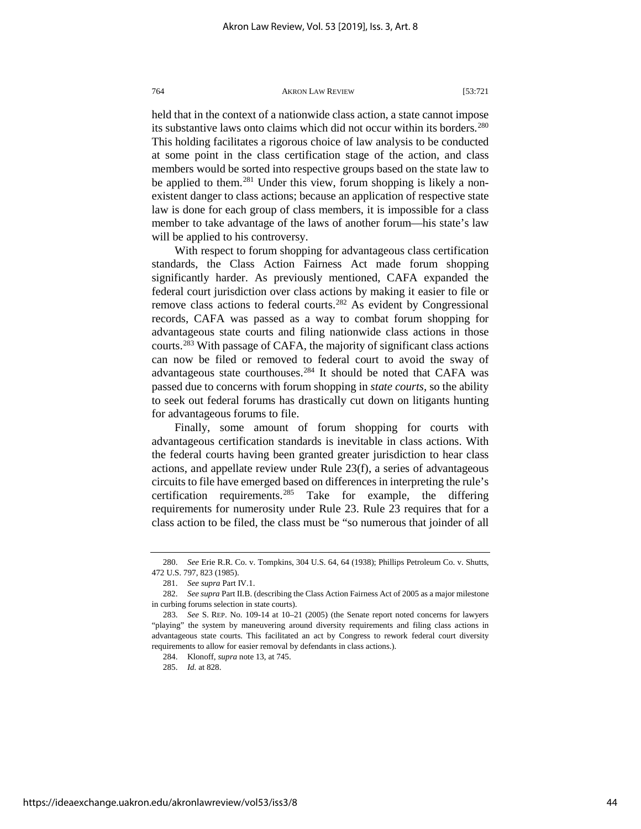held that in the context of a nationwide class action, a state cannot impose its substantive laws onto claims which did not occur within its borders.<sup>280</sup> This holding facilitates a rigorous choice of law analysis to be conducted at some point in the class certification stage of the action, and class members would be sorted into respective groups based on the state law to be applied to them.<sup>[281](#page-44-1)</sup> Under this view, forum shopping is likely a nonexistent danger to class actions; because an application of respective state law is done for each group of class members, it is impossible for a class member to take advantage of the laws of another forum—his state's law will be applied to his controversy.

With respect to forum shopping for advantageous class certification standards, the Class Action Fairness Act made forum shopping significantly harder. As previously mentioned, CAFA expanded the federal court jurisdiction over class actions by making it easier to file or remove class actions to federal courts.<sup>[282](#page-44-2)</sup> As evident by Congressional records, CAFA was passed as a way to combat forum shopping for advantageous state courts and filing nationwide class actions in those courts.[283](#page-44-3) With passage of CAFA, the majority of significant class actions can now be filed or removed to federal court to avoid the sway of advantageous state courthouses.<sup>[284](#page-44-4)</sup> It should be noted that CAFA was passed due to concerns with forum shopping in *state courts*, so the ability to seek out federal forums has drastically cut down on litigants hunting for advantageous forums to file.

Finally, some amount of forum shopping for courts with advantageous certification standards is inevitable in class actions. With the federal courts having been granted greater jurisdiction to hear class actions, and appellate review under Rule 23(f), a series of advantageous circuits to file have emerged based on differences in interpreting the rule's certification requirements.<sup>[285](#page-44-5)</sup> Take for example, the differing requirements for numerosity under Rule 23. Rule 23 requires that for a class action to be filed, the class must be "so numerous that joinder of all

285. *Id.* at 828.

<span id="page-44-0"></span><sup>280.</sup> *See* Erie R.R. Co. v. Tompkins, 304 U.S. 64, 64 (1938); Phillips Petroleum Co. v. Shutts, 472 U.S. 797, 823 (1985).

<sup>281.</sup> *See supra* Part IV.1.

<span id="page-44-2"></span><span id="page-44-1"></span><sup>282.</sup> *See supra* Part II.B. (describing the Class Action Fairness Act of 2005 as a major milestone in curbing forums selection in state courts).

<span id="page-44-5"></span><span id="page-44-4"></span><span id="page-44-3"></span><sup>283.</sup> *See* S. REP. No. 109-14 at 10–21 (2005) (the Senate report noted concerns for lawyers "playing" the system by maneuvering around diversity requirements and filing class actions in advantageous state courts. This facilitated an act by Congress to rework federal court diversity requirements to allow for easier removal by defendants in class actions.).

<sup>284.</sup> Klonoff, *supra* note 13, at 745.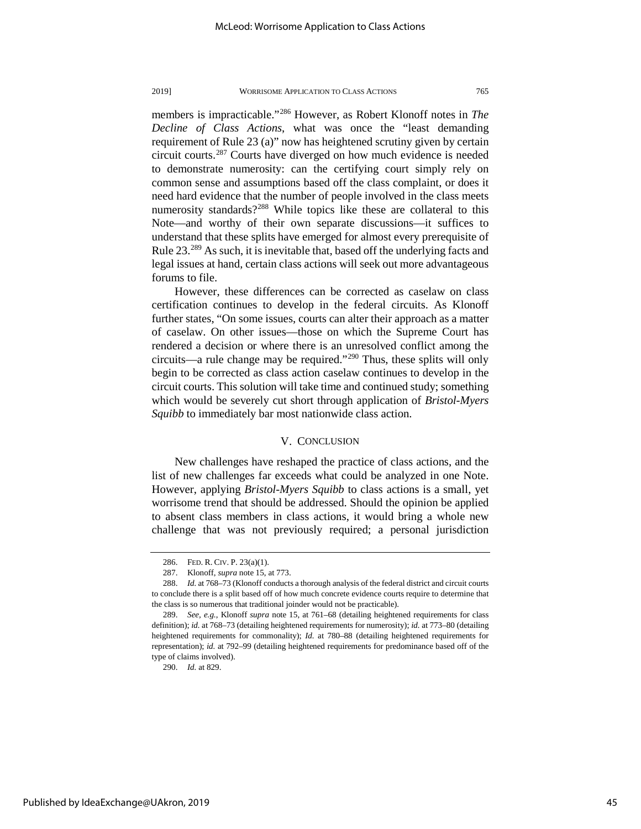members is impracticable."[286](#page-45-0) However, as Robert Klonoff notes in *The Decline of Class Actions*, what was once the "least demanding requirement of Rule 23 (a)" now has heightened scrutiny given by certain circuit courts.[287](#page-45-1) Courts have diverged on how much evidence is needed to demonstrate numerosity: can the certifying court simply rely on common sense and assumptions based off the class complaint, or does it need hard evidence that the number of people involved in the class meets numerosity standards?<sup>[288](#page-45-2)</sup> While topics like these are collateral to this Note—and worthy of their own separate discussions—it suffices to understand that these splits have emerged for almost every prerequisite of Rule 23.<sup>[289](#page-45-3)</sup> As such, it is inevitable that, based off the underlying facts and legal issues at hand, certain class actions will seek out more advantageous forums to file.

However, these differences can be corrected as caselaw on class certification continues to develop in the federal circuits. As Klonoff further states, "On some issues, courts can alter their approach as a matter of caselaw. On other issues—those on which the Supreme Court has rendered a decision or where there is an unresolved conflict among the circuits—a rule change may be required."[290](#page-45-4) Thus, these splits will only begin to be corrected as class action caselaw continues to develop in the circuit courts. This solution will take time and continued study; something which would be severely cut short through application of *Bristol-Myers Squibb* to immediately bar most nationwide class action.

#### V. CONCLUSION

New challenges have reshaped the practice of class actions, and the list of new challenges far exceeds what could be analyzed in one Note. However, applying *Bristol-Myers Squibb* to class actions is a small, yet worrisome trend that should be addressed. Should the opinion be applied to absent class members in class actions, it would bring a whole new challenge that was not previously required; a personal jurisdiction

<span id="page-45-4"></span>290. *Id.* at 829.

<sup>286.</sup> FED. R. CIV. P. 23(a)(1).

<sup>287.</sup> Klonoff, *supra* note 15, at 773.

<span id="page-45-2"></span><span id="page-45-1"></span><span id="page-45-0"></span><sup>288.</sup> *Id.* at 768–73 (Klonoff conducts a thorough analysis of the federal district and circuit courts to conclude there is a split based off of how much concrete evidence courts require to determine that the class is so numerous that traditional joinder would not be practicable).

<span id="page-45-3"></span><sup>289.</sup> *See, e.g.*, Klonoff *supra* note 15, at 761–68 (detailing heightened requirements for class definition); *id.* at 768–73 (detailing heightened requirements for numerosity); *id.* at 773–80 (detailing heightened requirements for commonality); *Id.* at 780–88 (detailing heightened requirements for representation); *id.* at 792–99 (detailing heightened requirements for predominance based off of the type of claims involved).